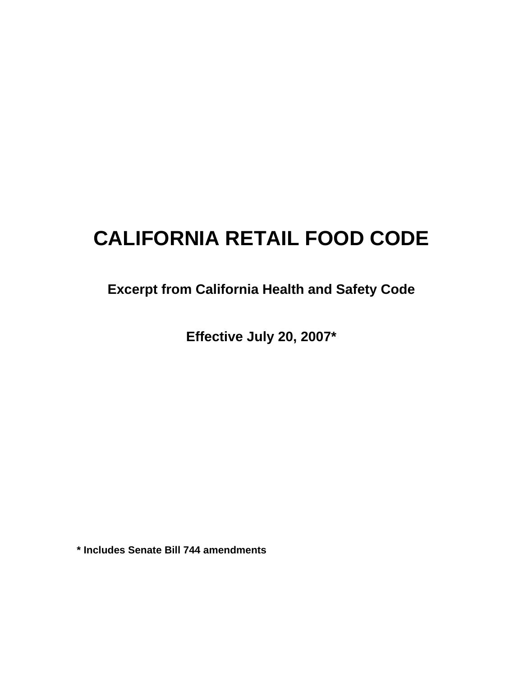# **CALIFORNIA RETAIL FOOD CODE**

# **Excerpt from California Health and Safety Code**

**Effective July 20, 2007\*** 

**\* Includes Senate Bill 744 amendments**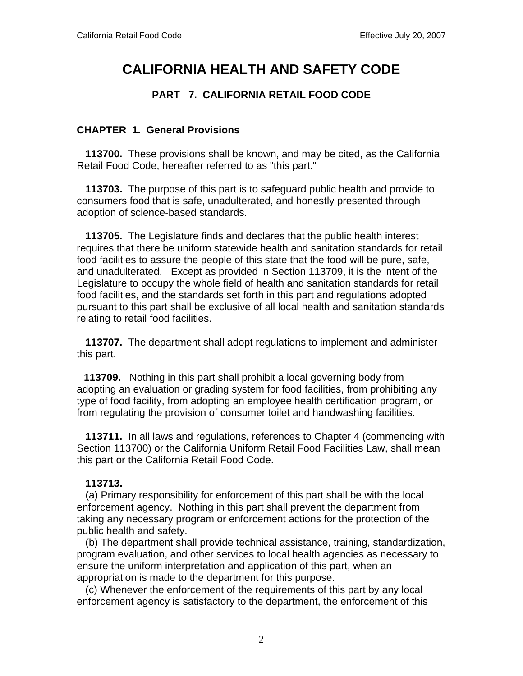# **CALIFORNIA HEALTH AND SAFETY CODE**

# **PART 7. CALIFORNIA RETAIL FOOD CODE**

#### **CHAPTER 1. General Provisions**

 **113700.** These provisions shall be known, and may be cited, as the California Retail Food Code, hereafter referred to as "this part."

 **113703.** The purpose of this part is to safeguard public health and provide to consumers food that is safe, unadulterated, and honestly presented through adoption of science-based standards.

 **113705.** The Legislature finds and declares that the public health interest requires that there be uniform statewide health and sanitation standards for retail food facilities to assure the people of this state that the food will be pure, safe, and unadulterated. Except as provided in Section 113709, it is the intent of the Legislature to occupy the whole field of health and sanitation standards for retail food facilities, and the standards set forth in this part and regulations adopted pursuant to this part shall be exclusive of all local health and sanitation standards relating to retail food facilities.

 **113707.** The department shall adopt regulations to implement and administer this part.

 **113709.** Nothing in this part shall prohibit a local governing body from adopting an evaluation or grading system for food facilities, from prohibiting any type of food facility, from adopting an employee health certification program, or from regulating the provision of consumer toilet and handwashing facilities.

 **113711.** In all laws and regulations, references to Chapter 4 (commencing with Section 113700) or the California Uniform Retail Food Facilities Law, shall mean this part or the California Retail Food Code.

#### **113713.**

 (a) Primary responsibility for enforcement of this part shall be with the local enforcement agency. Nothing in this part shall prevent the department from taking any necessary program or enforcement actions for the protection of the public health and safety.

 (b) The department shall provide technical assistance, training, standardization, program evaluation, and other services to local health agencies as necessary to ensure the uniform interpretation and application of this part, when an appropriation is made to the department for this purpose.

 (c) Whenever the enforcement of the requirements of this part by any local enforcement agency is satisfactory to the department, the enforcement of this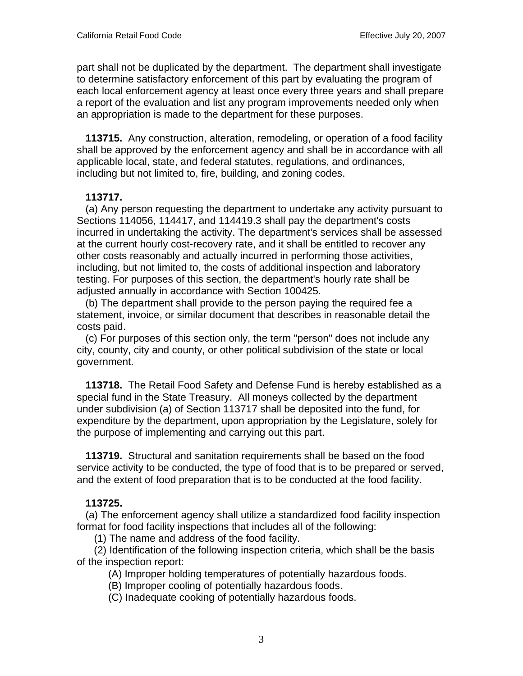part shall not be duplicated by the department. The department shall investigate to determine satisfactory enforcement of this part by evaluating the program of each local enforcement agency at least once every three years and shall prepare a report of the evaluation and list any program improvements needed only when an appropriation is made to the department for these purposes.

 **113715.** Any construction, alteration, remodeling, or operation of a food facility shall be approved by the enforcement agency and shall be in accordance with all applicable local, state, and federal statutes, regulations, and ordinances, including but not limited to, fire, building, and zoning codes.

#### **113717.**

 (a) Any person requesting the department to undertake any activity pursuant to Sections 114056, 114417, and 114419.3 shall pay the department's costs incurred in undertaking the activity. The department's services shall be assessed at the current hourly cost-recovery rate, and it shall be entitled to recover any other costs reasonably and actually incurred in performing those activities, including, but not limited to, the costs of additional inspection and laboratory testing. For purposes of this section, the department's hourly rate shall be adjusted annually in accordance with Section 100425.

 (b) The department shall provide to the person paying the required fee a statement, invoice, or similar document that describes in reasonable detail the costs paid.

 (c) For purposes of this section only, the term "person" does not include any city, county, city and county, or other political subdivision of the state or local government.

 **113718.** The Retail Food Safety and Defense Fund is hereby established as a special fund in the State Treasury. All moneys collected by the department under subdivision (a) of Section 113717 shall be deposited into the fund, for expenditure by the department, upon appropriation by the Legislature, solely for the purpose of implementing and carrying out this part.

 **113719.** Structural and sanitation requirements shall be based on the food service activity to be conducted, the type of food that is to be prepared or served, and the extent of food preparation that is to be conducted at the food facility.

# **113725.**

 (a) The enforcement agency shall utilize a standardized food facility inspection format for food facility inspections that includes all of the following:

(1) The name and address of the food facility.

 (2) Identification of the following inspection criteria, which shall be the basis of the inspection report:

(A) Improper holding temperatures of potentially hazardous foods.

- (B) Improper cooling of potentially hazardous foods.
- (C) Inadequate cooking of potentially hazardous foods.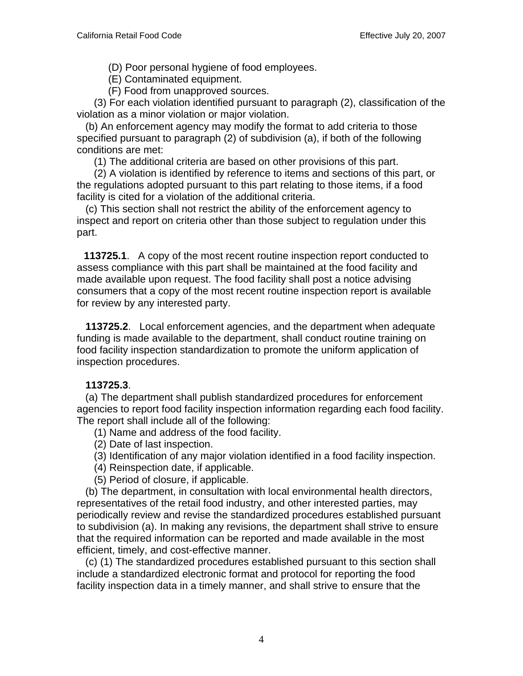(D) Poor personal hygiene of food employees.

(E) Contaminated equipment.

(F) Food from unapproved sources.

 (3) For each violation identified pursuant to paragraph (2), classification of the violation as a minor violation or major violation.

 (b) An enforcement agency may modify the format to add criteria to those specified pursuant to paragraph (2) of subdivision (a), if both of the following conditions are met:

(1) The additional criteria are based on other provisions of this part.

 (2) A violation is identified by reference to items and sections of this part, or the regulations adopted pursuant to this part relating to those items, if a food facility is cited for a violation of the additional criteria.

 (c) This section shall not restrict the ability of the enforcement agency to inspect and report on criteria other than those subject to regulation under this part.

 **113725.1**. A copy of the most recent routine inspection report conducted to assess compliance with this part shall be maintained at the food facility and made available upon request. The food facility shall post a notice advising consumers that a copy of the most recent routine inspection report is available for review by any interested party.

 **113725.2**. Local enforcement agencies, and the department when adequate funding is made available to the department, shall conduct routine training on food facility inspection standardization to promote the uniform application of inspection procedures.

# **113725.3**.

 (a) The department shall publish standardized procedures for enforcement agencies to report food facility inspection information regarding each food facility. The report shall include all of the following:

(1) Name and address of the food facility.

- (2) Date of last inspection.
- (3) Identification of any major violation identified in a food facility inspection.
- (4) Reinspection date, if applicable.
- (5) Period of closure, if applicable.

 (b) The department, in consultation with local environmental health directors, representatives of the retail food industry, and other interested parties, may periodically review and revise the standardized procedures established pursuant to subdivision (a). In making any revisions, the department shall strive to ensure that the required information can be reported and made available in the most efficient, timely, and cost-effective manner.

 (c) (1) The standardized procedures established pursuant to this section shall include a standardized electronic format and protocol for reporting the food facility inspection data in a timely manner, and shall strive to ensure that the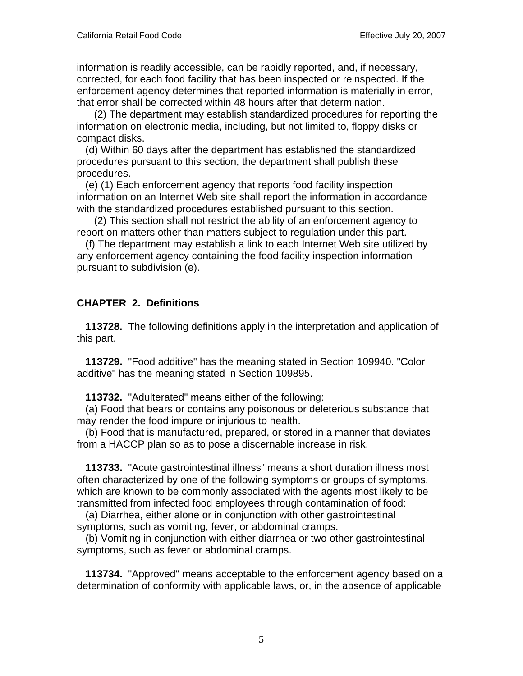information is readily accessible, can be rapidly reported, and, if necessary, corrected, for each food facility that has been inspected or reinspected. If the enforcement agency determines that reported information is materially in error, that error shall be corrected within 48 hours after that determination.

 (2) The department may establish standardized procedures for reporting the information on electronic media, including, but not limited to, floppy disks or compact disks.

 (d) Within 60 days after the department has established the standardized procedures pursuant to this section, the department shall publish these procedures.

 (e) (1) Each enforcement agency that reports food facility inspection information on an Internet Web site shall report the information in accordance with the standardized procedures established pursuant to this section.

 (2) This section shall not restrict the ability of an enforcement agency to report on matters other than matters subject to regulation under this part.

 (f) The department may establish a link to each Internet Web site utilized by any enforcement agency containing the food facility inspection information pursuant to subdivision (e).

# **CHAPTER 2. Definitions**

 **113728.** The following definitions apply in the interpretation and application of this part.

 **113729.** "Food additive" has the meaning stated in Section 109940. "Color additive" has the meaning stated in Section 109895.

**113732.** "Adulterated" means either of the following:

 (a) Food that bears or contains any poisonous or deleterious substance that may render the food impure or injurious to health.

 (b) Food that is manufactured, prepared, or stored in a manner that deviates from a HACCP plan so as to pose a discernable increase in risk.

 **113733.** "Acute gastrointestinal illness" means a short duration illness most often characterized by one of the following symptoms or groups of symptoms, which are known to be commonly associated with the agents most likely to be transmitted from infected food employees through contamination of food:

 (a) Diarrhea, either alone or in conjunction with other gastrointestinal symptoms, such as vomiting, fever, or abdominal cramps.

 (b) Vomiting in conjunction with either diarrhea or two other gastrointestinal symptoms, such as fever or abdominal cramps.

 **113734.** "Approved" means acceptable to the enforcement agency based on a determination of conformity with applicable laws, or, in the absence of applicable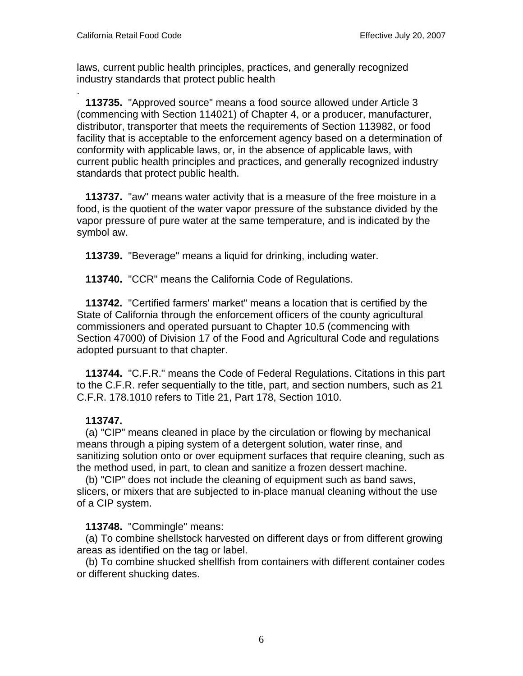.

laws, current public health principles, practices, and generally recognized industry standards that protect public health

 **113735.** "Approved source" means a food source allowed under Article 3 (commencing with Section 114021) of Chapter 4, or a producer, manufacturer, distributor, transporter that meets the requirements of Section 113982, or food facility that is acceptable to the enforcement agency based on a determination of conformity with applicable laws, or, in the absence of applicable laws, with current public health principles and practices, and generally recognized industry standards that protect public health.

 **113737.** "aw" means water activity that is a measure of the free moisture in a food, is the quotient of the water vapor pressure of the substance divided by the vapor pressure of pure water at the same temperature, and is indicated by the symbol aw.

 **113739.** "Beverage" means a liquid for drinking, including water.

 **113740.** "CCR" means the California Code of Regulations.

 **113742.** "Certified farmers' market" means a location that is certified by the State of California through the enforcement officers of the county agricultural commissioners and operated pursuant to Chapter 10.5 (commencing with Section 47000) of Division 17 of the Food and Agricultural Code and regulations adopted pursuant to that chapter.

 **113744.** "C.F.R." means the Code of Federal Regulations. Citations in this part to the C.F.R. refer sequentially to the title, part, and section numbers, such as 21 C.F.R. 178.1010 refers to Title 21, Part 178, Section 1010.

# **113747.**

 (a) "CIP" means cleaned in place by the circulation or flowing by mechanical means through a piping system of a detergent solution, water rinse, and sanitizing solution onto or over equipment surfaces that require cleaning, such as the method used, in part, to clean and sanitize a frozen dessert machine.

 (b) "CIP" does not include the cleaning of equipment such as band saws, slicers, or mixers that are subjected to in-place manual cleaning without the use of a CIP system.

#### **113748.** "Commingle" means:

 (a) To combine shellstock harvested on different days or from different growing areas as identified on the tag or label.

 (b) To combine shucked shellfish from containers with different container codes or different shucking dates.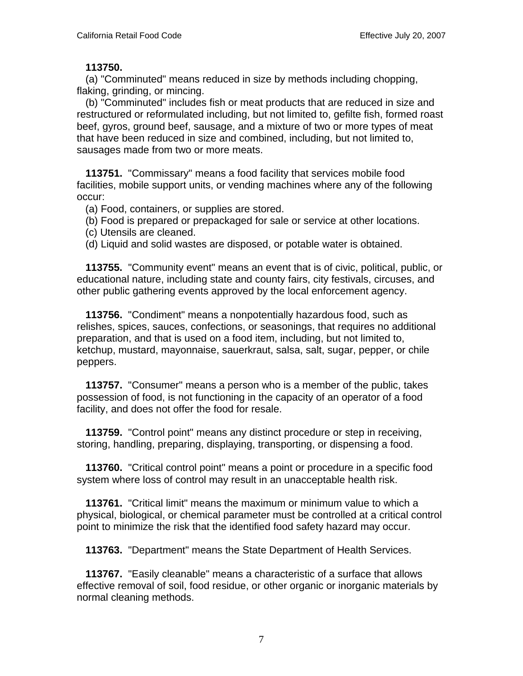#### **113750.**

 (a) "Comminuted" means reduced in size by methods including chopping, flaking, grinding, or mincing.

 (b) "Comminuted" includes fish or meat products that are reduced in size and restructured or reformulated including, but not limited to, gefilte fish, formed roast beef, gyros, ground beef, sausage, and a mixture of two or more types of meat that have been reduced in size and combined, including, but not limited to, sausages made from two or more meats.

 **113751.** "Commissary" means a food facility that services mobile food facilities, mobile support units, or vending machines where any of the following occur:

(a) Food, containers, or supplies are stored.

(b) Food is prepared or prepackaged for sale or service at other locations.

(c) Utensils are cleaned.

(d) Liquid and solid wastes are disposed, or potable water is obtained.

 **113755.** "Community event" means an event that is of civic, political, public, or educational nature, including state and county fairs, city festivals, circuses, and other public gathering events approved by the local enforcement agency.

 **113756.** "Condiment" means a nonpotentially hazardous food, such as relishes, spices, sauces, confections, or seasonings, that requires no additional preparation, and that is used on a food item, including, but not limited to, ketchup, mustard, mayonnaise, sauerkraut, salsa, salt, sugar, pepper, or chile peppers.

 **113757.** "Consumer" means a person who is a member of the public, takes possession of food, is not functioning in the capacity of an operator of a food facility, and does not offer the food for resale.

 **113759.** "Control point" means any distinct procedure or step in receiving, storing, handling, preparing, displaying, transporting, or dispensing a food.

 **113760.** "Critical control point" means a point or procedure in a specific food system where loss of control may result in an unacceptable health risk.

 **113761.** "Critical limit" means the maximum or minimum value to which a physical, biological, or chemical parameter must be controlled at a critical control point to minimize the risk that the identified food safety hazard may occur.

 **113763.** "Department" means the State Department of Health Services.

 **113767.** "Easily cleanable" means a characteristic of a surface that allows effective removal of soil, food residue, or other organic or inorganic materials by normal cleaning methods.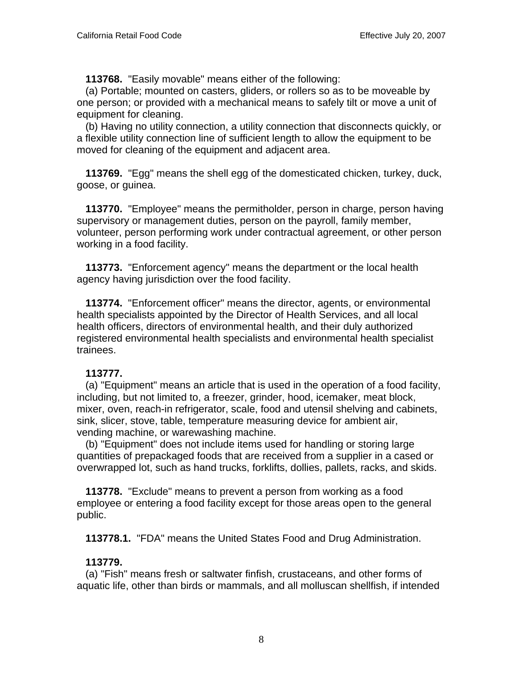**113768.** "Easily movable" means either of the following:

 (a) Portable; mounted on casters, gliders, or rollers so as to be moveable by one person; or provided with a mechanical means to safely tilt or move a unit of equipment for cleaning.

 (b) Having no utility connection, a utility connection that disconnects quickly, or a flexible utility connection line of sufficient length to allow the equipment to be moved for cleaning of the equipment and adjacent area.

 **113769.** "Egg" means the shell egg of the domesticated chicken, turkey, duck, goose, or guinea.

 **113770.** "Employee" means the permitholder, person in charge, person having supervisory or management duties, person on the payroll, family member, volunteer, person performing work under contractual agreement, or other person working in a food facility.

 **113773.** "Enforcement agency" means the department or the local health agency having jurisdiction over the food facility.

 **113774.** "Enforcement officer" means the director, agents, or environmental health specialists appointed by the Director of Health Services, and all local health officers, directors of environmental health, and their duly authorized registered environmental health specialists and environmental health specialist trainees.

#### **113777.**

 (a) "Equipment" means an article that is used in the operation of a food facility, including, but not limited to, a freezer, grinder, hood, icemaker, meat block, mixer, oven, reach-in refrigerator, scale, food and utensil shelving and cabinets, sink, slicer, stove, table, temperature measuring device for ambient air, vending machine, or warewashing machine.

 (b) "Equipment" does not include items used for handling or storing large quantities of prepackaged foods that are received from a supplier in a cased or overwrapped lot, such as hand trucks, forklifts, dollies, pallets, racks, and skids.

 **113778.** "Exclude" means to prevent a person from working as a food employee or entering a food facility except for those areas open to the general public.

 **113778.1.** "FDA" means the United States Food and Drug Administration.

# **113779.**

 (a) "Fish" means fresh or saltwater finfish, crustaceans, and other forms of aquatic life, other than birds or mammals, and all molluscan shellfish, if intended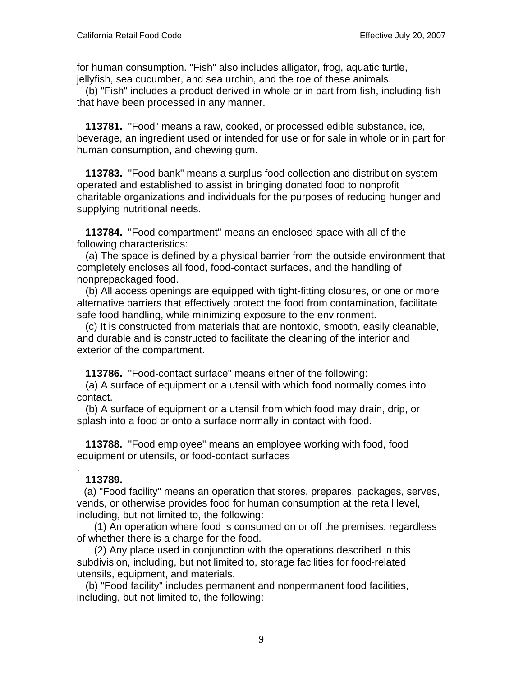for human consumption. "Fish" also includes alligator, frog, aquatic turtle, jellyfish, sea cucumber, and sea urchin, and the roe of these animals.

 (b) "Fish" includes a product derived in whole or in part from fish, including fish that have been processed in any manner.

 **113781.** "Food" means a raw, cooked, or processed edible substance, ice, beverage, an ingredient used or intended for use or for sale in whole or in part for human consumption, and chewing gum.

 **113783.** "Food bank" means a surplus food collection and distribution system operated and established to assist in bringing donated food to nonprofit charitable organizations and individuals for the purposes of reducing hunger and supplying nutritional needs.

 **113784.** "Food compartment" means an enclosed space with all of the following characteristics:

 (a) The space is defined by a physical barrier from the outside environment that completely encloses all food, food-contact surfaces, and the handling of nonprepackaged food.

 (b) All access openings are equipped with tight-fitting closures, or one or more alternative barriers that effectively protect the food from contamination, facilitate safe food handling, while minimizing exposure to the environment.

 (c) It is constructed from materials that are nontoxic, smooth, easily cleanable, and durable and is constructed to facilitate the cleaning of the interior and exterior of the compartment.

 **113786.** "Food-contact surface" means either of the following:

 (a) A surface of equipment or a utensil with which food normally comes into contact.

 (b) A surface of equipment or a utensil from which food may drain, drip, or splash into a food or onto a surface normally in contact with food.

 **113788.** "Food employee" means an employee working with food, food equipment or utensils, or food-contact surfaces

# **113789.**

.

 (a) "Food facility" means an operation that stores, prepares, packages, serves, vends, or otherwise provides food for human consumption at the retail level, including, but not limited to, the following:

 (1) An operation where food is consumed on or off the premises, regardless of whether there is a charge for the food.

 (2) Any place used in conjunction with the operations described in this subdivision, including, but not limited to, storage facilities for food-related utensils, equipment, and materials.

 (b) "Food facility" includes permanent and nonpermanent food facilities, including, but not limited to, the following: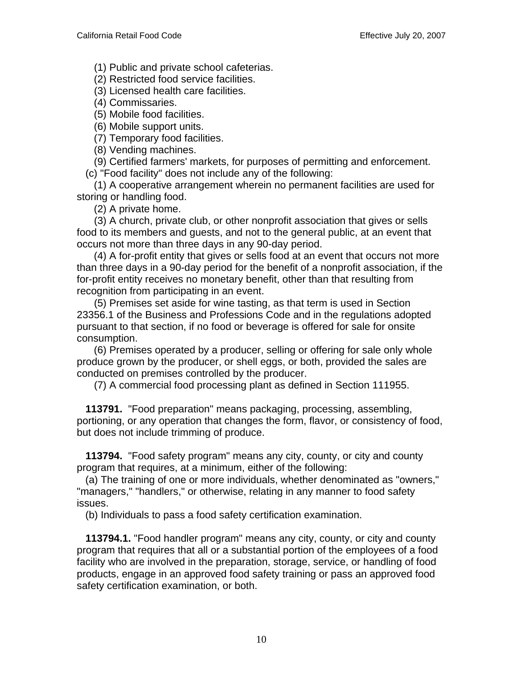(1) Public and private school cafeterias.

(2) Restricted food service facilities.

(3) Licensed health care facilities.

(4) Commissaries.

(5) Mobile food facilities.

(6) Mobile support units.

(7) Temporary food facilities.

(8) Vending machines.

(9) Certified farmers' markets, for purposes of permitting and enforcement.

(c) "Food facility" does not include any of the following:

 (1) A cooperative arrangement wherein no permanent facilities are used for storing or handling food.

(2) A private home.

 (3) A church, private club, or other nonprofit association that gives or sells food to its members and guests, and not to the general public, at an event that occurs not more than three days in any 90-day period.

 (4) A for-profit entity that gives or sells food at an event that occurs not more than three days in a 90-day period for the benefit of a nonprofit association, if the for-profit entity receives no monetary benefit, other than that resulting from recognition from participating in an event.

 (5) Premises set aside for wine tasting, as that term is used in Section 23356.1 of the Business and Professions Code and in the regulations adopted pursuant to that section, if no food or beverage is offered for sale for onsite consumption.

 (6) Premises operated by a producer, selling or offering for sale only whole produce grown by the producer, or shell eggs, or both, provided the sales are conducted on premises controlled by the producer.

(7) A commercial food processing plant as defined in Section 111955.

 **113791.** "Food preparation" means packaging, processing, assembling, portioning, or any operation that changes the form, flavor, or consistency of food, but does not include trimming of produce.

 **113794.** "Food safety program" means any city, county, or city and county program that requires, at a minimum, either of the following:

 (a) The training of one or more individuals, whether denominated as "owners," "managers," "handlers," or otherwise, relating in any manner to food safety issues.

(b) Individuals to pass a food safety certification examination.

 **113794.1.** "Food handler program" means any city, county, or city and county program that requires that all or a substantial portion of the employees of a food facility who are involved in the preparation, storage, service, or handling of food products, engage in an approved food safety training or pass an approved food safety certification examination, or both.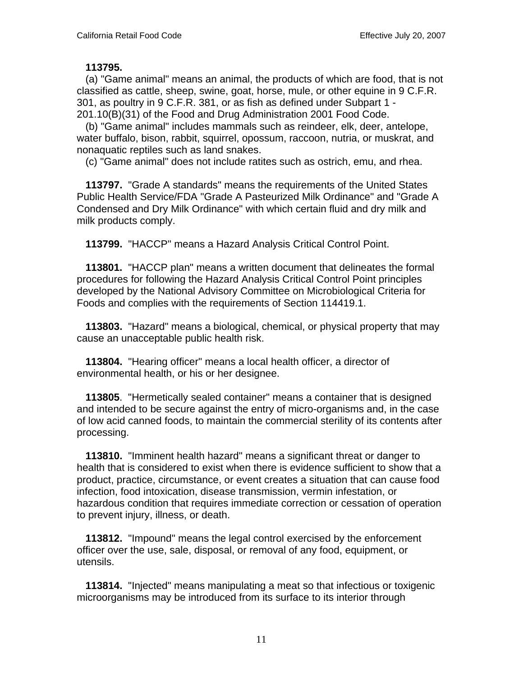**113795.**

 (a) "Game animal" means an animal, the products of which are food, that is not classified as cattle, sheep, swine, goat, horse, mule, or other equine in 9 C.F.R. 301, as poultry in 9 C.F.R. 381, or as fish as defined under Subpart 1 - 201.10(B)(31) of the Food and Drug Administration 2001 Food Code.

 (b) "Game animal" includes mammals such as reindeer, elk, deer, antelope, water buffalo, bison, rabbit, squirrel, opossum, raccoon, nutria, or muskrat, and nonaquatic reptiles such as land snakes.

(c) "Game animal" does not include ratites such as ostrich, emu, and rhea.

 **113797.** "Grade A standards" means the requirements of the United States Public Health Service/FDA "Grade A Pasteurized Milk Ordinance" and "Grade A Condensed and Dry Milk Ordinance" with which certain fluid and dry milk and milk products comply.

 **113799.** "HACCP" means a Hazard Analysis Critical Control Point.

 **113801.** "HACCP plan" means a written document that delineates the formal procedures for following the Hazard Analysis Critical Control Point principles developed by the National Advisory Committee on Microbiological Criteria for Foods and complies with the requirements of Section 114419.1.

 **113803.** "Hazard" means a biological, chemical, or physical property that may cause an unacceptable public health risk.

 **113804.** "Hearing officer" means a local health officer, a director of environmental health, or his or her designee.

 **113805**. "Hermetically sealed container" means a container that is designed and intended to be secure against the entry of micro-organisms and, in the case of low acid canned foods, to maintain the commercial sterility of its contents after processing.

 **113810.** "Imminent health hazard" means a significant threat or danger to health that is considered to exist when there is evidence sufficient to show that a product, practice, circumstance, or event creates a situation that can cause food infection, food intoxication, disease transmission, vermin infestation, or hazardous condition that requires immediate correction or cessation of operation to prevent injury, illness, or death.

 **113812.** "Impound" means the legal control exercised by the enforcement officer over the use, sale, disposal, or removal of any food, equipment, or utensils.

 **113814.** "Injected" means manipulating a meat so that infectious or toxigenic microorganisms may be introduced from its surface to its interior through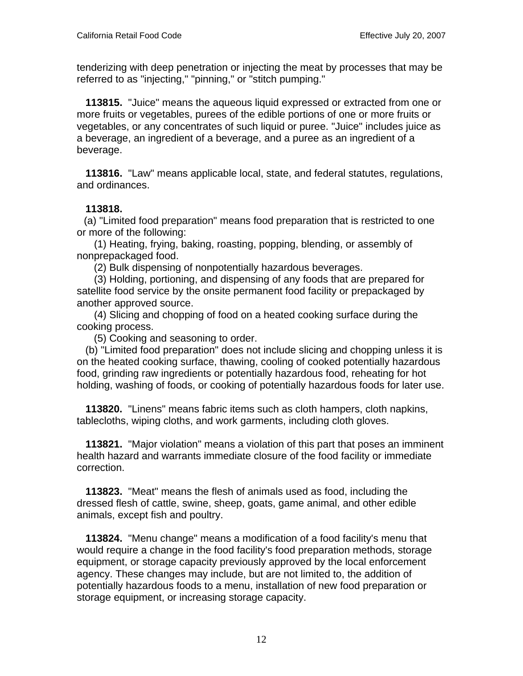tenderizing with deep penetration or injecting the meat by processes that may be referred to as "injecting," "pinning," or "stitch pumping."

 **113815.** "Juice" means the aqueous liquid expressed or extracted from one or more fruits or vegetables, purees of the edible portions of one or more fruits or vegetables, or any concentrates of such liquid or puree. "Juice" includes juice as a beverage, an ingredient of a beverage, and a puree as an ingredient of a beverage.

 **113816.** "Law" means applicable local, state, and federal statutes, regulations, and ordinances.

#### **113818.**

 (a) "Limited food preparation" means food preparation that is restricted to one or more of the following:

 (1) Heating, frying, baking, roasting, popping, blending, or assembly of nonprepackaged food.

(2) Bulk dispensing of nonpotentially hazardous beverages.

 (3) Holding, portioning, and dispensing of any foods that are prepared for satellite food service by the onsite permanent food facility or prepackaged by another approved source.

 (4) Slicing and chopping of food on a heated cooking surface during the cooking process.

(5) Cooking and seasoning to order.

 (b) "Limited food preparation" does not include slicing and chopping unless it is on the heated cooking surface, thawing, cooling of cooked potentially hazardous food, grinding raw ingredients or potentially hazardous food, reheating for hot holding, washing of foods, or cooking of potentially hazardous foods for later use.

 **113820.** "Linens" means fabric items such as cloth hampers, cloth napkins, tablecloths, wiping cloths, and work garments, including cloth gloves.

 **113821.** "Major violation" means a violation of this part that poses an imminent health hazard and warrants immediate closure of the food facility or immediate correction.

 **113823.** "Meat" means the flesh of animals used as food, including the dressed flesh of cattle, swine, sheep, goats, game animal, and other edible animals, except fish and poultry.

 **113824.** "Menu change" means a modification of a food facility's menu that would require a change in the food facility's food preparation methods, storage equipment, or storage capacity previously approved by the local enforcement agency. These changes may include, but are not limited to, the addition of potentially hazardous foods to a menu, installation of new food preparation or storage equipment, or increasing storage capacity.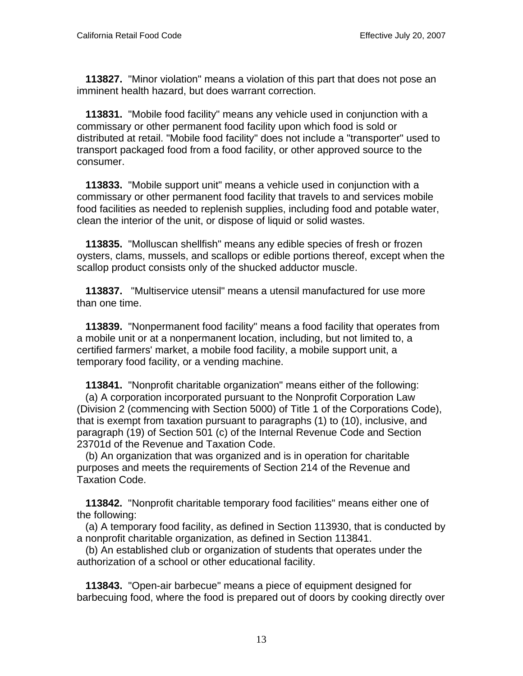**113827.** "Minor violation" means a violation of this part that does not pose an imminent health hazard, but does warrant correction.

 **113831.** "Mobile food facility" means any vehicle used in conjunction with a commissary or other permanent food facility upon which food is sold or distributed at retail. "Mobile food facility" does not include a "transporter" used to transport packaged food from a food facility, or other approved source to the consumer.

 **113833.** "Mobile support unit" means a vehicle used in conjunction with a commissary or other permanent food facility that travels to and services mobile food facilities as needed to replenish supplies, including food and potable water, clean the interior of the unit, or dispose of liquid or solid wastes.

 **113835.** "Molluscan shellfish" means any edible species of fresh or frozen oysters, clams, mussels, and scallops or edible portions thereof, except when the scallop product consists only of the shucked adductor muscle.

 **113837.** "Multiservice utensil" means a utensil manufactured for use more than one time.

 **113839.** "Nonpermanent food facility" means a food facility that operates from a mobile unit or at a nonpermanent location, including, but not limited to, a certified farmers' market, a mobile food facility, a mobile support unit, a temporary food facility, or a vending machine.

 **113841.** "Nonprofit charitable organization" means either of the following: (a) A corporation incorporated pursuant to the Nonprofit Corporation Law (Division 2 (commencing with Section 5000) of Title 1 of the Corporations Code), that is exempt from taxation pursuant to paragraphs (1) to (10), inclusive, and paragraph (19) of Section 501 (c) of the Internal Revenue Code and Section 23701d of the Revenue and Taxation Code.

 (b) An organization that was organized and is in operation for charitable purposes and meets the requirements of Section 214 of the Revenue and Taxation Code.

 **113842.** "Nonprofit charitable temporary food facilities" means either one of the following:

 (a) A temporary food facility, as defined in Section 113930, that is conducted by a nonprofit charitable organization, as defined in Section 113841.

 (b) An established club or organization of students that operates under the authorization of a school or other educational facility.

 **113843.** "Open-air barbecue" means a piece of equipment designed for barbecuing food, where the food is prepared out of doors by cooking directly over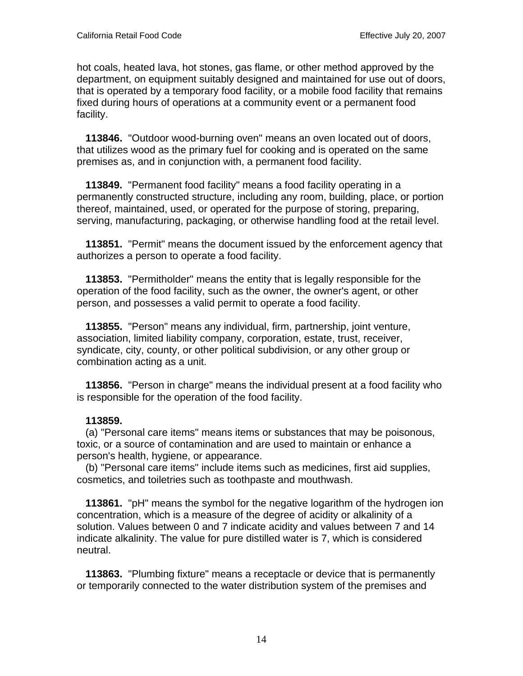hot coals, heated lava, hot stones, gas flame, or other method approved by the department, on equipment suitably designed and maintained for use out of doors, that is operated by a temporary food facility, or a mobile food facility that remains fixed during hours of operations at a community event or a permanent food facility.

 **113846.** "Outdoor wood-burning oven" means an oven located out of doors, that utilizes wood as the primary fuel for cooking and is operated on the same premises as, and in conjunction with, a permanent food facility.

 **113849.** "Permanent food facility" means a food facility operating in a permanently constructed structure, including any room, building, place, or portion thereof, maintained, used, or operated for the purpose of storing, preparing, serving, manufacturing, packaging, or otherwise handling food at the retail level.

 **113851.** "Permit" means the document issued by the enforcement agency that authorizes a person to operate a food facility.

 **113853.** "Permitholder" means the entity that is legally responsible for the operation of the food facility, such as the owner, the owner's agent, or other person, and possesses a valid permit to operate a food facility.

 **113855.** "Person" means any individual, firm, partnership, joint venture, association, limited liability company, corporation, estate, trust, receiver, syndicate, city, county, or other political subdivision, or any other group or combination acting as a unit.

 **113856.** "Person in charge" means the individual present at a food facility who is responsible for the operation of the food facility.

#### **113859.**

 (a) "Personal care items" means items or substances that may be poisonous, toxic, or a source of contamination and are used to maintain or enhance a person's health, hygiene, or appearance.

 (b) "Personal care items" include items such as medicines, first aid supplies, cosmetics, and toiletries such as toothpaste and mouthwash.

 **113861.** "pH" means the symbol for the negative logarithm of the hydrogen ion concentration, which is a measure of the degree of acidity or alkalinity of a solution. Values between 0 and 7 indicate acidity and values between 7 and 14 indicate alkalinity. The value for pure distilled water is 7, which is considered neutral.

 **113863.** "Plumbing fixture" means a receptacle or device that is permanently or temporarily connected to the water distribution system of the premises and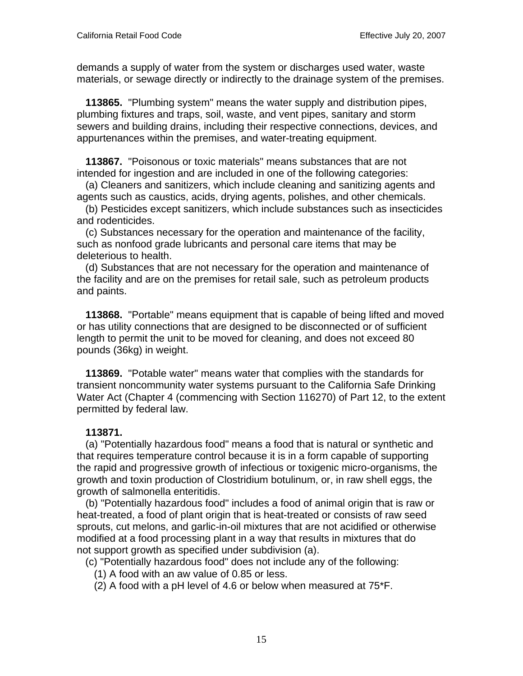demands a supply of water from the system or discharges used water, waste materials, or sewage directly or indirectly to the drainage system of the premises.

 **113865.** "Plumbing system" means the water supply and distribution pipes, plumbing fixtures and traps, soil, waste, and vent pipes, sanitary and storm sewers and building drains, including their respective connections, devices, and appurtenances within the premises, and water-treating equipment.

 **113867.** "Poisonous or toxic materials" means substances that are not intended for ingestion and are included in one of the following categories:

 (a) Cleaners and sanitizers, which include cleaning and sanitizing agents and agents such as caustics, acids, drying agents, polishes, and other chemicals.

 (b) Pesticides except sanitizers, which include substances such as insecticides and rodenticides.

 (c) Substances necessary for the operation and maintenance of the facility, such as nonfood grade lubricants and personal care items that may be deleterious to health.

 (d) Substances that are not necessary for the operation and maintenance of the facility and are on the premises for retail sale, such as petroleum products and paints.

 **113868.** "Portable" means equipment that is capable of being lifted and moved or has utility connections that are designed to be disconnected or of sufficient length to permit the unit to be moved for cleaning, and does not exceed 80 pounds (36kg) in weight.

 **113869.** "Potable water" means water that complies with the standards for transient noncommunity water systems pursuant to the California Safe Drinking Water Act (Chapter 4 (commencing with Section 116270) of Part 12, to the extent permitted by federal law.

#### **113871.**

 (a) "Potentially hazardous food" means a food that is natural or synthetic and that requires temperature control because it is in a form capable of supporting the rapid and progressive growth of infectious or toxigenic micro-organisms, the growth and toxin production of Clostridium botulinum, or, in raw shell eggs, the growth of salmonella enteritidis.

 (b) "Potentially hazardous food" includes a food of animal origin that is raw or heat-treated, a food of plant origin that is heat-treated or consists of raw seed sprouts, cut melons, and garlic-in-oil mixtures that are not acidified or otherwise modified at a food processing plant in a way that results in mixtures that do not support growth as specified under subdivision (a).

(c) "Potentially hazardous food" does not include any of the following:

- (1) A food with an aw value of 0.85 or less.
- (2) A food with a pH level of 4.6 or below when measured at 75\*F.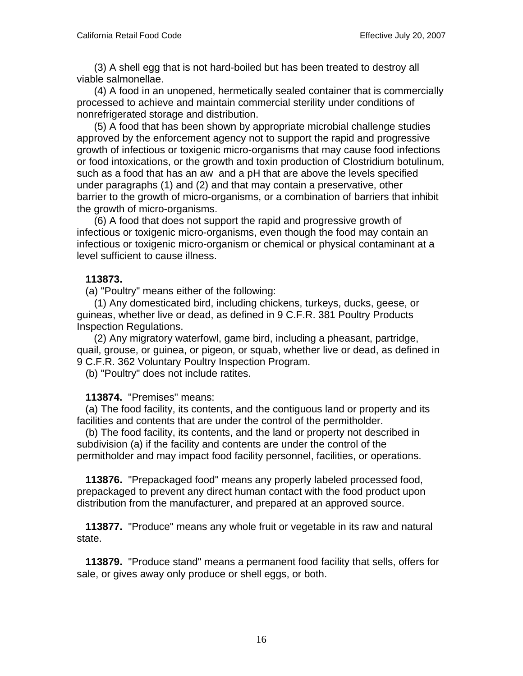(3) A shell egg that is not hard-boiled but has been treated to destroy all viable salmonellae.

 (4) A food in an unopened, hermetically sealed container that is commercially processed to achieve and maintain commercial sterility under conditions of nonrefrigerated storage and distribution.

 (5) A food that has been shown by appropriate microbial challenge studies approved by the enforcement agency not to support the rapid and progressive growth of infectious or toxigenic micro-organisms that may cause food infections or food intoxications, or the growth and toxin production of Clostridium botulinum, such as a food that has an aw and a pH that are above the levels specified under paragraphs (1) and (2) and that may contain a preservative, other barrier to the growth of micro-organisms, or a combination of barriers that inhibit the growth of micro-organisms.

 (6) A food that does not support the rapid and progressive growth of infectious or toxigenic micro-organisms, even though the food may contain an infectious or toxigenic micro-organism or chemical or physical contaminant at a level sufficient to cause illness.

#### **113873.**

(a) "Poultry" means either of the following:

 (1) Any domesticated bird, including chickens, turkeys, ducks, geese, or guineas, whether live or dead, as defined in 9 C.F.R. 381 Poultry Products Inspection Regulations.

 (2) Any migratory waterfowl, game bird, including a pheasant, partridge, quail, grouse, or guinea, or pigeon, or squab, whether live or dead, as defined in 9 C.F.R. 362 Voluntary Poultry Inspection Program.

(b) "Poultry" does not include ratites.

# **113874.** "Premises" means:

 (a) The food facility, its contents, and the contiguous land or property and its facilities and contents that are under the control of the permitholder.

 (b) The food facility, its contents, and the land or property not described in subdivision (a) if the facility and contents are under the control of the permitholder and may impact food facility personnel, facilities, or operations.

 **113876.** "Prepackaged food" means any properly labeled processed food, prepackaged to prevent any direct human contact with the food product upon distribution from the manufacturer, and prepared at an approved source.

 **113877.** "Produce" means any whole fruit or vegetable in its raw and natural state.

 **113879.** "Produce stand" means a permanent food facility that sells, offers for sale, or gives away only produce or shell eggs, or both.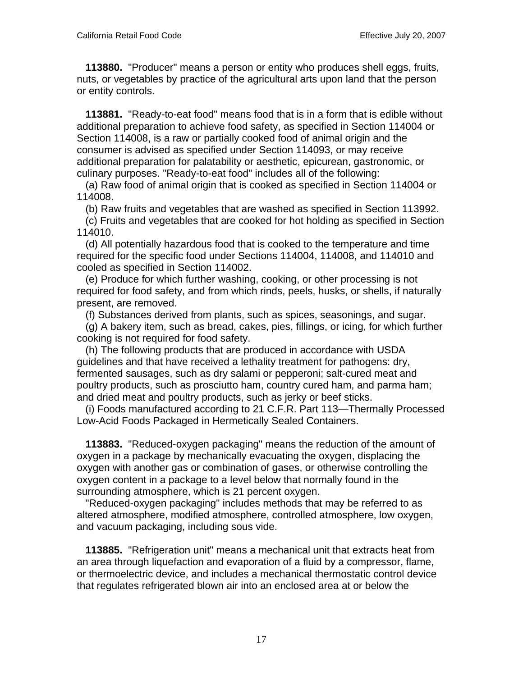**113880.** "Producer" means a person or entity who produces shell eggs, fruits, nuts, or vegetables by practice of the agricultural arts upon land that the person or entity controls.

 **113881.** "Ready-to-eat food" means food that is in a form that is edible without additional preparation to achieve food safety, as specified in Section 114004 or Section 114008, is a raw or partially cooked food of animal origin and the consumer is advised as specified under Section 114093, or may receive additional preparation for palatability or aesthetic, epicurean, gastronomic, or culinary purposes. "Ready-to-eat food" includes all of the following:

 (a) Raw food of animal origin that is cooked as specified in Section 114004 or 114008.

(b) Raw fruits and vegetables that are washed as specified in Section 113992.

 (c) Fruits and vegetables that are cooked for hot holding as specified in Section 114010.

 (d) All potentially hazardous food that is cooked to the temperature and time required for the specific food under Sections 114004, 114008, and 114010 and cooled as specified in Section 114002.

 (e) Produce for which further washing, cooking, or other processing is not required for food safety, and from which rinds, peels, husks, or shells, if naturally present, are removed.

(f) Substances derived from plants, such as spices, seasonings, and sugar.

 (g) A bakery item, such as bread, cakes, pies, fillings, or icing, for which further cooking is not required for food safety.

 (h) The following products that are produced in accordance with USDA guidelines and that have received a lethality treatment for pathogens: dry, fermented sausages, such as dry salami or pepperoni; salt-cured meat and poultry products, such as prosciutto ham, country cured ham, and parma ham; and dried meat and poultry products, such as jerky or beef sticks.

 (i) Foods manufactured according to 21 C.F.R. Part 113—Thermally Processed Low-Acid Foods Packaged in Hermetically Sealed Containers.

 **113883.** "Reduced-oxygen packaging" means the reduction of the amount of oxygen in a package by mechanically evacuating the oxygen, displacing the oxygen with another gas or combination of gases, or otherwise controlling the oxygen content in a package to a level below that normally found in the surrounding atmosphere, which is 21 percent oxygen.

 "Reduced-oxygen packaging" includes methods that may be referred to as altered atmosphere, modified atmosphere, controlled atmosphere, low oxygen, and vacuum packaging, including sous vide.

 **113885.** "Refrigeration unit" means a mechanical unit that extracts heat from an area through liquefaction and evaporation of a fluid by a compressor, flame, or thermoelectric device, and includes a mechanical thermostatic control device that regulates refrigerated blown air into an enclosed area at or below the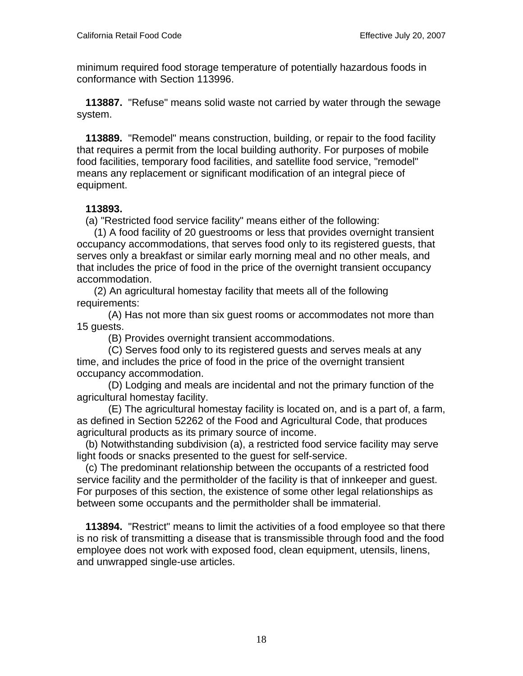minimum required food storage temperature of potentially hazardous foods in conformance with Section 113996.

 **113887.** "Refuse" means solid waste not carried by water through the sewage system.

 **113889.** "Remodel" means construction, building, or repair to the food facility that requires a permit from the local building authority. For purposes of mobile food facilities, temporary food facilities, and satellite food service, "remodel" means any replacement or significant modification of an integral piece of equipment.

#### **113893.**

(a) "Restricted food service facility" means either of the following:

 (1) A food facility of 20 guestrooms or less that provides overnight transient occupancy accommodations, that serves food only to its registered guests, that serves only a breakfast or similar early morning meal and no other meals, and that includes the price of food in the price of the overnight transient occupancy accommodation.

 (2) An agricultural homestay facility that meets all of the following requirements:

 (A) Has not more than six guest rooms or accommodates not more than 15 guests.

(B) Provides overnight transient accommodations.

 (C) Serves food only to its registered guests and serves meals at any time, and includes the price of food in the price of the overnight transient occupancy accommodation.

 (D) Lodging and meals are incidental and not the primary function of the agricultural homestay facility.

 (E) The agricultural homestay facility is located on, and is a part of, a farm, as defined in Section 52262 of the Food and Agricultural Code, that produces agricultural products as its primary source of income.

 (b) Notwithstanding subdivision (a), a restricted food service facility may serve light foods or snacks presented to the guest for self-service.

 (c) The predominant relationship between the occupants of a restricted food service facility and the permitholder of the facility is that of innkeeper and guest. For purposes of this section, the existence of some other legal relationships as between some occupants and the permitholder shall be immaterial.

 **113894.** "Restrict" means to limit the activities of a food employee so that there is no risk of transmitting a disease that is transmissible through food and the food employee does not work with exposed food, clean equipment, utensils, linens, and unwrapped single-use articles.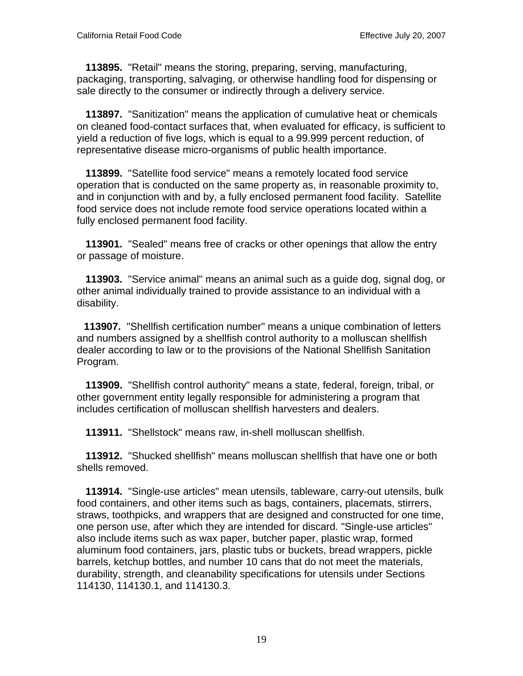**113895.** "Retail" means the storing, preparing, serving, manufacturing, packaging, transporting, salvaging, or otherwise handling food for dispensing or sale directly to the consumer or indirectly through a delivery service.

 **113897.** "Sanitization" means the application of cumulative heat or chemicals on cleaned food-contact surfaces that, when evaluated for efficacy, is sufficient to yield a reduction of five logs, which is equal to a 99.999 percent reduction, of representative disease micro-organisms of public health importance.

 **113899.** "Satellite food service" means a remotely located food service operation that is conducted on the same property as, in reasonable proximity to, and in conjunction with and by, a fully enclosed permanent food facility. Satellite food service does not include remote food service operations located within a fully enclosed permanent food facility.

 **113901.** "Sealed" means free of cracks or other openings that allow the entry or passage of moisture.

 **113903.** "Service animal" means an animal such as a guide dog, signal dog, or other animal individually trained to provide assistance to an individual with a disability.

 **113907.** "Shellfish certification number" means a unique combination of letters and numbers assigned by a shellfish control authority to a molluscan shellfish dealer according to law or to the provisions of the National Shellfish Sanitation Program.

 **113909.** "Shellfish control authority" means a state, federal, foreign, tribal, or other government entity legally responsible for administering a program that includes certification of molluscan shellfish harvesters and dealers.

 **113911.** "Shellstock" means raw, in-shell molluscan shellfish.

 **113912.** "Shucked shellfish" means molluscan shellfish that have one or both shells removed.

 **113914.** "Single-use articles" mean utensils, tableware, carry-out utensils, bulk food containers, and other items such as bags, containers, placemats, stirrers, straws, toothpicks, and wrappers that are designed and constructed for one time, one person use, after which they are intended for discard. "Single-use articles" also include items such as wax paper, butcher paper, plastic wrap, formed aluminum food containers, jars, plastic tubs or buckets, bread wrappers, pickle barrels, ketchup bottles, and number 10 cans that do not meet the materials, durability, strength, and cleanability specifications for utensils under Sections 114130, 114130.1, and 114130.3.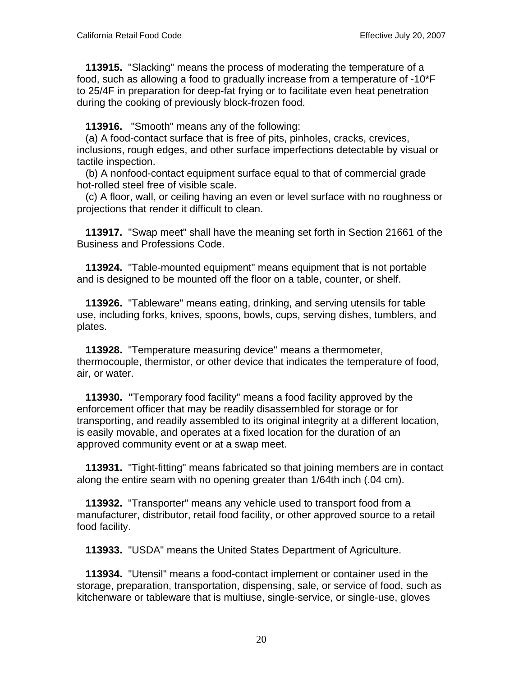**113915.** "Slacking" means the process of moderating the temperature of a food, such as allowing a food to gradually increase from a temperature of -10\*F to 25/4F in preparation for deep-fat frying or to facilitate even heat penetration during the cooking of previously block-frozen food.

**113916.** "Smooth" means any of the following:

 (a) A food-contact surface that is free of pits, pinholes, cracks, crevices, inclusions, rough edges, and other surface imperfections detectable by visual or tactile inspection.

 (b) A nonfood-contact equipment surface equal to that of commercial grade hot-rolled steel free of visible scale.

 (c) A floor, wall, or ceiling having an even or level surface with no roughness or projections that render it difficult to clean.

 **113917.** "Swap meet" shall have the meaning set forth in Section 21661 of the Business and Professions Code.

 **113924.** "Table-mounted equipment" means equipment that is not portable and is designed to be mounted off the floor on a table, counter, or shelf.

 **113926.** "Tableware" means eating, drinking, and serving utensils for table use, including forks, knives, spoons, bowls, cups, serving dishes, tumblers, and plates.

 **113928.** "Temperature measuring device" means a thermometer, thermocouple, thermistor, or other device that indicates the temperature of food, air, or water.

 **113930. "**Temporary food facility" means a food facility approved by the enforcement officer that may be readily disassembled for storage or for transporting, and readily assembled to its original integrity at a different location, is easily movable, and operates at a fixed location for the duration of an approved community event or at a swap meet.

 **113931.** "Tight-fitting" means fabricated so that joining members are in contact along the entire seam with no opening greater than 1/64th inch (.04 cm).

 **113932.** "Transporter" means any vehicle used to transport food from a manufacturer, distributor, retail food facility, or other approved source to a retail food facility.

 **113933.** "USDA" means the United States Department of Agriculture.

 **113934.** "Utensil" means a food-contact implement or container used in the storage, preparation, transportation, dispensing, sale, or service of food, such as kitchenware or tableware that is multiuse, single-service, or single-use, gloves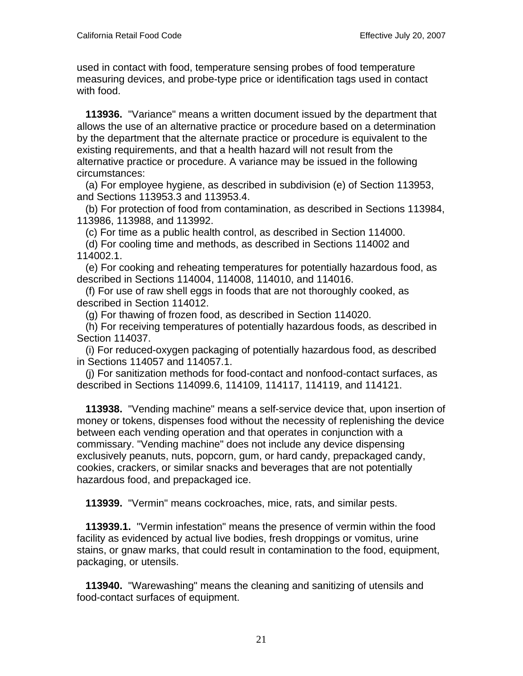used in contact with food, temperature sensing probes of food temperature measuring devices, and probe-type price or identification tags used in contact with food.

 **113936.** "Variance" means a written document issued by the department that allows the use of an alternative practice or procedure based on a determination by the department that the alternate practice or procedure is equivalent to the existing requirements, and that a health hazard will not result from the alternative practice or procedure. A variance may be issued in the following circumstances:

 (a) For employee hygiene, as described in subdivision (e) of Section 113953, and Sections 113953.3 and 113953.4.

 (b) For protection of food from contamination, as described in Sections 113984, 113986, 113988, and 113992.

(c) For time as a public health control, as described in Section 114000.

 (d) For cooling time and methods, as described in Sections 114002 and 114002.1.

 (e) For cooking and reheating temperatures for potentially hazardous food, as described in Sections 114004, 114008, 114010, and 114016.

 (f) For use of raw shell eggs in foods that are not thoroughly cooked, as described in Section 114012.

(g) For thawing of frozen food, as described in Section 114020.

 (h) For receiving temperatures of potentially hazardous foods, as described in Section 114037.

 (i) For reduced-oxygen packaging of potentially hazardous food, as described in Sections 114057 and 114057.1.

 (j) For sanitization methods for food-contact and nonfood-contact surfaces, as described in Sections 114099.6, 114109, 114117, 114119, and 114121.

 **113938.** "Vending machine" means a self-service device that, upon insertion of money or tokens, dispenses food without the necessity of replenishing the device between each vending operation and that operates in conjunction with a commissary. "Vending machine" does not include any device dispensing exclusively peanuts, nuts, popcorn, gum, or hard candy, prepackaged candy, cookies, crackers, or similar snacks and beverages that are not potentially hazardous food, and prepackaged ice.

 **113939.** "Vermin" means cockroaches, mice, rats, and similar pests.

 **113939.1.** "Vermin infestation" means the presence of vermin within the food facility as evidenced by actual live bodies, fresh droppings or vomitus, urine stains, or gnaw marks, that could result in contamination to the food, equipment, packaging, or utensils.

 **113940.** "Warewashing" means the cleaning and sanitizing of utensils and food-contact surfaces of equipment.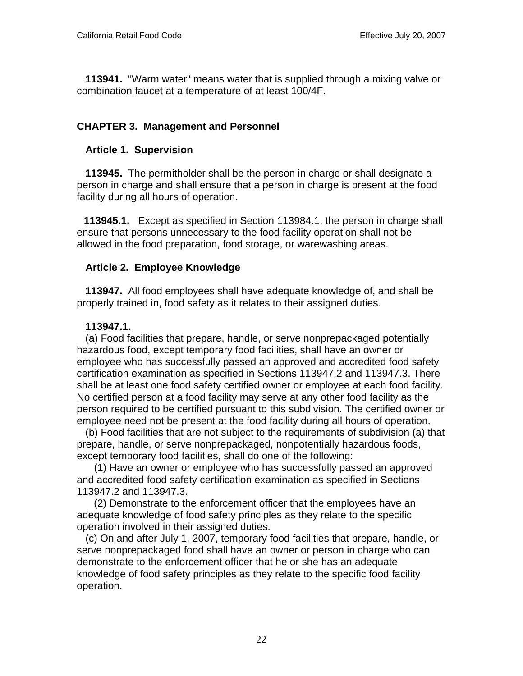**113941.** "Warm water" means water that is supplied through a mixing valve or combination faucet at a temperature of at least 100/4F.

# **CHAPTER 3. Management and Personnel**

### **Article 1. Supervision**

 **113945.** The permitholder shall be the person in charge or shall designate a person in charge and shall ensure that a person in charge is present at the food facility during all hours of operation.

 **113945.1.** Except as specified in Section 113984.1, the person in charge shall ensure that persons unnecessary to the food facility operation shall not be allowed in the food preparation, food storage, or warewashing areas.

#### **Article 2. Employee Knowledge**

 **113947.** All food employees shall have adequate knowledge of, and shall be properly trained in, food safety as it relates to their assigned duties.

#### **113947.1.**

 (a) Food facilities that prepare, handle, or serve nonprepackaged potentially hazardous food, except temporary food facilities, shall have an owner or employee who has successfully passed an approved and accredited food safety certification examination as specified in Sections 113947.2 and 113947.3. There shall be at least one food safety certified owner or employee at each food facility. No certified person at a food facility may serve at any other food facility as the person required to be certified pursuant to this subdivision. The certified owner or employee need not be present at the food facility during all hours of operation.

 (b) Food facilities that are not subject to the requirements of subdivision (a) that prepare, handle, or serve nonprepackaged, nonpotentially hazardous foods, except temporary food facilities, shall do one of the following:

 (1) Have an owner or employee who has successfully passed an approved and accredited food safety certification examination as specified in Sections 113947.2 and 113947.3.

 (2) Demonstrate to the enforcement officer that the employees have an adequate knowledge of food safety principles as they relate to the specific operation involved in their assigned duties.

 (c) On and after July 1, 2007, temporary food facilities that prepare, handle, or serve nonprepackaged food shall have an owner or person in charge who can demonstrate to the enforcement officer that he or she has an adequate knowledge of food safety principles as they relate to the specific food facility operation.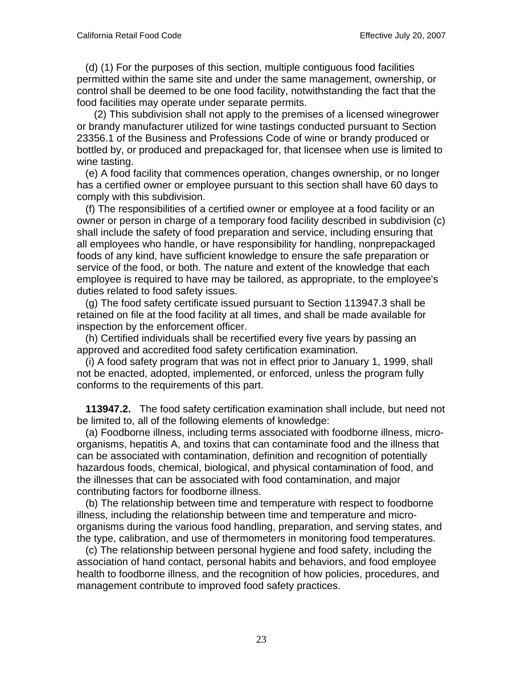(d) (1) For the purposes of this section, multiple contiguous food facilities permitted within the same site and under the same management, ownership, or control shall be deemed to be one food facility, notwithstanding the fact that the food facilities may operate under separate permits.

 (2) This subdivision shall not apply to the premises of a licensed winegrower or brandy manufacturer utilized for wine tastings conducted pursuant to Section 23356.1 of the Business and Professions Code of wine or brandy produced or bottled by, or produced and prepackaged for, that licensee when use is limited to wine tasting.

 (e) A food facility that commences operation, changes ownership, or no longer has a certified owner or employee pursuant to this section shall have 60 days to comply with this subdivision.

 (f) The responsibilities of a certified owner or employee at a food facility or an owner or person in charge of a temporary food facility described in subdivision (c) shall include the safety of food preparation and service, including ensuring that all employees who handle, or have responsibility for handling, nonprepackaged foods of any kind, have sufficient knowledge to ensure the safe preparation or service of the food, or both. The nature and extent of the knowledge that each employee is required to have may be tailored, as appropriate, to the employee's duties related to food safety issues.

 (g) The food safety certificate issued pursuant to Section 113947.3 shall be retained on file at the food facility at all times, and shall be made available for inspection by the enforcement officer.

 (h) Certified individuals shall be recertified every five years by passing an approved and accredited food safety certification examination.

 (i) A food safety program that was not in effect prior to January 1, 1999, shall not be enacted, adopted, implemented, or enforced, unless the program fully conforms to the requirements of this part.

 **113947.2.** The food safety certification examination shall include, but need not be limited to, all of the following elements of knowledge:

 (a) Foodborne illness, including terms associated with foodborne illness, microorganisms, hepatitis A, and toxins that can contaminate food and the illness that can be associated with contamination, definition and recognition of potentially hazardous foods, chemical, biological, and physical contamination of food, and the illnesses that can be associated with food contamination, and major contributing factors for foodborne illness.

 (b) The relationship between time and temperature with respect to foodborne illness, including the relationship between time and temperature and microorganisms during the various food handling, preparation, and serving states, and the type, calibration, and use of thermometers in monitoring food temperatures.

 (c) The relationship between personal hygiene and food safety, including the association of hand contact, personal habits and behaviors, and food employee health to foodborne illness, and the recognition of how policies, procedures, and management contribute to improved food safety practices.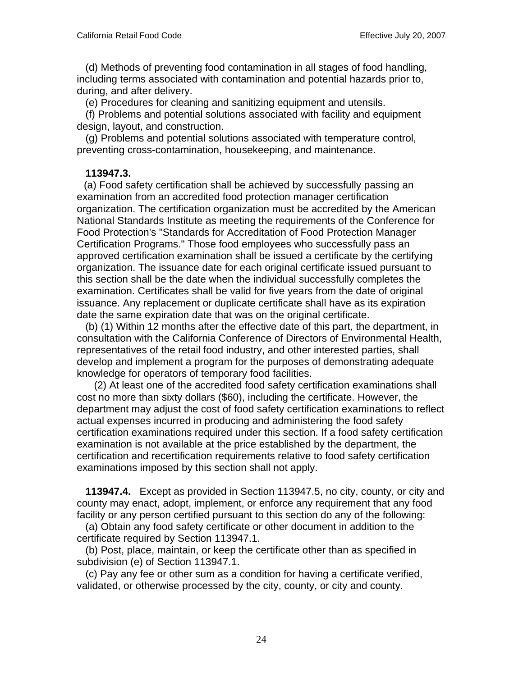(d) Methods of preventing food contamination in all stages of food handling, including terms associated with contamination and potential hazards prior to, during, and after delivery.

(e) Procedures for cleaning and sanitizing equipment and utensils.

 (f) Problems and potential solutions associated with facility and equipment design, layout, and construction.

 (g) Problems and potential solutions associated with temperature control, preventing cross-contamination, housekeeping, and maintenance.

#### **113947.3.**

 (a) Food safety certification shall be achieved by successfully passing an examination from an accredited food protection manager certification organization. The certification organization must be accredited by the American National Standards Institute as meeting the requirements of the Conference for Food Protection's "Standards for Accreditation of Food Protection Manager Certification Programs." Those food employees who successfully pass an approved certification examination shall be issued a certificate by the certifying organization. The issuance date for each original certificate issued pursuant to this section shall be the date when the individual successfully completes the examination. Certificates shall be valid for five years from the date of original issuance. Any replacement or duplicate certificate shall have as its expiration date the same expiration date that was on the original certificate.

 (b) (1) Within 12 months after the effective date of this part, the department, in consultation with the California Conference of Directors of Environmental Health, representatives of the retail food industry, and other interested parties, shall develop and implement a program for the purposes of demonstrating adequate knowledge for operators of temporary food facilities.

 (2) At least one of the accredited food safety certification examinations shall cost no more than sixty dollars (\$60), including the certificate. However, the department may adjust the cost of food safety certification examinations to reflect actual expenses incurred in producing and administering the food safety certification examinations required under this section. If a food safety certification examination is not available at the price established by the department, the certification and recertification requirements relative to food safety certification examinations imposed by this section shall not apply.

 **113947.4.** Except as provided in Section 113947.5, no city, county, or city and county may enact, adopt, implement, or enforce any requirement that any food facility or any person certified pursuant to this section do any of the following:

 (a) Obtain any food safety certificate or other document in addition to the certificate required by Section 113947.1.

 (b) Post, place, maintain, or keep the certificate other than as specified in subdivision (e) of Section 113947.1.

 (c) Pay any fee or other sum as a condition for having a certificate verified, validated, or otherwise processed by the city, county, or city and county.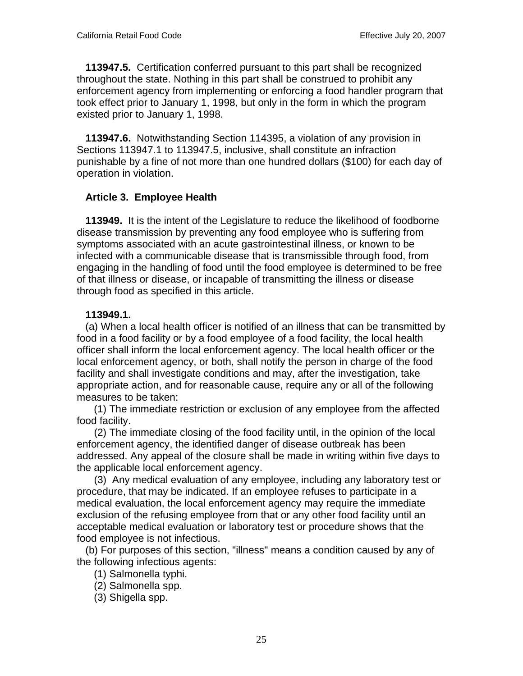**113947.5.** Certification conferred pursuant to this part shall be recognized throughout the state. Nothing in this part shall be construed to prohibit any enforcement agency from implementing or enforcing a food handler program that took effect prior to January 1, 1998, but only in the form in which the program existed prior to January 1, 1998.

 **113947.6.** Notwithstanding Section 114395, a violation of any provision in Sections 113947.1 to 113947.5, inclusive, shall constitute an infraction punishable by a fine of not more than one hundred dollars (\$100) for each day of operation in violation.

#### **Article 3. Employee Health**

 **113949.** It is the intent of the Legislature to reduce the likelihood of foodborne disease transmission by preventing any food employee who is suffering from symptoms associated with an acute gastrointestinal illness, or known to be infected with a communicable disease that is transmissible through food, from engaging in the handling of food until the food employee is determined to be free of that illness or disease, or incapable of transmitting the illness or disease through food as specified in this article.

#### **113949.1.**

 (a) When a local health officer is notified of an illness that can be transmitted by food in a food facility or by a food employee of a food facility, the local health officer shall inform the local enforcement agency. The local health officer or the local enforcement agency, or both, shall notify the person in charge of the food facility and shall investigate conditions and may, after the investigation, take appropriate action, and for reasonable cause, require any or all of the following measures to be taken:

 (1) The immediate restriction or exclusion of any employee from the affected food facility.

 (2) The immediate closing of the food facility until, in the opinion of the local enforcement agency, the identified danger of disease outbreak has been addressed. Any appeal of the closure shall be made in writing within five days to the applicable local enforcement agency.

 (3) Any medical evaluation of any employee, including any laboratory test or procedure, that may be indicated. If an employee refuses to participate in a medical evaluation, the local enforcement agency may require the immediate exclusion of the refusing employee from that or any other food facility until an acceptable medical evaluation or laboratory test or procedure shows that the food employee is not infectious.

 (b) For purposes of this section, "illness" means a condition caused by any of the following infectious agents:

(1) Salmonella typhi.

(2) Salmonella spp.

(3) Shigella spp.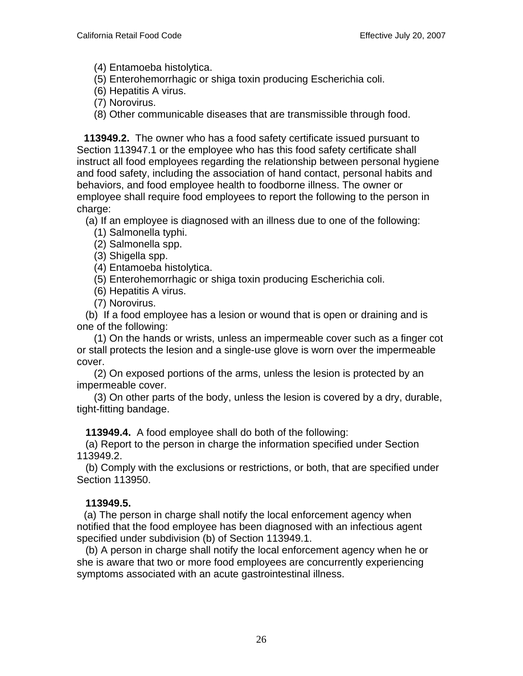- (4) Entamoeba histolytica.
- (5) Enterohemorrhagic or shiga toxin producing Escherichia coli.
- (6) Hepatitis A virus.
- (7) Norovirus.
- (8) Other communicable diseases that are transmissible through food.

 **113949.2.** The owner who has a food safety certificate issued pursuant to Section 113947.1 or the employee who has this food safety certificate shall instruct all food employees regarding the relationship between personal hygiene and food safety, including the association of hand contact, personal habits and behaviors, and food employee health to foodborne illness. The owner or employee shall require food employees to report the following to the person in charge:

- (a) If an employee is diagnosed with an illness due to one of the following:
	- (1) Salmonella typhi.
	- (2) Salmonella spp.
	- (3) Shigella spp.
	- (4) Entamoeba histolytica.
	- (5) Enterohemorrhagic or shiga toxin producing Escherichia coli.
	- (6) Hepatitis A virus.
	- (7) Norovirus.

 (b) If a food employee has a lesion or wound that is open or draining and is one of the following:

 (1) On the hands or wrists, unless an impermeable cover such as a finger cot or stall protects the lesion and a single-use glove is worn over the impermeable cover.

 (2) On exposed portions of the arms, unless the lesion is protected by an impermeable cover.

 (3) On other parts of the body, unless the lesion is covered by a dry, durable, tight-fitting bandage.

 **113949.4.** A food employee shall do both of the following:

 (a) Report to the person in charge the information specified under Section 113949.2.

 (b) Comply with the exclusions or restrictions, or both, that are specified under Section 113950.

# **113949.5.**

 (a) The person in charge shall notify the local enforcement agency when notified that the food employee has been diagnosed with an infectious agent specified under subdivision (b) of Section 113949.1.

 (b) A person in charge shall notify the local enforcement agency when he or she is aware that two or more food employees are concurrently experiencing symptoms associated with an acute gastrointestinal illness.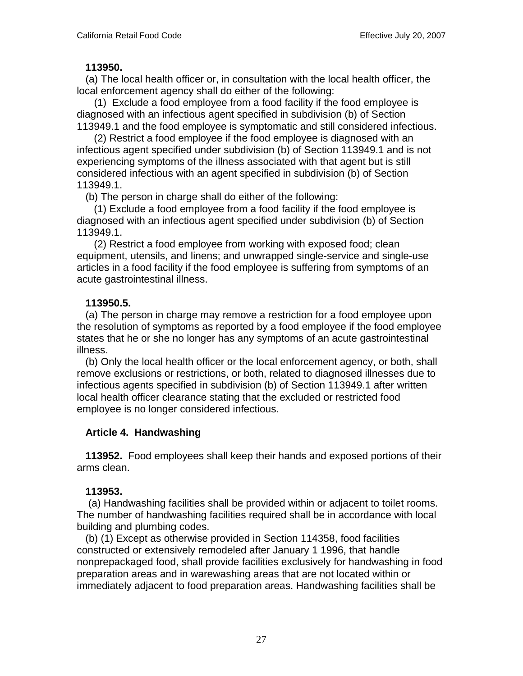#### **113950.**

 (a) The local health officer or, in consultation with the local health officer, the local enforcement agency shall do either of the following:

 (1) Exclude a food employee from a food facility if the food employee is diagnosed with an infectious agent specified in subdivision (b) of Section 113949.1 and the food employee is symptomatic and still considered infectious.

 (2) Restrict a food employee if the food employee is diagnosed with an infectious agent specified under subdivision (b) of Section 113949.1 and is not experiencing symptoms of the illness associated with that agent but is still considered infectious with an agent specified in subdivision (b) of Section 113949.1.

(b) The person in charge shall do either of the following:

 (1) Exclude a food employee from a food facility if the food employee is diagnosed with an infectious agent specified under subdivision (b) of Section 113949.1.

 (2) Restrict a food employee from working with exposed food; clean equipment, utensils, and linens; and unwrapped single-service and single-use articles in a food facility if the food employee is suffering from symptoms of an acute gastrointestinal illness.

#### **113950.5.**

 (a) The person in charge may remove a restriction for a food employee upon the resolution of symptoms as reported by a food employee if the food employee states that he or she no longer has any symptoms of an acute gastrointestinal illness.

 (b) Only the local health officer or the local enforcement agency, or both, shall remove exclusions or restrictions, or both, related to diagnosed illnesses due to infectious agents specified in subdivision (b) of Section 113949.1 after written local health officer clearance stating that the excluded or restricted food employee is no longer considered infectious.

# **Article 4. Handwashing**

 **113952.** Food employees shall keep their hands and exposed portions of their arms clean.

#### **113953.**

 (a) Handwashing facilities shall be provided within or adjacent to toilet rooms. The number of handwashing facilities required shall be in accordance with local building and plumbing codes.

 (b) (1) Except as otherwise provided in Section 114358, food facilities constructed or extensively remodeled after January 1 1996, that handle nonprepackaged food, shall provide facilities exclusively for handwashing in food preparation areas and in warewashing areas that are not located within or immediately adjacent to food preparation areas. Handwashing facilities shall be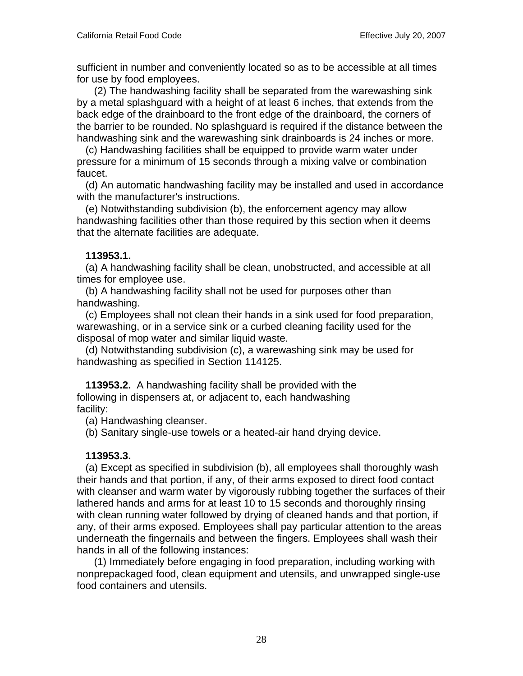sufficient in number and conveniently located so as to be accessible at all times for use by food employees.

 (2) The handwashing facility shall be separated from the warewashing sink by a metal splashguard with a height of at least 6 inches, that extends from the back edge of the drainboard to the front edge of the drainboard, the corners of the barrier to be rounded. No splashguard is required if the distance between the handwashing sink and the warewashing sink drainboards is 24 inches or more.

 (c) Handwashing facilities shall be equipped to provide warm water under pressure for a minimum of 15 seconds through a mixing valve or combination faucet.

 (d) An automatic handwashing facility may be installed and used in accordance with the manufacturer's instructions.

 (e) Notwithstanding subdivision (b), the enforcement agency may allow handwashing facilities other than those required by this section when it deems that the alternate facilities are adequate.

#### **113953.1.**

 (a) A handwashing facility shall be clean, unobstructed, and accessible at all times for employee use.

 (b) A handwashing facility shall not be used for purposes other than handwashing.

 (c) Employees shall not clean their hands in a sink used for food preparation, warewashing, or in a service sink or a curbed cleaning facility used for the disposal of mop water and similar liquid waste.

 (d) Notwithstanding subdivision (c), a warewashing sink may be used for handwashing as specified in Section 114125.

 **113953.2.** A handwashing facility shall be provided with the following in dispensers at, or adjacent to, each handwashing facility:

(a) Handwashing cleanser.

(b) Sanitary single-use towels or a heated-air hand drying device.

# **113953.3.**

 (a) Except as specified in subdivision (b), all employees shall thoroughly wash their hands and that portion, if any, of their arms exposed to direct food contact with cleanser and warm water by vigorously rubbing together the surfaces of their lathered hands and arms for at least 10 to 15 seconds and thoroughly rinsing with clean running water followed by drying of cleaned hands and that portion, if any, of their arms exposed. Employees shall pay particular attention to the areas underneath the fingernails and between the fingers. Employees shall wash their hands in all of the following instances:

 (1) Immediately before engaging in food preparation, including working with nonprepackaged food, clean equipment and utensils, and unwrapped single-use food containers and utensils.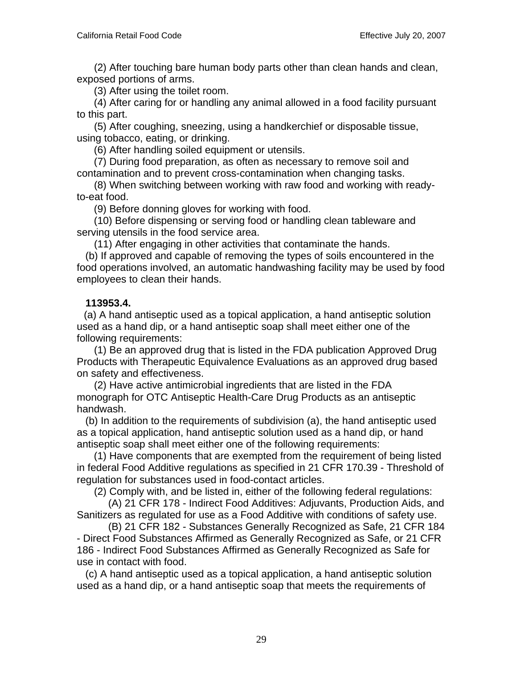(2) After touching bare human body parts other than clean hands and clean, exposed portions of arms.

(3) After using the toilet room.

 (4) After caring for or handling any animal allowed in a food facility pursuant to this part.

 (5) After coughing, sneezing, using a handkerchief or disposable tissue, using tobacco, eating, or drinking.

(6) After handling soiled equipment or utensils.

 (7) During food preparation, as often as necessary to remove soil and contamination and to prevent cross-contamination when changing tasks.

 (8) When switching between working with raw food and working with readyto-eat food.

(9) Before donning gloves for working with food.

 (10) Before dispensing or serving food or handling clean tableware and serving utensils in the food service area.

(11) After engaging in other activities that contaminate the hands.

 (b) If approved and capable of removing the types of soils encountered in the food operations involved, an automatic handwashing facility may be used by food employees to clean their hands.

#### **113953.4.**

 (a) A hand antiseptic used as a topical application, a hand antiseptic solution used as a hand dip, or a hand antiseptic soap shall meet either one of the following requirements:

 (1) Be an approved drug that is listed in the FDA publication Approved Drug Products with Therapeutic Equivalence Evaluations as an approved drug based on safety and effectiveness.

 (2) Have active antimicrobial ingredients that are listed in the FDA monograph for OTC Antiseptic Health-Care Drug Products as an antiseptic handwash.

 (b) In addition to the requirements of subdivision (a), the hand antiseptic used as a topical application, hand antiseptic solution used as a hand dip, or hand antiseptic soap shall meet either one of the following requirements:

 (1) Have components that are exempted from the requirement of being listed in federal Food Additive regulations as specified in 21 CFR 170.39 - Threshold of regulation for substances used in food-contact articles.

(2) Comply with, and be listed in, either of the following federal regulations:

 (A) 21 CFR 178 - Indirect Food Additives: Adjuvants, Production Aids, and Sanitizers as regulated for use as a Food Additive with conditions of safety use.

 (B) 21 CFR 182 - Substances Generally Recognized as Safe, 21 CFR 184 - Direct Food Substances Affirmed as Generally Recognized as Safe, or 21 CFR 186 - Indirect Food Substances Affirmed as Generally Recognized as Safe for use in contact with food.

 (c) A hand antiseptic used as a topical application, a hand antiseptic solution used as a hand dip, or a hand antiseptic soap that meets the requirements of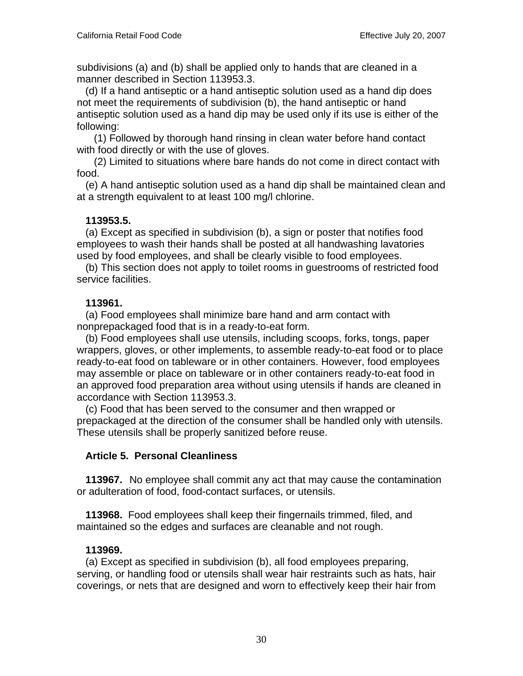subdivisions (a) and (b) shall be applied only to hands that are cleaned in a manner described in Section 113953.3.

 (d) If a hand antiseptic or a hand antiseptic solution used as a hand dip does not meet the requirements of subdivision (b), the hand antiseptic or hand antiseptic solution used as a hand dip may be used only if its use is either of the following:

 (1) Followed by thorough hand rinsing in clean water before hand contact with food directly or with the use of gloves.

 (2) Limited to situations where bare hands do not come in direct contact with food.

 (e) A hand antiseptic solution used as a hand dip shall be maintained clean and at a strength equivalent to at least 100 mg/l chlorine.

#### **113953.5.**

 (a) Except as specified in subdivision (b), a sign or poster that notifies food employees to wash their hands shall be posted at all handwashing lavatories used by food employees, and shall be clearly visible to food employees.

 (b) This section does not apply to toilet rooms in guestrooms of restricted food service facilities.

#### **113961.**

 (a) Food employees shall minimize bare hand and arm contact with nonprepackaged food that is in a ready-to-eat form.

 (b) Food employees shall use utensils, including scoops, forks, tongs, paper wrappers, gloves, or other implements, to assemble ready-to-eat food or to place ready-to-eat food on tableware or in other containers. However, food employees may assemble or place on tableware or in other containers ready-to-eat food in an approved food preparation area without using utensils if hands are cleaned in accordance with Section 113953.3.

 (c) Food that has been served to the consumer and then wrapped or prepackaged at the direction of the consumer shall be handled only with utensils. These utensils shall be properly sanitized before reuse.

# **Article 5. Personal Cleanliness**

 **113967.** No employee shall commit any act that may cause the contamination or adulteration of food, food-contact surfaces, or utensils.

 **113968.** Food employees shall keep their fingernails trimmed, filed, and maintained so the edges and surfaces are cleanable and not rough.

# **113969.**

 (a) Except as specified in subdivision (b), all food employees preparing, serving, or handling food or utensils shall wear hair restraints such as hats, hair coverings, or nets that are designed and worn to effectively keep their hair from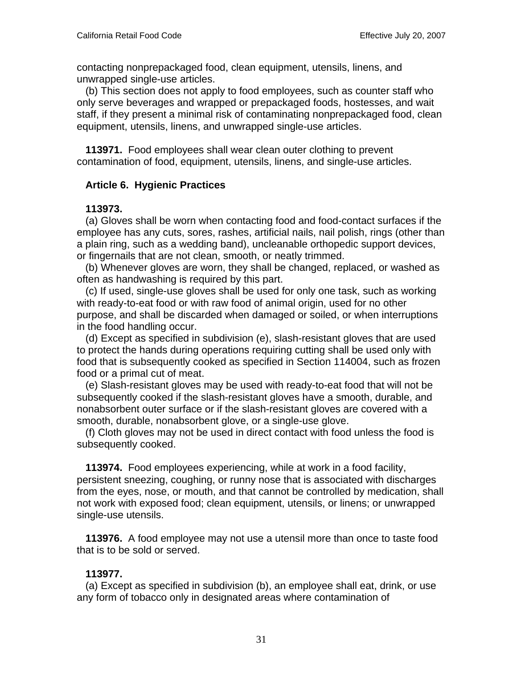contacting nonprepackaged food, clean equipment, utensils, linens, and unwrapped single-use articles.

 (b) This section does not apply to food employees, such as counter staff who only serve beverages and wrapped or prepackaged foods, hostesses, and wait staff, if they present a minimal risk of contaminating nonprepackaged food, clean equipment, utensils, linens, and unwrapped single-use articles.

 **113971.** Food employees shall wear clean outer clothing to prevent contamination of food, equipment, utensils, linens, and single-use articles.

# **Article 6. Hygienic Practices**

#### **113973.**

 (a) Gloves shall be worn when contacting food and food-contact surfaces if the employee has any cuts, sores, rashes, artificial nails, nail polish, rings (other than a plain ring, such as a wedding band), uncleanable orthopedic support devices, or fingernails that are not clean, smooth, or neatly trimmed.

 (b) Whenever gloves are worn, they shall be changed, replaced, or washed as often as handwashing is required by this part.

 (c) If used, single-use gloves shall be used for only one task, such as working with ready-to-eat food or with raw food of animal origin, used for no other purpose, and shall be discarded when damaged or soiled, or when interruptions in the food handling occur.

 (d) Except as specified in subdivision (e), slash-resistant gloves that are used to protect the hands during operations requiring cutting shall be used only with food that is subsequently cooked as specified in Section 114004, such as frozen food or a primal cut of meat.

 (e) Slash-resistant gloves may be used with ready-to-eat food that will not be subsequently cooked if the slash-resistant gloves have a smooth, durable, and nonabsorbent outer surface or if the slash-resistant gloves are covered with a smooth, durable, nonabsorbent glove, or a single-use glove.

 (f) Cloth gloves may not be used in direct contact with food unless the food is subsequently cooked.

 **113974.** Food employees experiencing, while at work in a food facility, persistent sneezing, coughing, or runny nose that is associated with discharges from the eyes, nose, or mouth, and that cannot be controlled by medication, shall not work with exposed food; clean equipment, utensils, or linens; or unwrapped single-use utensils.

 **113976.** A food employee may not use a utensil more than once to taste food that is to be sold or served.

# **113977.**

 (a) Except as specified in subdivision (b), an employee shall eat, drink, or use any form of tobacco only in designated areas where contamination of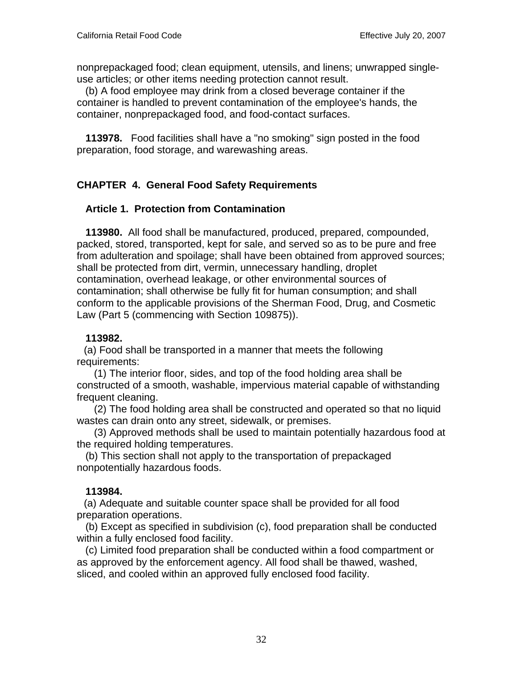nonprepackaged food; clean equipment, utensils, and linens; unwrapped singleuse articles; or other items needing protection cannot result.

 (b) A food employee may drink from a closed beverage container if the container is handled to prevent contamination of the employee's hands, the container, nonprepackaged food, and food-contact surfaces.

 **113978.** Food facilities shall have a "no smoking" sign posted in the food preparation, food storage, and warewashing areas.

# **CHAPTER 4. General Food Safety Requirements**

#### **Article 1. Protection from Contamination**

 **113980.** All food shall be manufactured, produced, prepared, compounded, packed, stored, transported, kept for sale, and served so as to be pure and free from adulteration and spoilage; shall have been obtained from approved sources; shall be protected from dirt, vermin, unnecessary handling, droplet contamination, overhead leakage, or other environmental sources of contamination; shall otherwise be fully fit for human consumption; and shall conform to the applicable provisions of the Sherman Food, Drug, and Cosmetic Law (Part 5 (commencing with Section 109875)).

#### **113982.**

 (a) Food shall be transported in a manner that meets the following requirements:

 (1) The interior floor, sides, and top of the food holding area shall be constructed of a smooth, washable, impervious material capable of withstanding frequent cleaning.

 (2) The food holding area shall be constructed and operated so that no liquid wastes can drain onto any street, sidewalk, or premises.

 (3) Approved methods shall be used to maintain potentially hazardous food at the required holding temperatures.

 (b) This section shall not apply to the transportation of prepackaged nonpotentially hazardous foods.

# **113984.**

 (a) Adequate and suitable counter space shall be provided for all food preparation operations.

 (b) Except as specified in subdivision (c), food preparation shall be conducted within a fully enclosed food facility.

 (c) Limited food preparation shall be conducted within a food compartment or as approved by the enforcement agency. All food shall be thawed, washed, sliced, and cooled within an approved fully enclosed food facility.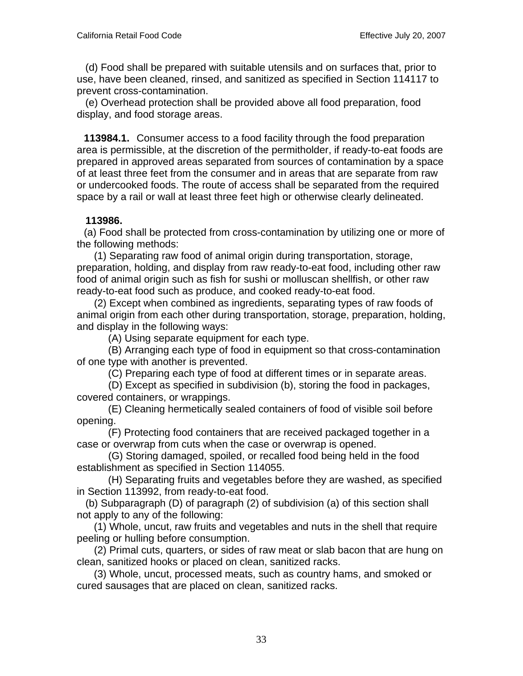(d) Food shall be prepared with suitable utensils and on surfaces that, prior to use, have been cleaned, rinsed, and sanitized as specified in Section 114117 to prevent cross-contamination.

 (e) Overhead protection shall be provided above all food preparation, food display, and food storage areas.

 **113984.1.** Consumer access to a food facility through the food preparation area is permissible, at the discretion of the permitholder, if ready-to-eat foods are prepared in approved areas separated from sources of contamination by a space of at least three feet from the consumer and in areas that are separate from raw or undercooked foods. The route of access shall be separated from the required space by a rail or wall at least three feet high or otherwise clearly delineated.

#### **113986.**

 (a) Food shall be protected from cross-contamination by utilizing one or more of the following methods:

 (1) Separating raw food of animal origin during transportation, storage, preparation, holding, and display from raw ready-to-eat food, including other raw food of animal origin such as fish for sushi or molluscan shellfish, or other raw ready-to-eat food such as produce, and cooked ready-to-eat food.

 (2) Except when combined as ingredients, separating types of raw foods of animal origin from each other during transportation, storage, preparation, holding, and display in the following ways:

(A) Using separate equipment for each type.

 (B) Arranging each type of food in equipment so that cross-contamination of one type with another is prevented.

(C) Preparing each type of food at different times or in separate areas.

 (D) Except as specified in subdivision (b), storing the food in packages, covered containers, or wrappings.

 (E) Cleaning hermetically sealed containers of food of visible soil before opening.

 (F) Protecting food containers that are received packaged together in a case or overwrap from cuts when the case or overwrap is opened.

 (G) Storing damaged, spoiled, or recalled food being held in the food establishment as specified in Section 114055.

 (H) Separating fruits and vegetables before they are washed, as specified in Section 113992, from ready-to-eat food.

 (b) Subparagraph (D) of paragraph (2) of subdivision (a) of this section shall not apply to any of the following:

 (1) Whole, uncut, raw fruits and vegetables and nuts in the shell that require peeling or hulling before consumption.

 (2) Primal cuts, quarters, or sides of raw meat or slab bacon that are hung on clean, sanitized hooks or placed on clean, sanitized racks.

 (3) Whole, uncut, processed meats, such as country hams, and smoked or cured sausages that are placed on clean, sanitized racks.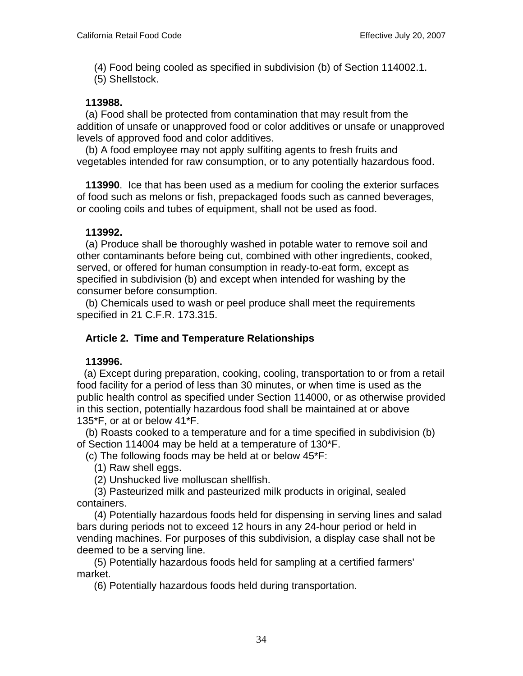(4) Food being cooled as specified in subdivision (b) of Section 114002.1.

(5) Shellstock.

# **113988.**

 (a) Food shall be protected from contamination that may result from the addition of unsafe or unapproved food or color additives or unsafe or unapproved levels of approved food and color additives.

 (b) A food employee may not apply sulfiting agents to fresh fruits and vegetables intended for raw consumption, or to any potentially hazardous food.

 **113990**. Ice that has been used as a medium for cooling the exterior surfaces of food such as melons or fish, prepackaged foods such as canned beverages, or cooling coils and tubes of equipment, shall not be used as food.

# **113992.**

 (a) Produce shall be thoroughly washed in potable water to remove soil and other contaminants before being cut, combined with other ingredients, cooked, served, or offered for human consumption in ready-to-eat form, except as specified in subdivision (b) and except when intended for washing by the consumer before consumption.

 (b) Chemicals used to wash or peel produce shall meet the requirements specified in 21 C.F.R. 173.315.

# **Article 2. Time and Temperature Relationships**

# **113996.**

 (a) Except during preparation, cooking, cooling, transportation to or from a retail food facility for a period of less than 30 minutes, or when time is used as the public health control as specified under Section 114000, or as otherwise provided in this section, potentially hazardous food shall be maintained at or above 135\*F, or at or below 41\*F.

 (b) Roasts cooked to a temperature and for a time specified in subdivision (b) of Section 114004 may be held at a temperature of 130\*F.

(c) The following foods may be held at or below 45\*F:

(1) Raw shell eggs.

(2) Unshucked live molluscan shellfish.

 (3) Pasteurized milk and pasteurized milk products in original, sealed containers.

 (4) Potentially hazardous foods held for dispensing in serving lines and salad bars during periods not to exceed 12 hours in any 24-hour period or held in vending machines. For purposes of this subdivision, a display case shall not be deemed to be a serving line.

 (5) Potentially hazardous foods held for sampling at a certified farmers' market.

(6) Potentially hazardous foods held during transportation.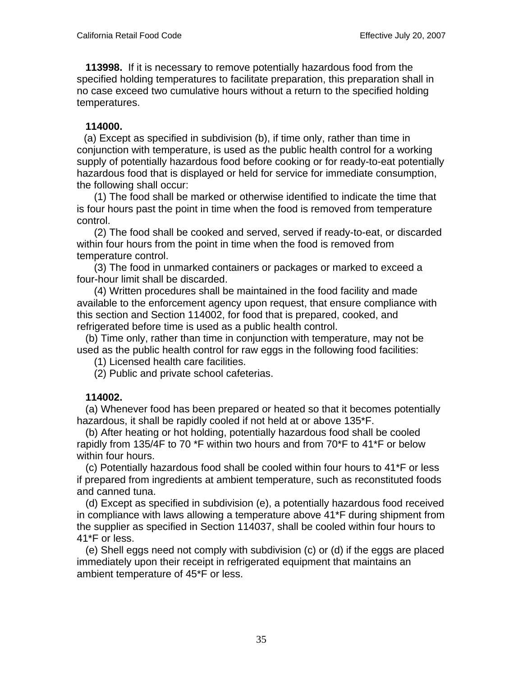**113998.** If it is necessary to remove potentially hazardous food from the specified holding temperatures to facilitate preparation, this preparation shall in no case exceed two cumulative hours without a return to the specified holding temperatures.

#### **114000.**

 (a) Except as specified in subdivision (b), if time only, rather than time in conjunction with temperature, is used as the public health control for a working supply of potentially hazardous food before cooking or for ready-to-eat potentially hazardous food that is displayed or held for service for immediate consumption, the following shall occur:

 (1) The food shall be marked or otherwise identified to indicate the time that is four hours past the point in time when the food is removed from temperature control.

 (2) The food shall be cooked and served, served if ready-to-eat, or discarded within four hours from the point in time when the food is removed from temperature control.

 (3) The food in unmarked containers or packages or marked to exceed a four-hour limit shall be discarded.

 (4) Written procedures shall be maintained in the food facility and made available to the enforcement agency upon request, that ensure compliance with this section and Section 114002, for food that is prepared, cooked, and refrigerated before time is used as a public health control.

 (b) Time only, rather than time in conjunction with temperature, may not be used as the public health control for raw eggs in the following food facilities:

(1) Licensed health care facilities.

(2) Public and private school cafeterias.

#### **114002.**

 (a) Whenever food has been prepared or heated so that it becomes potentially hazardous, it shall be rapidly cooled if not held at or above 135\*F.

 (b) After heating or hot holding, potentially hazardous food shall be cooled rapidly from 135/4F to 70 \*F within two hours and from 70\*F to 41\*F or below within four hours.

 (c) Potentially hazardous food shall be cooled within four hours to 41\*F or less if prepared from ingredients at ambient temperature, such as reconstituted foods and canned tuna.

 (d) Except as specified in subdivision (e), a potentially hazardous food received in compliance with laws allowing a temperature above 41\*F during shipment from the supplier as specified in Section 114037, shall be cooled within four hours to 41\*F or less.

 (e) Shell eggs need not comply with subdivision (c) or (d) if the eggs are placed immediately upon their receipt in refrigerated equipment that maintains an ambient temperature of 45\*F or less.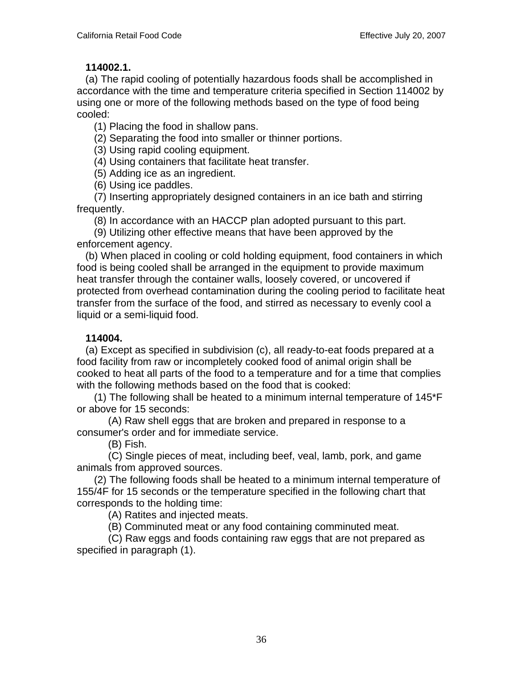#### **114002.1.**

 (a) The rapid cooling of potentially hazardous foods shall be accomplished in accordance with the time and temperature criteria specified in Section 114002 by using one or more of the following methods based on the type of food being cooled:

(1) Placing the food in shallow pans.

(2) Separating the food into smaller or thinner portions.

(3) Using rapid cooling equipment.

(4) Using containers that facilitate heat transfer.

(5) Adding ice as an ingredient.

(6) Using ice paddles.

 (7) Inserting appropriately designed containers in an ice bath and stirring frequently.

(8) In accordance with an HACCP plan adopted pursuant to this part.

 (9) Utilizing other effective means that have been approved by the enforcement agency.

 (b) When placed in cooling or cold holding equipment, food containers in which food is being cooled shall be arranged in the equipment to provide maximum heat transfer through the container walls, loosely covered, or uncovered if protected from overhead contamination during the cooling period to facilitate heat transfer from the surface of the food, and stirred as necessary to evenly cool a liquid or a semi-liquid food.

# **114004.**

 (a) Except as specified in subdivision (c), all ready-to-eat foods prepared at a food facility from raw or incompletely cooked food of animal origin shall be cooked to heat all parts of the food to a temperature and for a time that complies with the following methods based on the food that is cooked:

 (1) The following shall be heated to a minimum internal temperature of 145\*F or above for 15 seconds:

 (A) Raw shell eggs that are broken and prepared in response to a consumer's order and for immediate service.

(B) Fish.

 (C) Single pieces of meat, including beef, veal, lamb, pork, and game animals from approved sources.

 (2) The following foods shall be heated to a minimum internal temperature of 155/4F for 15 seconds or the temperature specified in the following chart that corresponds to the holding time:

(A) Ratites and injected meats.

(B) Comminuted meat or any food containing comminuted meat.

 (C) Raw eggs and foods containing raw eggs that are not prepared as specified in paragraph (1).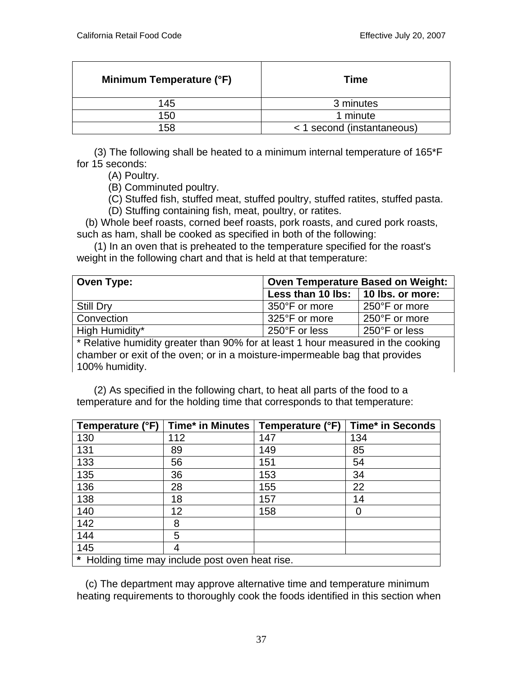| Minimum Temperature (°F) | <b>Time</b>                |  |
|--------------------------|----------------------------|--|
| 145                      | 3 minutes                  |  |
| 150                      | 1 minute                   |  |
| 158                      | < 1 second (instantaneous) |  |

 (3) The following shall be heated to a minimum internal temperature of 165\*F for 15 seconds:

(A) Poultry.

(B) Comminuted poultry.

 (C) Stuffed fish, stuffed meat, stuffed poultry, stuffed ratites, stuffed pasta. (D) Stuffing containing fish, meat, poultry, or ratites.

 (b) Whole beef roasts, corned beef roasts, pork roasts, and cured pork roasts, such as ham, shall be cooked as specified in both of the following:

 (1) In an oven that is preheated to the temperature specified for the roast's weight in the following chart and that is held at that temperature:

| <b>Oven Type:</b> | <b>Oven Temperature Based on Weight:</b> |               |
|-------------------|------------------------------------------|---------------|
|                   | Less than 10 lbs:   10 lbs. or more:     |               |
| <b>Still Dry</b>  | 350°F or more                            | 250°F or more |
| Convection        | 325°F or more                            | 250°F or more |
| High Humidity*    | 250°F or less                            | 250°F or less |

\* Relative humidity greater than 90% for at least 1 hour measured in the cooking chamber or exit of the oven; or in a moisture-impermeable bag that provides 100% humidity.

 (2) As specified in the following chart, to heat all parts of the food to a temperature and for the holding time that corresponds to that temperature:

| Temperature (°F)                                | Time* in Minutes   Temperature (°F) |     | Time* in Seconds |
|-------------------------------------------------|-------------------------------------|-----|------------------|
| 130                                             | 112                                 | 147 | 134              |
| 131                                             | 89                                  | 149 | 85               |
| 133                                             | 56                                  | 151 | 54               |
| 135                                             | 36                                  | 153 | 34               |
| 136                                             | 28                                  | 155 | 22               |
| 138                                             | 18                                  | 157 | 14               |
| 140                                             | 12                                  | 158 | 0                |
| 142                                             | 8                                   |     |                  |
| 144                                             | 5                                   |     |                  |
| 145                                             |                                     |     |                  |
| * Holding time may include post oven heat rise. |                                     |     |                  |

 (c) The department may approve alternative time and temperature minimum heating requirements to thoroughly cook the foods identified in this section when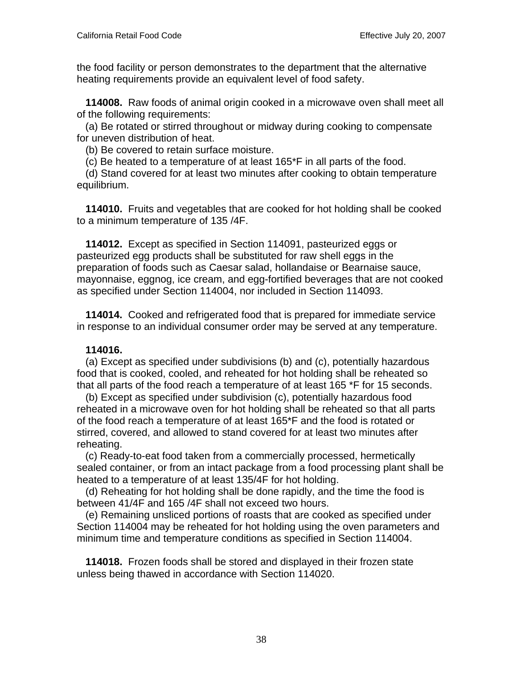the food facility or person demonstrates to the department that the alternative heating requirements provide an equivalent level of food safety.

 **114008.** Raw foods of animal origin cooked in a microwave oven shall meet all of the following requirements:

 (a) Be rotated or stirred throughout or midway during cooking to compensate for uneven distribution of heat.

(b) Be covered to retain surface moisture.

(c) Be heated to a temperature of at least 165\*F in all parts of the food.

 (d) Stand covered for at least two minutes after cooking to obtain temperature equilibrium.

 **114010.** Fruits and vegetables that are cooked for hot holding shall be cooked to a minimum temperature of 135 /4F.

 **114012.** Except as specified in Section 114091, pasteurized eggs or pasteurized egg products shall be substituted for raw shell eggs in the preparation of foods such as Caesar salad, hollandaise or Bearnaise sauce, mayonnaise, eggnog, ice cream, and egg-fortified beverages that are not cooked as specified under Section 114004, nor included in Section 114093.

 **114014.** Cooked and refrigerated food that is prepared for immediate service in response to an individual consumer order may be served at any temperature.

### **114016.**

 (a) Except as specified under subdivisions (b) and (c), potentially hazardous food that is cooked, cooled, and reheated for hot holding shall be reheated so that all parts of the food reach a temperature of at least 165 \*F for 15 seconds.

 (b) Except as specified under subdivision (c), potentially hazardous food reheated in a microwave oven for hot holding shall be reheated so that all parts of the food reach a temperature of at least 165\*F and the food is rotated or stirred, covered, and allowed to stand covered for at least two minutes after reheating.

 (c) Ready-to-eat food taken from a commercially processed, hermetically sealed container, or from an intact package from a food processing plant shall be heated to a temperature of at least 135/4F for hot holding.

 (d) Reheating for hot holding shall be done rapidly, and the time the food is between 41/4F and 165 /4F shall not exceed two hours.

 (e) Remaining unsliced portions of roasts that are cooked as specified under Section 114004 may be reheated for hot holding using the oven parameters and minimum time and temperature conditions as specified in Section 114004.

 **114018.** Frozen foods shall be stored and displayed in their frozen state unless being thawed in accordance with Section 114020.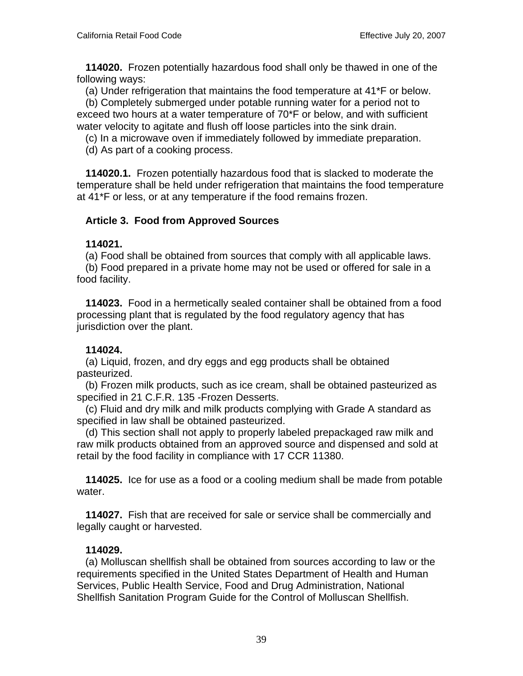**114020.** Frozen potentially hazardous food shall only be thawed in one of the following ways:

(a) Under refrigeration that maintains the food temperature at 41\*F or below.

 (b) Completely submerged under potable running water for a period not to exceed two hours at a water temperature of 70\*F or below, and with sufficient water velocity to agitate and flush off loose particles into the sink drain.

(c) In a microwave oven if immediately followed by immediate preparation.

(d) As part of a cooking process.

 **114020.1.** Frozen potentially hazardous food that is slacked to moderate the temperature shall be held under refrigeration that maintains the food temperature at 41\*F or less, or at any temperature if the food remains frozen.

# **Article 3. Food from Approved Sources**

### **114021.**

(a) Food shall be obtained from sources that comply with all applicable laws.

 (b) Food prepared in a private home may not be used or offered for sale in a food facility.

 **114023.** Food in a hermetically sealed container shall be obtained from a food processing plant that is regulated by the food regulatory agency that has jurisdiction over the plant.

# **114024.**

 (a) Liquid, frozen, and dry eggs and egg products shall be obtained pasteurized.

 (b) Frozen milk products, such as ice cream, shall be obtained pasteurized as specified in 21 C.F.R. 135 -Frozen Desserts.

 (c) Fluid and dry milk and milk products complying with Grade A standard as specified in law shall be obtained pasteurized.

 (d) This section shall not apply to properly labeled prepackaged raw milk and raw milk products obtained from an approved source and dispensed and sold at retail by the food facility in compliance with 17 CCR 11380.

 **114025.** Ice for use as a food or a cooling medium shall be made from potable water.

 **114027.** Fish that are received for sale or service shall be commercially and legally caught or harvested.

# **114029.**

 (a) Molluscan shellfish shall be obtained from sources according to law or the requirements specified in the United States Department of Health and Human Services, Public Health Service, Food and Drug Administration, National Shellfish Sanitation Program Guide for the Control of Molluscan Shellfish.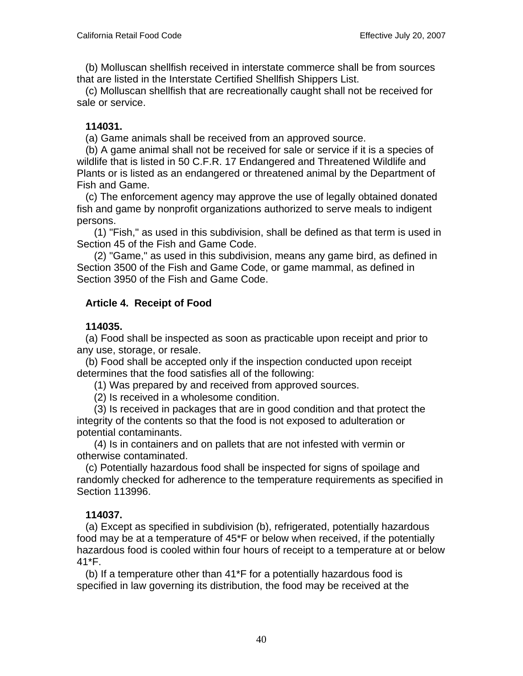(b) Molluscan shellfish received in interstate commerce shall be from sources that are listed in the Interstate Certified Shellfish Shippers List.

 (c) Molluscan shellfish that are recreationally caught shall not be received for sale or service.

### **114031.**

(a) Game animals shall be received from an approved source.

 (b) A game animal shall not be received for sale or service if it is a species of wildlife that is listed in 50 C.F.R. 17 Endangered and Threatened Wildlife and Plants or is listed as an endangered or threatened animal by the Department of Fish and Game.

 (c) The enforcement agency may approve the use of legally obtained donated fish and game by nonprofit organizations authorized to serve meals to indigent persons.

 (1) "Fish," as used in this subdivision, shall be defined as that term is used in Section 45 of the Fish and Game Code.

 (2) "Game," as used in this subdivision, means any game bird, as defined in Section 3500 of the Fish and Game Code, or game mammal, as defined in Section 3950 of the Fish and Game Code.

# **Article 4. Receipt of Food**

### **114035.**

 (a) Food shall be inspected as soon as practicable upon receipt and prior to any use, storage, or resale.

 (b) Food shall be accepted only if the inspection conducted upon receipt determines that the food satisfies all of the following:

(1) Was prepared by and received from approved sources.

(2) Is received in a wholesome condition.

 (3) Is received in packages that are in good condition and that protect the integrity of the contents so that the food is not exposed to adulteration or potential contaminants.

 (4) Is in containers and on pallets that are not infested with vermin or otherwise contaminated.

 (c) Potentially hazardous food shall be inspected for signs of spoilage and randomly checked for adherence to the temperature requirements as specified in Section 113996.

### **114037.**

 (a) Except as specified in subdivision (b), refrigerated, potentially hazardous food may be at a temperature of 45\*F or below when received, if the potentially hazardous food is cooled within four hours of receipt to a temperature at or below 41\*F.

 (b) If a temperature other than 41\*F for a potentially hazardous food is specified in law governing its distribution, the food may be received at the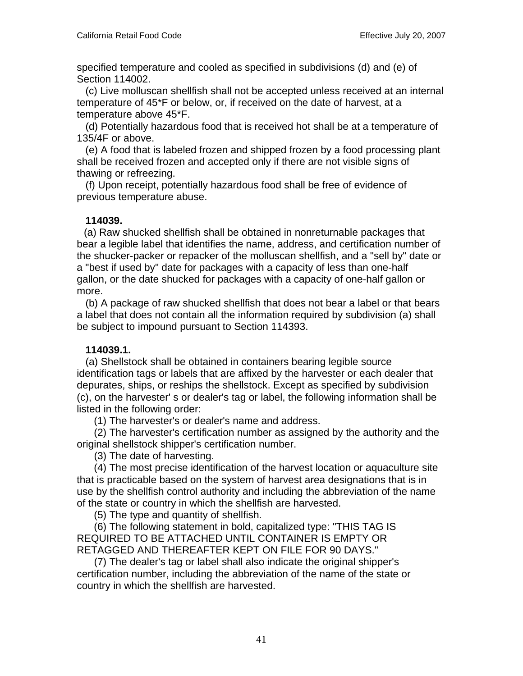specified temperature and cooled as specified in subdivisions (d) and (e) of Section 114002.

 (c) Live molluscan shellfish shall not be accepted unless received at an internal temperature of 45\*F or below, or, if received on the date of harvest, at a temperature above 45\*F.

 (d) Potentially hazardous food that is received hot shall be at a temperature of 135/4F or above.

 (e) A food that is labeled frozen and shipped frozen by a food processing plant shall be received frozen and accepted only if there are not visible signs of thawing or refreezing.

 (f) Upon receipt, potentially hazardous food shall be free of evidence of previous temperature abuse.

### **114039.**

 (a) Raw shucked shellfish shall be obtained in nonreturnable packages that bear a legible label that identifies the name, address, and certification number of the shucker-packer or repacker of the molluscan shellfish, and a "sell by" date or a "best if used by" date for packages with a capacity of less than one-half gallon, or the date shucked for packages with a capacity of one-half gallon or more.

 (b) A package of raw shucked shellfish that does not bear a label or that bears a label that does not contain all the information required by subdivision (a) shall be subject to impound pursuant to Section 114393.

# **114039.1.**

 (a) Shellstock shall be obtained in containers bearing legible source identification tags or labels that are affixed by the harvester or each dealer that depurates, ships, or reships the shellstock. Except as specified by subdivision (c), on the harvester' s or dealer's tag or label, the following information shall be listed in the following order:

(1) The harvester's or dealer's name and address.

 (2) The harvester's certification number as assigned by the authority and the original shellstock shipper's certification number.

(3) The date of harvesting.

 (4) The most precise identification of the harvest location or aquaculture site that is practicable based on the system of harvest area designations that is in use by the shellfish control authority and including the abbreviation of the name of the state or country in which the shellfish are harvested.

(5) The type and quantity of shellfish.

 (6) The following statement in bold, capitalized type: "THIS TAG IS REQUIRED TO BE ATTACHED UNTIL CONTAINER IS EMPTY OR RETAGGED AND THEREAFTER KEPT ON FILE FOR 90 DAYS."

 (7) The dealer's tag or label shall also indicate the original shipper's certification number, including the abbreviation of the name of the state or country in which the shellfish are harvested.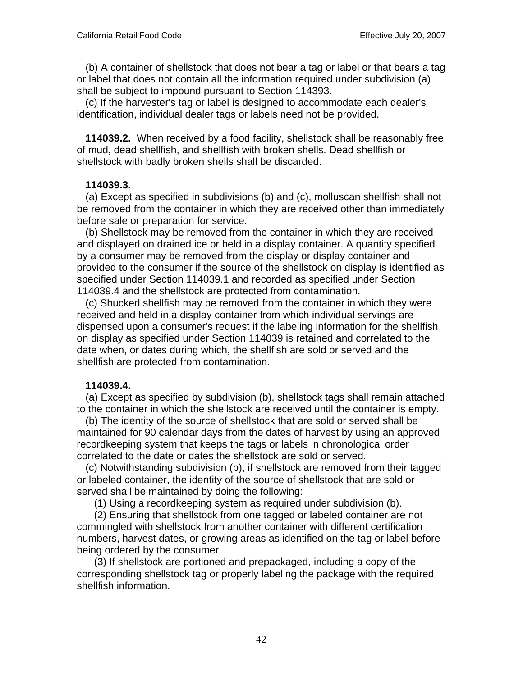(b) A container of shellstock that does not bear a tag or label or that bears a tag or label that does not contain all the information required under subdivision (a) shall be subject to impound pursuant to Section 114393.

 (c) If the harvester's tag or label is designed to accommodate each dealer's identification, individual dealer tags or labels need not be provided.

 **114039.2.** When received by a food facility, shellstock shall be reasonably free of mud, dead shellfish, and shellfish with broken shells. Dead shellfish or shellstock with badly broken shells shall be discarded.

### **114039.3.**

 (a) Except as specified in subdivisions (b) and (c), molluscan shellfish shall not be removed from the container in which they are received other than immediately before sale or preparation for service.

 (b) Shellstock may be removed from the container in which they are received and displayed on drained ice or held in a display container. A quantity specified by a consumer may be removed from the display or display container and provided to the consumer if the source of the shellstock on display is identified as specified under Section 114039.1 and recorded as specified under Section 114039.4 and the shellstock are protected from contamination.

 (c) Shucked shellfish may be removed from the container in which they were received and held in a display container from which individual servings are dispensed upon a consumer's request if the labeling information for the shellfish on display as specified under Section 114039 is retained and correlated to the date when, or dates during which, the shellfish are sold or served and the shellfish are protected from contamination.

### **114039.4.**

 (a) Except as specified by subdivision (b), shellstock tags shall remain attached to the container in which the shellstock are received until the container is empty.

 (b) The identity of the source of shellstock that are sold or served shall be maintained for 90 calendar days from the dates of harvest by using an approved recordkeeping system that keeps the tags or labels in chronological order correlated to the date or dates the shellstock are sold or served.

 (c) Notwithstanding subdivision (b), if shellstock are removed from their tagged or labeled container, the identity of the source of shellstock that are sold or served shall be maintained by doing the following:

(1) Using a recordkeeping system as required under subdivision (b).

 (2) Ensuring that shellstock from one tagged or labeled container are not commingled with shellstock from another container with different certification numbers, harvest dates, or growing areas as identified on the tag or label before being ordered by the consumer.

 (3) If shellstock are portioned and prepackaged, including a copy of the corresponding shellstock tag or properly labeling the package with the required shellfish information.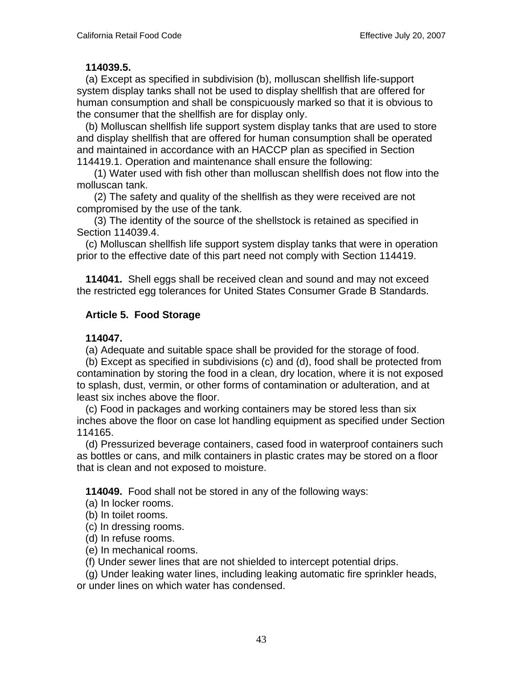#### **114039.5.**

 (a) Except as specified in subdivision (b), molluscan shellfish life-support system display tanks shall not be used to display shellfish that are offered for human consumption and shall be conspicuously marked so that it is obvious to the consumer that the shellfish are for display only.

 (b) Molluscan shellfish life support system display tanks that are used to store and display shellfish that are offered for human consumption shall be operated and maintained in accordance with an HACCP plan as specified in Section 114419.1. Operation and maintenance shall ensure the following:

 (1) Water used with fish other than molluscan shellfish does not flow into the molluscan tank.

 (2) The safety and quality of the shellfish as they were received are not compromised by the use of the tank.

 (3) The identity of the source of the shellstock is retained as specified in Section 114039.4.

 (c) Molluscan shellfish life support system display tanks that were in operation prior to the effective date of this part need not comply with Section 114419.

 **114041.** Shell eggs shall be received clean and sound and may not exceed the restricted egg tolerances for United States Consumer Grade B Standards.

### **Article 5. Food Storage**

### **114047.**

(a) Adequate and suitable space shall be provided for the storage of food.

 (b) Except as specified in subdivisions (c) and (d), food shall be protected from contamination by storing the food in a clean, dry location, where it is not exposed to splash, dust, vermin, or other forms of contamination or adulteration, and at least six inches above the floor.

 (c) Food in packages and working containers may be stored less than six inches above the floor on case lot handling equipment as specified under Section 114165.

 (d) Pressurized beverage containers, cased food in waterproof containers such as bottles or cans, and milk containers in plastic crates may be stored on a floor that is clean and not exposed to moisture.

**114049.** Food shall not be stored in any of the following ways:

(a) In locker rooms.

(b) In toilet rooms.

(c) In dressing rooms.

(d) In refuse rooms.

(e) In mechanical rooms.

(f) Under sewer lines that are not shielded to intercept potential drips.

(g) Under leaking water lines, including leaking automatic fire sprinkler heads,

or under lines on which water has condensed.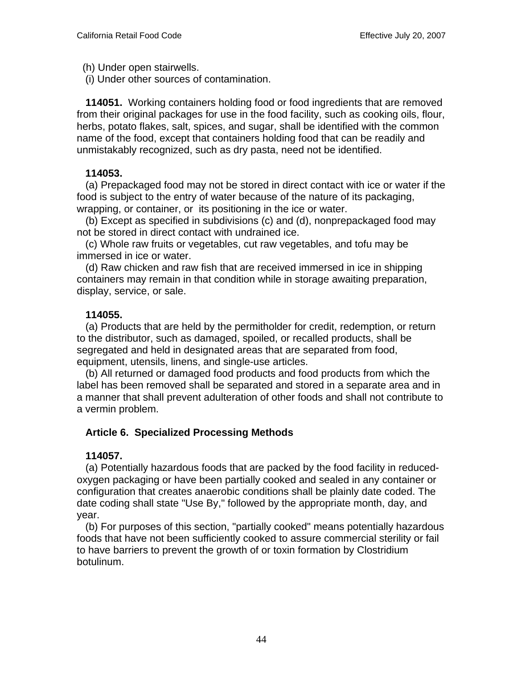(h) Under open stairwells.

(i) Under other sources of contamination.

 **114051.** Working containers holding food or food ingredients that are removed from their original packages for use in the food facility, such as cooking oils, flour, herbs, potato flakes, salt, spices, and sugar, shall be identified with the common name of the food, except that containers holding food that can be readily and unmistakably recognized, such as dry pasta, need not be identified.

### **114053.**

 (a) Prepackaged food may not be stored in direct contact with ice or water if the food is subject to the entry of water because of the nature of its packaging, wrapping, or container, or its positioning in the ice or water.

 (b) Except as specified in subdivisions (c) and (d), nonprepackaged food may not be stored in direct contact with undrained ice.

 (c) Whole raw fruits or vegetables, cut raw vegetables, and tofu may be immersed in ice or water.

 (d) Raw chicken and raw fish that are received immersed in ice in shipping containers may remain in that condition while in storage awaiting preparation, display, service, or sale.

### **114055.**

 (a) Products that are held by the permitholder for credit, redemption, or return to the distributor, such as damaged, spoiled, or recalled products, shall be segregated and held in designated areas that are separated from food, equipment, utensils, linens, and single-use articles.

 (b) All returned or damaged food products and food products from which the label has been removed shall be separated and stored in a separate area and in a manner that shall prevent adulteration of other foods and shall not contribute to a vermin problem.

# **Article 6. Specialized Processing Methods**

# **114057.**

 (a) Potentially hazardous foods that are packed by the food facility in reducedoxygen packaging or have been partially cooked and sealed in any container or configuration that creates anaerobic conditions shall be plainly date coded. The date coding shall state "Use By," followed by the appropriate month, day, and year.

 (b) For purposes of this section, "partially cooked" means potentially hazardous foods that have not been sufficiently cooked to assure commercial sterility or fail to have barriers to prevent the growth of or toxin formation by Clostridium botulinum.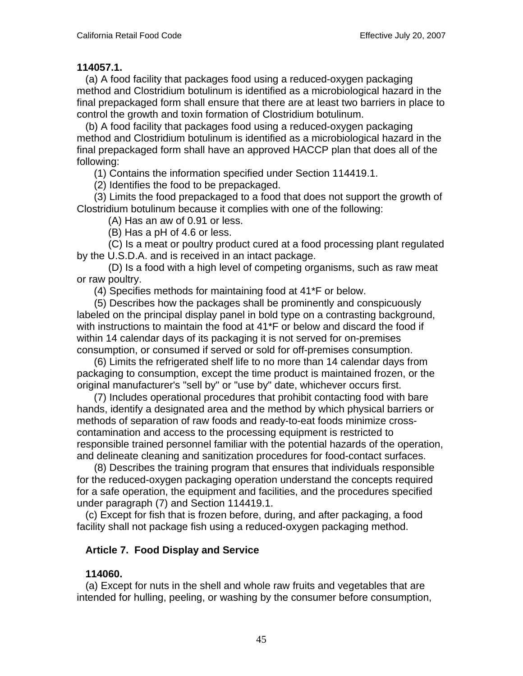### **114057.1.**

 (a) A food facility that packages food using a reduced-oxygen packaging method and Clostridium botulinum is identified as a microbiological hazard in the final prepackaged form shall ensure that there are at least two barriers in place to control the growth and toxin formation of Clostridium botulinum.

 (b) A food facility that packages food using a reduced-oxygen packaging method and Clostridium botulinum is identified as a microbiological hazard in the final prepackaged form shall have an approved HACCP plan that does all of the following:

(1) Contains the information specified under Section 114419.1.

(2) Identifies the food to be prepackaged.

 (3) Limits the food prepackaged to a food that does not support the growth of Clostridium botulinum because it complies with one of the following:

(A) Has an aw of 0.91 or less.

(B) Has a pH of 4.6 or less.

 (C) Is a meat or poultry product cured at a food processing plant regulated by the U.S.D.A. and is received in an intact package.

 (D) Is a food with a high level of competing organisms, such as raw meat or raw poultry.

(4) Specifies methods for maintaining food at 41\*F or below.

 (5) Describes how the packages shall be prominently and conspicuously labeled on the principal display panel in bold type on a contrasting background, with instructions to maintain the food at 41\*F or below and discard the food if within 14 calendar days of its packaging it is not served for on-premises consumption, or consumed if served or sold for off-premises consumption.

 (6) Limits the refrigerated shelf life to no more than 14 calendar days from packaging to consumption, except the time product is maintained frozen, or the original manufacturer's "sell by" or "use by" date, whichever occurs first.

 (7) Includes operational procedures that prohibit contacting food with bare hands, identify a designated area and the method by which physical barriers or methods of separation of raw foods and ready-to-eat foods minimize crosscontamination and access to the processing equipment is restricted to responsible trained personnel familiar with the potential hazards of the operation, and delineate cleaning and sanitization procedures for food-contact surfaces.

 (8) Describes the training program that ensures that individuals responsible for the reduced-oxygen packaging operation understand the concepts required for a safe operation, the equipment and facilities, and the procedures specified under paragraph (7) and Section 114419.1.

 (c) Except for fish that is frozen before, during, and after packaging, a food facility shall not package fish using a reduced-oxygen packaging method.

# **Article 7. Food Display and Service**

# **114060.**

 (a) Except for nuts in the shell and whole raw fruits and vegetables that are intended for hulling, peeling, or washing by the consumer before consumption,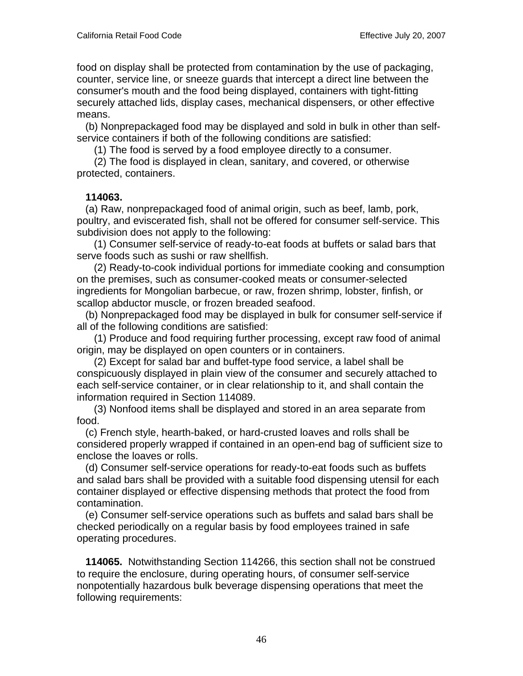food on display shall be protected from contamination by the use of packaging, counter, service line, or sneeze guards that intercept a direct line between the consumer's mouth and the food being displayed, containers with tight-fitting securely attached lids, display cases, mechanical dispensers, or other effective means.

 (b) Nonprepackaged food may be displayed and sold in bulk in other than selfservice containers if both of the following conditions are satisfied:

(1) The food is served by a food employee directly to a consumer.

 (2) The food is displayed in clean, sanitary, and covered, or otherwise protected, containers.

### **114063.**

 (a) Raw, nonprepackaged food of animal origin, such as beef, lamb, pork, poultry, and eviscerated fish, shall not be offered for consumer self-service. This subdivision does not apply to the following:

 (1) Consumer self-service of ready-to-eat foods at buffets or salad bars that serve foods such as sushi or raw shellfish.

 (2) Ready-to-cook individual portions for immediate cooking and consumption on the premises, such as consumer-cooked meats or consumer-selected ingredients for Mongolian barbecue, or raw, frozen shrimp, lobster, finfish, or scallop abductor muscle, or frozen breaded seafood.

 (b) Nonprepackaged food may be displayed in bulk for consumer self-service if all of the following conditions are satisfied:

 (1) Produce and food requiring further processing, except raw food of animal origin, may be displayed on open counters or in containers.

 (2) Except for salad bar and buffet-type food service, a label shall be conspicuously displayed in plain view of the consumer and securely attached to each self-service container, or in clear relationship to it, and shall contain the information required in Section 114089.

 (3) Nonfood items shall be displayed and stored in an area separate from food.

 (c) French style, hearth-baked, or hard-crusted loaves and rolls shall be considered properly wrapped if contained in an open-end bag of sufficient size to enclose the loaves or rolls.

 (d) Consumer self-service operations for ready-to-eat foods such as buffets and salad bars shall be provided with a suitable food dispensing utensil for each container displayed or effective dispensing methods that protect the food from contamination.

 (e) Consumer self-service operations such as buffets and salad bars shall be checked periodically on a regular basis by food employees trained in safe operating procedures.

 **114065.** Notwithstanding Section 114266, this section shall not be construed to require the enclosure, during operating hours, of consumer self-service nonpotentially hazardous bulk beverage dispensing operations that meet the following requirements: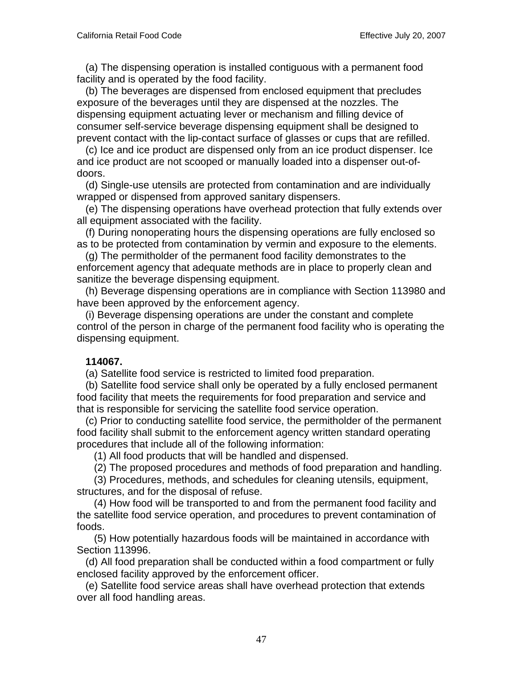(a) The dispensing operation is installed contiguous with a permanent food facility and is operated by the food facility.

 (b) The beverages are dispensed from enclosed equipment that precludes exposure of the beverages until they are dispensed at the nozzles. The dispensing equipment actuating lever or mechanism and filling device of consumer self-service beverage dispensing equipment shall be designed to prevent contact with the lip-contact surface of glasses or cups that are refilled.

 (c) Ice and ice product are dispensed only from an ice product dispenser. Ice and ice product are not scooped or manually loaded into a dispenser out-ofdoors.

 (d) Single-use utensils are protected from contamination and are individually wrapped or dispensed from approved sanitary dispensers.

 (e) The dispensing operations have overhead protection that fully extends over all equipment associated with the facility.

 (f) During nonoperating hours the dispensing operations are fully enclosed so as to be protected from contamination by vermin and exposure to the elements.

 (g) The permitholder of the permanent food facility demonstrates to the enforcement agency that adequate methods are in place to properly clean and sanitize the beverage dispensing equipment.

 (h) Beverage dispensing operations are in compliance with Section 113980 and have been approved by the enforcement agency.

 (i) Beverage dispensing operations are under the constant and complete control of the person in charge of the permanent food facility who is operating the dispensing equipment.

### **114067.**

(a) Satellite food service is restricted to limited food preparation.

 (b) Satellite food service shall only be operated by a fully enclosed permanent food facility that meets the requirements for food preparation and service and that is responsible for servicing the satellite food service operation.

 (c) Prior to conducting satellite food service, the permitholder of the permanent food facility shall submit to the enforcement agency written standard operating procedures that include all of the following information:

(1) All food products that will be handled and dispensed.

(2) The proposed procedures and methods of food preparation and handling.

 (3) Procedures, methods, and schedules for cleaning utensils, equipment, structures, and for the disposal of refuse.

 (4) How food will be transported to and from the permanent food facility and the satellite food service operation, and procedures to prevent contamination of foods.

 (5) How potentially hazardous foods will be maintained in accordance with Section 113996.

 (d) All food preparation shall be conducted within a food compartment or fully enclosed facility approved by the enforcement officer.

 (e) Satellite food service areas shall have overhead protection that extends over all food handling areas.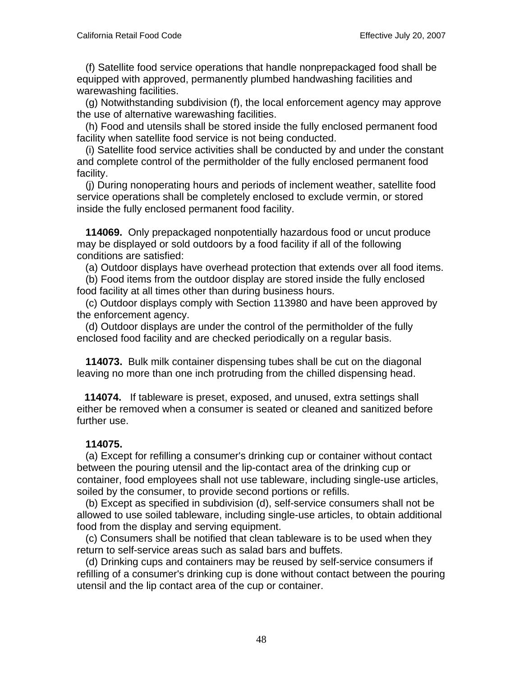(f) Satellite food service operations that handle nonprepackaged food shall be equipped with approved, permanently plumbed handwashing facilities and warewashing facilities.

 (g) Notwithstanding subdivision (f), the local enforcement agency may approve the use of alternative warewashing facilities.

 (h) Food and utensils shall be stored inside the fully enclosed permanent food facility when satellite food service is not being conducted.

 (i) Satellite food service activities shall be conducted by and under the constant and complete control of the permitholder of the fully enclosed permanent food facility.

 (j) During nonoperating hours and periods of inclement weather, satellite food service operations shall be completely enclosed to exclude vermin, or stored inside the fully enclosed permanent food facility.

 **114069.** Only prepackaged nonpotentially hazardous food or uncut produce may be displayed or sold outdoors by a food facility if all of the following conditions are satisfied:

(a) Outdoor displays have overhead protection that extends over all food items.

 (b) Food items from the outdoor display are stored inside the fully enclosed food facility at all times other than during business hours.

 (c) Outdoor displays comply with Section 113980 and have been approved by the enforcement agency.

 (d) Outdoor displays are under the control of the permitholder of the fully enclosed food facility and are checked periodically on a regular basis.

 **114073.** Bulk milk container dispensing tubes shall be cut on the diagonal leaving no more than one inch protruding from the chilled dispensing head.

 **114074.** If tableware is preset, exposed, and unused, extra settings shall either be removed when a consumer is seated or cleaned and sanitized before further use.

### **114075.**

 (a) Except for refilling a consumer's drinking cup or container without contact between the pouring utensil and the lip-contact area of the drinking cup or container, food employees shall not use tableware, including single-use articles, soiled by the consumer, to provide second portions or refills.

 (b) Except as specified in subdivision (d), self-service consumers shall not be allowed to use soiled tableware, including single-use articles, to obtain additional food from the display and serving equipment.

 (c) Consumers shall be notified that clean tableware is to be used when they return to self-service areas such as salad bars and buffets.

 (d) Drinking cups and containers may be reused by self-service consumers if refilling of a consumer's drinking cup is done without contact between the pouring utensil and the lip contact area of the cup or container.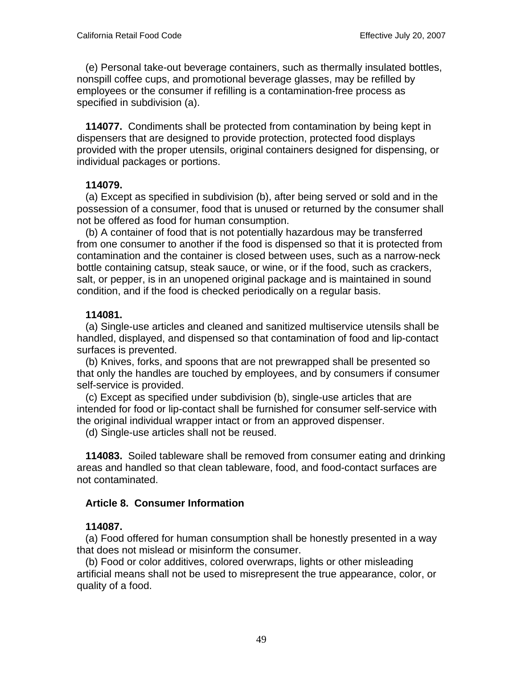(e) Personal take-out beverage containers, such as thermally insulated bottles, nonspill coffee cups, and promotional beverage glasses, may be refilled by employees or the consumer if refilling is a contamination-free process as specified in subdivision (a).

 **114077.** Condiments shall be protected from contamination by being kept in dispensers that are designed to provide protection, protected food displays provided with the proper utensils, original containers designed for dispensing, or individual packages or portions.

### **114079.**

 (a) Except as specified in subdivision (b), after being served or sold and in the possession of a consumer, food that is unused or returned by the consumer shall not be offered as food for human consumption.

 (b) A container of food that is not potentially hazardous may be transferred from one consumer to another if the food is dispensed so that it is protected from contamination and the container is closed between uses, such as a narrow-neck bottle containing catsup, steak sauce, or wine, or if the food, such as crackers, salt, or pepper, is in an unopened original package and is maintained in sound condition, and if the food is checked periodically on a regular basis.

### **114081.**

 (a) Single-use articles and cleaned and sanitized multiservice utensils shall be handled, displayed, and dispensed so that contamination of food and lip-contact surfaces is prevented.

 (b) Knives, forks, and spoons that are not prewrapped shall be presented so that only the handles are touched by employees, and by consumers if consumer self-service is provided.

 (c) Except as specified under subdivision (b), single-use articles that are intended for food or lip-contact shall be furnished for consumer self-service with the original individual wrapper intact or from an approved dispenser.

(d) Single-use articles shall not be reused.

 **114083.** Soiled tableware shall be removed from consumer eating and drinking areas and handled so that clean tableware, food, and food-contact surfaces are not contaminated.

### **Article 8. Consumer Information**

### **114087.**

 (a) Food offered for human consumption shall be honestly presented in a way that does not mislead or misinform the consumer.

 (b) Food or color additives, colored overwraps, lights or other misleading artificial means shall not be used to misrepresent the true appearance, color, or quality of a food.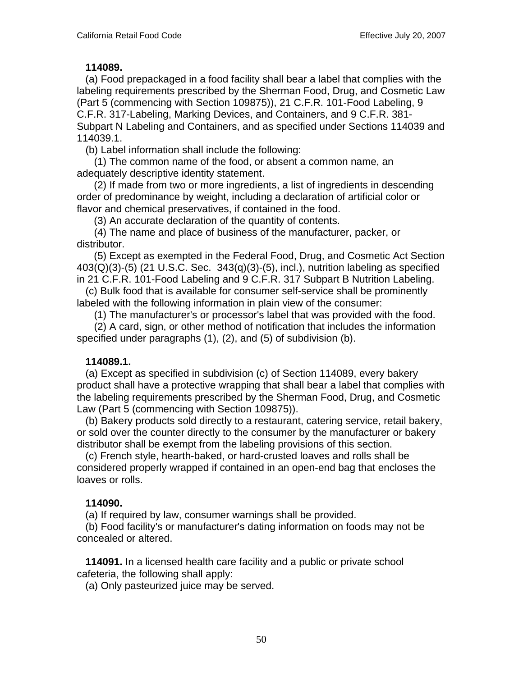#### **114089.**

 (a) Food prepackaged in a food facility shall bear a label that complies with the labeling requirements prescribed by the Sherman Food, Drug, and Cosmetic Law (Part 5 (commencing with Section 109875)), 21 C.F.R. 101-Food Labeling, 9 C.F.R. 317-Labeling, Marking Devices, and Containers, and 9 C.F.R. 381- Subpart N Labeling and Containers, and as specified under Sections 114039 and 114039.1.

(b) Label information shall include the following:

 (1) The common name of the food, or absent a common name, an adequately descriptive identity statement.

 (2) If made from two or more ingredients, a list of ingredients in descending order of predominance by weight, including a declaration of artificial color or flavor and chemical preservatives, if contained in the food.

(3) An accurate declaration of the quantity of contents.

 (4) The name and place of business of the manufacturer, packer, or distributor.

 (5) Except as exempted in the Federal Food, Drug, and Cosmetic Act Section  $403(Q)(3)-(5)$  (21 U.S.C. Sec.  $343(q)(3)-(5)$ , incl.), nutrition labeling as specified in 21 C.F.R. 101-Food Labeling and 9 C.F.R. 317 Subpart B Nutrition Labeling.

 (c) Bulk food that is available for consumer self-service shall be prominently labeled with the following information in plain view of the consumer:

(1) The manufacturer's or processor's label that was provided with the food.

 (2) A card, sign, or other method of notification that includes the information specified under paragraphs (1), (2), and (5) of subdivision (b).

### **114089.1.**

 (a) Except as specified in subdivision (c) of Section 114089, every bakery product shall have a protective wrapping that shall bear a label that complies with the labeling requirements prescribed by the Sherman Food, Drug, and Cosmetic Law (Part 5 (commencing with Section 109875)).

 (b) Bakery products sold directly to a restaurant, catering service, retail bakery, or sold over the counter directly to the consumer by the manufacturer or bakery distributor shall be exempt from the labeling provisions of this section.

 (c) French style, hearth-baked, or hard-crusted loaves and rolls shall be considered properly wrapped if contained in an open-end bag that encloses the loaves or rolls.

### **114090.**

(a) If required by law, consumer warnings shall be provided.

 (b) Food facility's or manufacturer's dating information on foods may not be concealed or altered.

 **114091.** In a licensed health care facility and a public or private school cafeteria, the following shall apply:

(a) Only pasteurized juice may be served.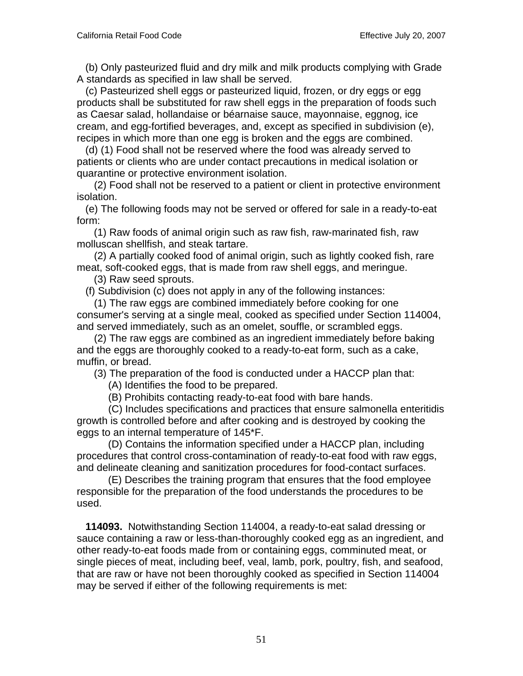(b) Only pasteurized fluid and dry milk and milk products complying with Grade A standards as specified in law shall be served.

 (c) Pasteurized shell eggs or pasteurized liquid, frozen, or dry eggs or egg products shall be substituted for raw shell eggs in the preparation of foods such as Caesar salad, hollandaise or béarnaise sauce, mayonnaise, eggnog, ice cream, and egg-fortified beverages, and, except as specified in subdivision (e), recipes in which more than one egg is broken and the eggs are combined.

 (d) (1) Food shall not be reserved where the food was already served to patients or clients who are under contact precautions in medical isolation or quarantine or protective environment isolation.

 (2) Food shall not be reserved to a patient or client in protective environment isolation.

 (e) The following foods may not be served or offered for sale in a ready-to-eat form:

 (1) Raw foods of animal origin such as raw fish, raw-marinated fish, raw molluscan shellfish, and steak tartare.

 (2) A partially cooked food of animal origin, such as lightly cooked fish, rare meat, soft-cooked eggs, that is made from raw shell eggs, and meringue.

(3) Raw seed sprouts.

(f) Subdivision (c) does not apply in any of the following instances:

 (1) The raw eggs are combined immediately before cooking for one consumer's serving at a single meal, cooked as specified under Section 114004, and served immediately, such as an omelet, souffle, or scrambled eggs.

 (2) The raw eggs are combined as an ingredient immediately before baking and the eggs are thoroughly cooked to a ready-to-eat form, such as a cake, muffin, or bread.

(3) The preparation of the food is conducted under a HACCP plan that:

(A) Identifies the food to be prepared.

(B) Prohibits contacting ready-to-eat food with bare hands.

 (C) Includes specifications and practices that ensure salmonella enteritidis growth is controlled before and after cooking and is destroyed by cooking the eggs to an internal temperature of 145\*F.

 (D) Contains the information specified under a HACCP plan, including procedures that control cross-contamination of ready-to-eat food with raw eggs, and delineate cleaning and sanitization procedures for food-contact surfaces.

 (E) Describes the training program that ensures that the food employee responsible for the preparation of the food understands the procedures to be used.

 **114093.** Notwithstanding Section 114004, a ready-to-eat salad dressing or sauce containing a raw or less-than-thoroughly cooked egg as an ingredient, and other ready-to-eat foods made from or containing eggs, comminuted meat, or single pieces of meat, including beef, veal, lamb, pork, poultry, fish, and seafood, that are raw or have not been thoroughly cooked as specified in Section 114004 may be served if either of the following requirements is met: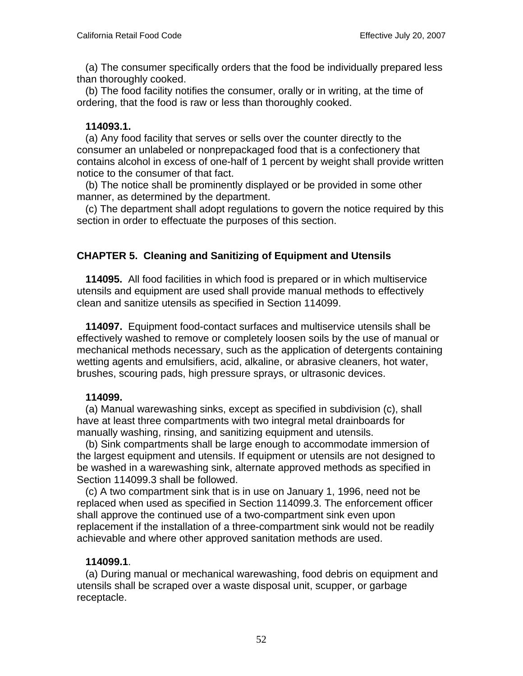(a) The consumer specifically orders that the food be individually prepared less than thoroughly cooked.

 (b) The food facility notifies the consumer, orally or in writing, at the time of ordering, that the food is raw or less than thoroughly cooked.

### **114093.1.**

 (a) Any food facility that serves or sells over the counter directly to the consumer an unlabeled or nonprepackaged food that is a confectionery that contains alcohol in excess of one-half of 1 percent by weight shall provide written notice to the consumer of that fact.

 (b) The notice shall be prominently displayed or be provided in some other manner, as determined by the department.

 (c) The department shall adopt regulations to govern the notice required by this section in order to effectuate the purposes of this section.

# **CHAPTER 5. Cleaning and Sanitizing of Equipment and Utensils**

 **114095.** All food facilities in which food is prepared or in which multiservice utensils and equipment are used shall provide manual methods to effectively clean and sanitize utensils as specified in Section 114099.

 **114097.** Equipment food-contact surfaces and multiservice utensils shall be effectively washed to remove or completely loosen soils by the use of manual or mechanical methods necessary, such as the application of detergents containing wetting agents and emulsifiers, acid, alkaline, or abrasive cleaners, hot water, brushes, scouring pads, high pressure sprays, or ultrasonic devices.

### **114099.**

 (a) Manual warewashing sinks, except as specified in subdivision (c), shall have at least three compartments with two integral metal drainboards for manually washing, rinsing, and sanitizing equipment and utensils.

 (b) Sink compartments shall be large enough to accommodate immersion of the largest equipment and utensils. If equipment or utensils are not designed to be washed in a warewashing sink, alternate approved methods as specified in Section 114099.3 shall be followed.

 (c) A two compartment sink that is in use on January 1, 1996, need not be replaced when used as specified in Section 114099.3. The enforcement officer shall approve the continued use of a two-compartment sink even upon replacement if the installation of a three-compartment sink would not be readily achievable and where other approved sanitation methods are used.

# **114099.1**.

 (a) During manual or mechanical warewashing, food debris on equipment and utensils shall be scraped over a waste disposal unit, scupper, or garbage receptacle.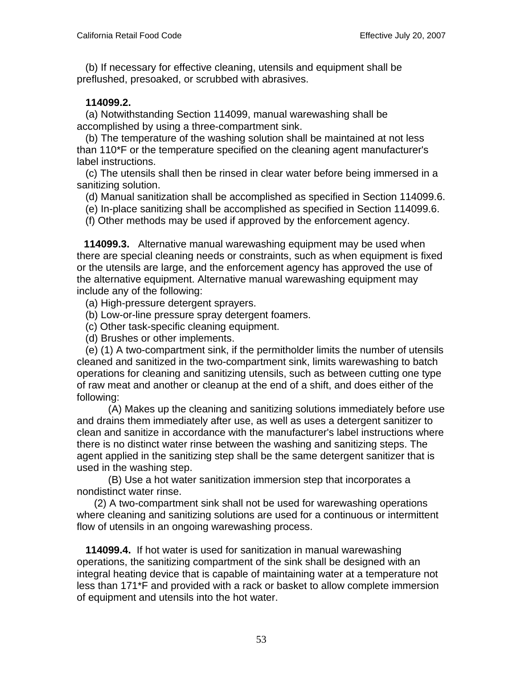(b) If necessary for effective cleaning, utensils and equipment shall be preflushed, presoaked, or scrubbed with abrasives.

### **114099.2.**

 (a) Notwithstanding Section 114099, manual warewashing shall be accomplished by using a three-compartment sink.

 (b) The temperature of the washing solution shall be maintained at not less than 110\*F or the temperature specified on the cleaning agent manufacturer's label instructions.

 (c) The utensils shall then be rinsed in clear water before being immersed in a sanitizing solution.

(d) Manual sanitization shall be accomplished as specified in Section 114099.6.

(e) In-place sanitizing shall be accomplished as specified in Section 114099.6.

(f) Other methods may be used if approved by the enforcement agency.

 **114099.3.** Alternative manual warewashing equipment may be used when there are special cleaning needs or constraints, such as when equipment is fixed or the utensils are large, and the enforcement agency has approved the use of the alternative equipment. Alternative manual warewashing equipment may include any of the following:

(a) High-pressure detergent sprayers.

(b) Low-or-line pressure spray detergent foamers.

(c) Other task-specific cleaning equipment.

(d) Brushes or other implements.

 (e) (1) A two-compartment sink, if the permitholder limits the number of utensils cleaned and sanitized in the two-compartment sink, limits warewashing to batch operations for cleaning and sanitizing utensils, such as between cutting one type of raw meat and another or cleanup at the end of a shift, and does either of the following:

 (A) Makes up the cleaning and sanitizing solutions immediately before use and drains them immediately after use, as well as uses a detergent sanitizer to clean and sanitize in accordance with the manufacturer's label instructions where there is no distinct water rinse between the washing and sanitizing steps. The agent applied in the sanitizing step shall be the same detergent sanitizer that is used in the washing step.

 (B) Use a hot water sanitization immersion step that incorporates a nondistinct water rinse.

 (2) A two-compartment sink shall not be used for warewashing operations where cleaning and sanitizing solutions are used for a continuous or intermittent flow of utensils in an ongoing warewashing process.

 **114099.4.** If hot water is used for sanitization in manual warewashing operations, the sanitizing compartment of the sink shall be designed with an integral heating device that is capable of maintaining water at a temperature not less than 171\*F and provided with a rack or basket to allow complete immersion of equipment and utensils into the hot water.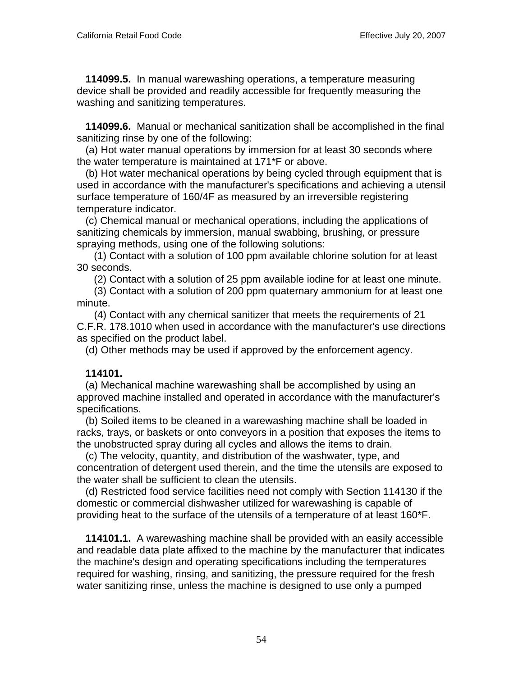**114099.5.** In manual warewashing operations, a temperature measuring device shall be provided and readily accessible for frequently measuring the washing and sanitizing temperatures.

 **114099.6.** Manual or mechanical sanitization shall be accomplished in the final sanitizing rinse by one of the following:

 (a) Hot water manual operations by immersion for at least 30 seconds where the water temperature is maintained at 171\*F or above.

 (b) Hot water mechanical operations by being cycled through equipment that is used in accordance with the manufacturer's specifications and achieving a utensil surface temperature of 160/4F as measured by an irreversible registering temperature indicator.

 (c) Chemical manual or mechanical operations, including the applications of sanitizing chemicals by immersion, manual swabbing, brushing, or pressure spraying methods, using one of the following solutions:

 (1) Contact with a solution of 100 ppm available chlorine solution for at least 30 seconds.

(2) Contact with a solution of 25 ppm available iodine for at least one minute.

 (3) Contact with a solution of 200 ppm quaternary ammonium for at least one minute.

 (4) Contact with any chemical sanitizer that meets the requirements of 21 C.F.R. 178.1010 when used in accordance with the manufacturer's use directions as specified on the product label.

(d) Other methods may be used if approved by the enforcement agency.

### **114101.**

 (a) Mechanical machine warewashing shall be accomplished by using an approved machine installed and operated in accordance with the manufacturer's specifications.

 (b) Soiled items to be cleaned in a warewashing machine shall be loaded in racks, trays, or baskets or onto conveyors in a position that exposes the items to the unobstructed spray during all cycles and allows the items to drain.

 (c) The velocity, quantity, and distribution of the washwater, type, and concentration of detergent used therein, and the time the utensils are exposed to the water shall be sufficient to clean the utensils.

 (d) Restricted food service facilities need not comply with Section 114130 if the domestic or commercial dishwasher utilized for warewashing is capable of providing heat to the surface of the utensils of a temperature of at least 160\*F.

 **114101.1.** A warewashing machine shall be provided with an easily accessible and readable data plate affixed to the machine by the manufacturer that indicates the machine's design and operating specifications including the temperatures required for washing, rinsing, and sanitizing, the pressure required for the fresh water sanitizing rinse, unless the machine is designed to use only a pumped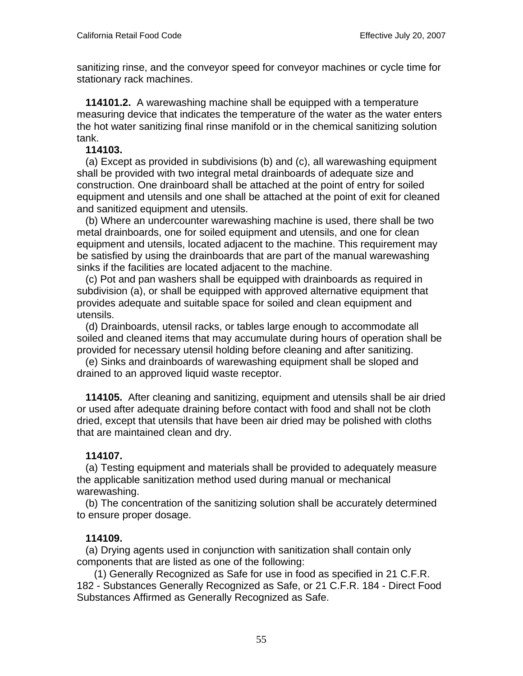sanitizing rinse, and the conveyor speed for conveyor machines or cycle time for stationary rack machines.

 **114101.2.** A warewashing machine shall be equipped with a temperature measuring device that indicates the temperature of the water as the water enters the hot water sanitizing final rinse manifold or in the chemical sanitizing solution tank.

#### **114103.**

 (a) Except as provided in subdivisions (b) and (c), all warewashing equipment shall be provided with two integral metal drainboards of adequate size and construction. One drainboard shall be attached at the point of entry for soiled equipment and utensils and one shall be attached at the point of exit for cleaned and sanitized equipment and utensils.

 (b) Where an undercounter warewashing machine is used, there shall be two metal drainboards, one for soiled equipment and utensils, and one for clean equipment and utensils, located adjacent to the machine. This requirement may be satisfied by using the drainboards that are part of the manual warewashing sinks if the facilities are located adjacent to the machine.

 (c) Pot and pan washers shall be equipped with drainboards as required in subdivision (a), or shall be equipped with approved alternative equipment that provides adequate and suitable space for soiled and clean equipment and utensils.

 (d) Drainboards, utensil racks, or tables large enough to accommodate all soiled and cleaned items that may accumulate during hours of operation shall be provided for necessary utensil holding before cleaning and after sanitizing.

 (e) Sinks and drainboards of warewashing equipment shall be sloped and drained to an approved liquid waste receptor.

 **114105.** After cleaning and sanitizing, equipment and utensils shall be air dried or used after adequate draining before contact with food and shall not be cloth dried, except that utensils that have been air dried may be polished with cloths that are maintained clean and dry.

### **114107.**

 (a) Testing equipment and materials shall be provided to adequately measure the applicable sanitization method used during manual or mechanical warewashing.

 (b) The concentration of the sanitizing solution shall be accurately determined to ensure proper dosage.

### **114109.**

 (a) Drying agents used in conjunction with sanitization shall contain only components that are listed as one of the following:

 (1) Generally Recognized as Safe for use in food as specified in 21 C.F.R. 182 - Substances Generally Recognized as Safe, or 21 C.F.R. 184 - Direct Food Substances Affirmed as Generally Recognized as Safe.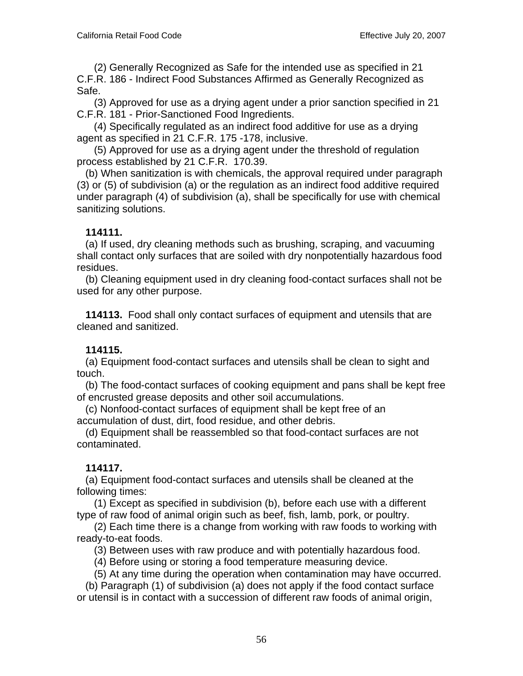(2) Generally Recognized as Safe for the intended use as specified in 21 C.F.R. 186 - Indirect Food Substances Affirmed as Generally Recognized as Safe.

 (3) Approved for use as a drying agent under a prior sanction specified in 21 C.F.R. 181 - Prior-Sanctioned Food Ingredients.

 (4) Specifically regulated as an indirect food additive for use as a drying agent as specified in 21 C.F.R. 175 -178, inclusive.

 (5) Approved for use as a drying agent under the threshold of regulation process established by 21 C.F.R. 170.39.

 (b) When sanitization is with chemicals, the approval required under paragraph (3) or (5) of subdivision (a) or the regulation as an indirect food additive required under paragraph (4) of subdivision (a), shall be specifically for use with chemical sanitizing solutions.

### **114111.**

 (a) If used, dry cleaning methods such as brushing, scraping, and vacuuming shall contact only surfaces that are soiled with dry nonpotentially hazardous food residues.

 (b) Cleaning equipment used in dry cleaning food-contact surfaces shall not be used for any other purpose.

 **114113.** Food shall only contact surfaces of equipment and utensils that are cleaned and sanitized.

# **114115.**

 (a) Equipment food-contact surfaces and utensils shall be clean to sight and touch.

 (b) The food-contact surfaces of cooking equipment and pans shall be kept free of encrusted grease deposits and other soil accumulations.

 (c) Nonfood-contact surfaces of equipment shall be kept free of an accumulation of dust, dirt, food residue, and other debris.

 (d) Equipment shall be reassembled so that food-contact surfaces are not contaminated.

### **114117.**

 (a) Equipment food-contact surfaces and utensils shall be cleaned at the following times:

 (1) Except as specified in subdivision (b), before each use with a different type of raw food of animal origin such as beef, fish, lamb, pork, or poultry.

 (2) Each time there is a change from working with raw foods to working with ready-to-eat foods.

(3) Between uses with raw produce and with potentially hazardous food.

(4) Before using or storing a food temperature measuring device.

(5) At any time during the operation when contamination may have occurred.

 (b) Paragraph (1) of subdivision (a) does not apply if the food contact surface or utensil is in contact with a succession of different raw foods of animal origin,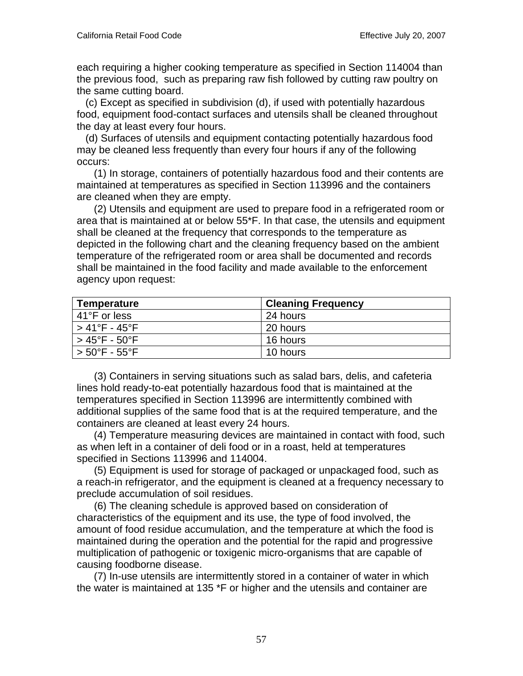each requiring a higher cooking temperature as specified in Section 114004 than the previous food, such as preparing raw fish followed by cutting raw poultry on the same cutting board.

 (c) Except as specified in subdivision (d), if used with potentially hazardous food, equipment food-contact surfaces and utensils shall be cleaned throughout the day at least every four hours.

 (d) Surfaces of utensils and equipment contacting potentially hazardous food may be cleaned less frequently than every four hours if any of the following occurs:

 (1) In storage, containers of potentially hazardous food and their contents are maintained at temperatures as specified in Section 113996 and the containers are cleaned when they are empty.

 (2) Utensils and equipment are used to prepare food in a refrigerated room or area that is maintained at or below 55\*F. In that case, the utensils and equipment shall be cleaned at the frequency that corresponds to the temperature as depicted in the following chart and the cleaning frequency based on the ambient temperature of the refrigerated room or area shall be documented and records shall be maintained in the food facility and made available to the enforcement agency upon request:

| Temperature                        | <b>Cleaning Frequency</b> |
|------------------------------------|---------------------------|
| l 41°F or less                     | 24 hours                  |
| l > 41°F - 45°F                    | 20 hours                  |
| ⊢> 45°F - 50°F                     | 16 hours                  |
| $> 50^{\circ}$ F - 55 $^{\circ}$ F | 10 hours                  |

 (3) Containers in serving situations such as salad bars, delis, and cafeteria lines hold ready-to-eat potentially hazardous food that is maintained at the temperatures specified in Section 113996 are intermittently combined with additional supplies of the same food that is at the required temperature, and the containers are cleaned at least every 24 hours.

 (4) Temperature measuring devices are maintained in contact with food, such as when left in a container of deli food or in a roast, held at temperatures specified in Sections 113996 and 114004.

 (5) Equipment is used for storage of packaged or unpackaged food, such as a reach-in refrigerator, and the equipment is cleaned at a frequency necessary to preclude accumulation of soil residues.

 (6) The cleaning schedule is approved based on consideration of characteristics of the equipment and its use, the type of food involved, the amount of food residue accumulation, and the temperature at which the food is maintained during the operation and the potential for the rapid and progressive multiplication of pathogenic or toxigenic micro-organisms that are capable of causing foodborne disease.

 (7) In-use utensils are intermittently stored in a container of water in which the water is maintained at 135 \*F or higher and the utensils and container are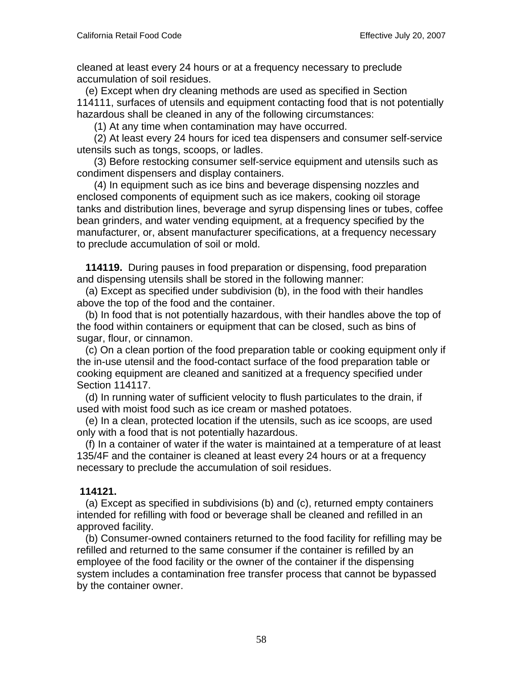cleaned at least every 24 hours or at a frequency necessary to preclude accumulation of soil residues.

 (e) Except when dry cleaning methods are used as specified in Section 114111, surfaces of utensils and equipment contacting food that is not potentially hazardous shall be cleaned in any of the following circumstances:

(1) At any time when contamination may have occurred.

 (2) At least every 24 hours for iced tea dispensers and consumer self-service utensils such as tongs, scoops, or ladles.

 (3) Before restocking consumer self-service equipment and utensils such as condiment dispensers and display containers.

 (4) In equipment such as ice bins and beverage dispensing nozzles and enclosed components of equipment such as ice makers, cooking oil storage tanks and distribution lines, beverage and syrup dispensing lines or tubes, coffee bean grinders, and water vending equipment, at a frequency specified by the manufacturer, or, absent manufacturer specifications, at a frequency necessary to preclude accumulation of soil or mold.

 **114119.** During pauses in food preparation or dispensing, food preparation and dispensing utensils shall be stored in the following manner:

 (a) Except as specified under subdivision (b), in the food with their handles above the top of the food and the container.

 (b) In food that is not potentially hazardous, with their handles above the top of the food within containers or equipment that can be closed, such as bins of sugar, flour, or cinnamon.

 (c) On a clean portion of the food preparation table or cooking equipment only if the in-use utensil and the food-contact surface of the food preparation table or cooking equipment are cleaned and sanitized at a frequency specified under Section 114117.

 (d) In running water of sufficient velocity to flush particulates to the drain, if used with moist food such as ice cream or mashed potatoes.

 (e) In a clean, protected location if the utensils, such as ice scoops, are used only with a food that is not potentially hazardous.

 (f) In a container of water if the water is maintained at a temperature of at least 135/4F and the container is cleaned at least every 24 hours or at a frequency necessary to preclude the accumulation of soil residues.

### **114121.**

 (a) Except as specified in subdivisions (b) and (c), returned empty containers intended for refilling with food or beverage shall be cleaned and refilled in an approved facility.

 (b) Consumer-owned containers returned to the food facility for refilling may be refilled and returned to the same consumer if the container is refilled by an employee of the food facility or the owner of the container if the dispensing system includes a contamination free transfer process that cannot be bypassed by the container owner.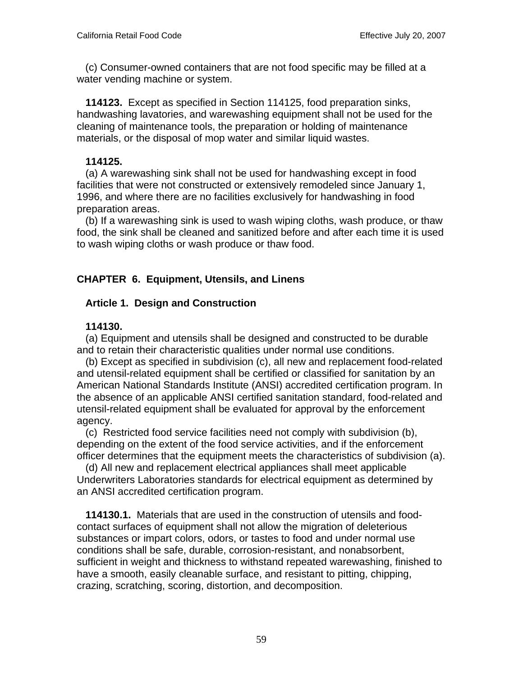(c) Consumer-owned containers that are not food specific may be filled at a water vending machine or system.

 **114123.** Except as specified in Section 114125, food preparation sinks, handwashing lavatories, and warewashing equipment shall not be used for the cleaning of maintenance tools, the preparation or holding of maintenance materials, or the disposal of mop water and similar liquid wastes.

### **114125.**

 (a) A warewashing sink shall not be used for handwashing except in food facilities that were not constructed or extensively remodeled since January 1, 1996, and where there are no facilities exclusively for handwashing in food preparation areas.

 (b) If a warewashing sink is used to wash wiping cloths, wash produce, or thaw food, the sink shall be cleaned and sanitized before and after each time it is used to wash wiping cloths or wash produce or thaw food.

# **CHAPTER 6. Equipment, Utensils, and Linens**

### **Article 1. Design and Construction**

### **114130.**

 (a) Equipment and utensils shall be designed and constructed to be durable and to retain their characteristic qualities under normal use conditions.

 (b) Except as specified in subdivision (c), all new and replacement food-related and utensil-related equipment shall be certified or classified for sanitation by an American National Standards Institute (ANSI) accredited certification program. In the absence of an applicable ANSI certified sanitation standard, food-related and utensil-related equipment shall be evaluated for approval by the enforcement agency.

 (c) Restricted food service facilities need not comply with subdivision (b), depending on the extent of the food service activities, and if the enforcement officer determines that the equipment meets the characteristics of subdivision (a).

 (d) All new and replacement electrical appliances shall meet applicable Underwriters Laboratories standards for electrical equipment as determined by an ANSI accredited certification program.

 **114130.1.** Materials that are used in the construction of utensils and foodcontact surfaces of equipment shall not allow the migration of deleterious substances or impart colors, odors, or tastes to food and under normal use conditions shall be safe, durable, corrosion-resistant, and nonabsorbent, sufficient in weight and thickness to withstand repeated warewashing, finished to have a smooth, easily cleanable surface, and resistant to pitting, chipping, crazing, scratching, scoring, distortion, and decomposition.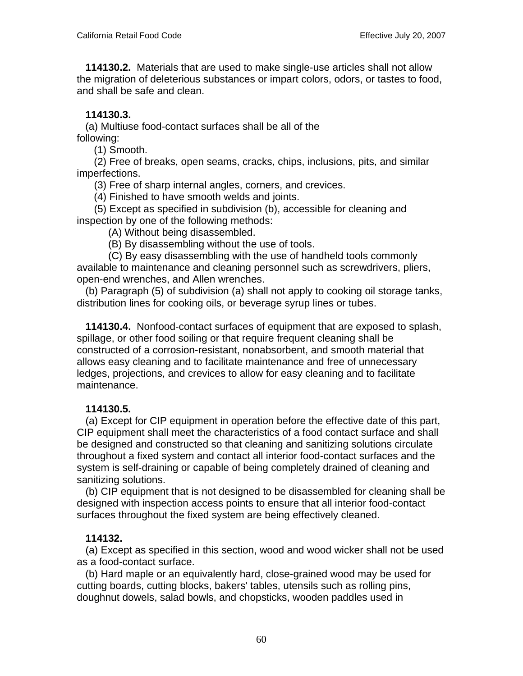**114130.2.** Materials that are used to make single-use articles shall not allow the migration of deleterious substances or impart colors, odors, or tastes to food, and shall be safe and clean.

# **114130.3.**

 (a) Multiuse food-contact surfaces shall be all of the following:

(1) Smooth.

 (2) Free of breaks, open seams, cracks, chips, inclusions, pits, and similar imperfections.

(3) Free of sharp internal angles, corners, and crevices.

(4) Finished to have smooth welds and joints.

 (5) Except as specified in subdivision (b), accessible for cleaning and inspection by one of the following methods:

(A) Without being disassembled.

(B) By disassembling without the use of tools.

 (C) By easy disassembling with the use of handheld tools commonly available to maintenance and cleaning personnel such as screwdrivers, pliers, open-end wrenches, and Allen wrenches.

 (b) Paragraph (5) of subdivision (a) shall not apply to cooking oil storage tanks, distribution lines for cooking oils, or beverage syrup lines or tubes.

 **114130.4.** Nonfood-contact surfaces of equipment that are exposed to splash, spillage, or other food soiling or that require frequent cleaning shall be constructed of a corrosion-resistant, nonabsorbent, and smooth material that allows easy cleaning and to facilitate maintenance and free of unnecessary ledges, projections, and crevices to allow for easy cleaning and to facilitate maintenance.

# **114130.5.**

 (a) Except for CIP equipment in operation before the effective date of this part, CIP equipment shall meet the characteristics of a food contact surface and shall be designed and constructed so that cleaning and sanitizing solutions circulate throughout a fixed system and contact all interior food-contact surfaces and the system is self-draining or capable of being completely drained of cleaning and sanitizing solutions.

 (b) CIP equipment that is not designed to be disassembled for cleaning shall be designed with inspection access points to ensure that all interior food-contact surfaces throughout the fixed system are being effectively cleaned.

# **114132.**

 (a) Except as specified in this section, wood and wood wicker shall not be used as a food-contact surface.

 (b) Hard maple or an equivalently hard, close-grained wood may be used for cutting boards, cutting blocks, bakers' tables, utensils such as rolling pins, doughnut dowels, salad bowls, and chopsticks, wooden paddles used in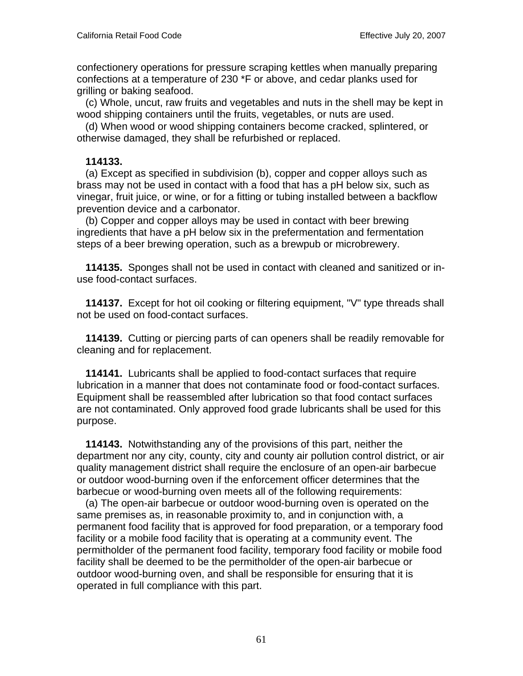confectionery operations for pressure scraping kettles when manually preparing confections at a temperature of 230 \*F or above, and cedar planks used for grilling or baking seafood.

 (c) Whole, uncut, raw fruits and vegetables and nuts in the shell may be kept in wood shipping containers until the fruits, vegetables, or nuts are used.

 (d) When wood or wood shipping containers become cracked, splintered, or otherwise damaged, they shall be refurbished or replaced.

#### **114133.**

 (a) Except as specified in subdivision (b), copper and copper alloys such as brass may not be used in contact with a food that has a pH below six, such as vinegar, fruit juice, or wine, or for a fitting or tubing installed between a backflow prevention device and a carbonator.

 (b) Copper and copper alloys may be used in contact with beer brewing ingredients that have a pH below six in the prefermentation and fermentation steps of a beer brewing operation, such as a brewpub or microbrewery.

 **114135.** Sponges shall not be used in contact with cleaned and sanitized or inuse food-contact surfaces.

 **114137.** Except for hot oil cooking or filtering equipment, "V" type threads shall not be used on food-contact surfaces.

 **114139.** Cutting or piercing parts of can openers shall be readily removable for cleaning and for replacement.

 **114141.** Lubricants shall be applied to food-contact surfaces that require lubrication in a manner that does not contaminate food or food-contact surfaces. Equipment shall be reassembled after lubrication so that food contact surfaces are not contaminated. Only approved food grade lubricants shall be used for this purpose.

 **114143.** Notwithstanding any of the provisions of this part, neither the department nor any city, county, city and county air pollution control district, or air quality management district shall require the enclosure of an open-air barbecue or outdoor wood-burning oven if the enforcement officer determines that the barbecue or wood-burning oven meets all of the following requirements:

 (a) The open-air barbecue or outdoor wood-burning oven is operated on the same premises as, in reasonable proximity to, and in conjunction with, a permanent food facility that is approved for food preparation, or a temporary food facility or a mobile food facility that is operating at a community event. The permitholder of the permanent food facility, temporary food facility or mobile food facility shall be deemed to be the permitholder of the open-air barbecue or outdoor wood-burning oven, and shall be responsible for ensuring that it is operated in full compliance with this part.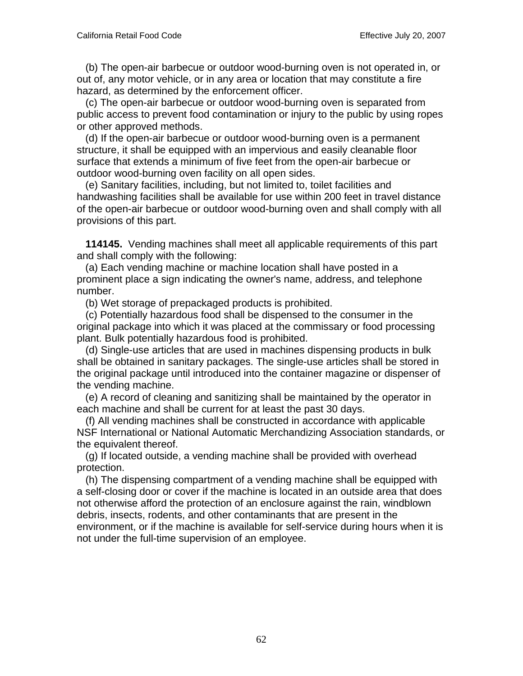(b) The open-air barbecue or outdoor wood-burning oven is not operated in, or out of, any motor vehicle, or in any area or location that may constitute a fire hazard, as determined by the enforcement officer.

 (c) The open-air barbecue or outdoor wood-burning oven is separated from public access to prevent food contamination or injury to the public by using ropes or other approved methods.

 (d) If the open-air barbecue or outdoor wood-burning oven is a permanent structure, it shall be equipped with an impervious and easily cleanable floor surface that extends a minimum of five feet from the open-air barbecue or outdoor wood-burning oven facility on all open sides.

 (e) Sanitary facilities, including, but not limited to, toilet facilities and handwashing facilities shall be available for use within 200 feet in travel distance of the open-air barbecue or outdoor wood-burning oven and shall comply with all provisions of this part.

 **114145.** Vending machines shall meet all applicable requirements of this part and shall comply with the following:

 (a) Each vending machine or machine location shall have posted in a prominent place a sign indicating the owner's name, address, and telephone number.

(b) Wet storage of prepackaged products is prohibited.

 (c) Potentially hazardous food shall be dispensed to the consumer in the original package into which it was placed at the commissary or food processing plant. Bulk potentially hazardous food is prohibited.

 (d) Single-use articles that are used in machines dispensing products in bulk shall be obtained in sanitary packages. The single-use articles shall be stored in the original package until introduced into the container magazine or dispenser of the vending machine.

 (e) A record of cleaning and sanitizing shall be maintained by the operator in each machine and shall be current for at least the past 30 days.

 (f) All vending machines shall be constructed in accordance with applicable NSF International or National Automatic Merchandizing Association standards, or the equivalent thereof.

 (g) If located outside, a vending machine shall be provided with overhead protection.

 (h) The dispensing compartment of a vending machine shall be equipped with a self-closing door or cover if the machine is located in an outside area that does not otherwise afford the protection of an enclosure against the rain, windblown debris, insects, rodents, and other contaminants that are present in the environment, or if the machine is available for self-service during hours when it is not under the full-time supervision of an employee.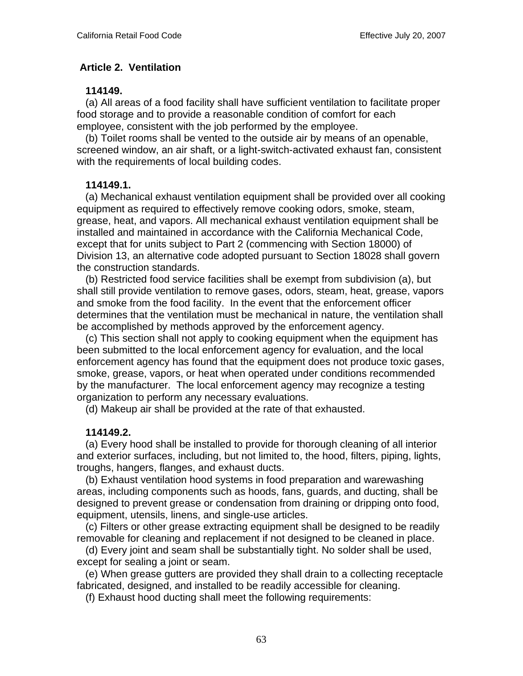### **Article 2. Ventilation**

#### **114149.**

 (a) All areas of a food facility shall have sufficient ventilation to facilitate proper food storage and to provide a reasonable condition of comfort for each employee, consistent with the job performed by the employee.

 (b) Toilet rooms shall be vented to the outside air by means of an openable, screened window, an air shaft, or a light-switch-activated exhaust fan, consistent with the requirements of local building codes.

### **114149.1.**

 (a) Mechanical exhaust ventilation equipment shall be provided over all cooking equipment as required to effectively remove cooking odors, smoke, steam, grease, heat, and vapors. All mechanical exhaust ventilation equipment shall be installed and maintained in accordance with the California Mechanical Code, except that for units subject to Part 2 (commencing with Section 18000) of Division 13, an alternative code adopted pursuant to Section 18028 shall govern the construction standards.

 (b) Restricted food service facilities shall be exempt from subdivision (a), but shall still provide ventilation to remove gases, odors, steam, heat, grease, vapors and smoke from the food facility. In the event that the enforcement officer determines that the ventilation must be mechanical in nature, the ventilation shall be accomplished by methods approved by the enforcement agency.

 (c) This section shall not apply to cooking equipment when the equipment has been submitted to the local enforcement agency for evaluation, and the local enforcement agency has found that the equipment does not produce toxic gases, smoke, grease, vapors, or heat when operated under conditions recommended by the manufacturer. The local enforcement agency may recognize a testing organization to perform any necessary evaluations.

(d) Makeup air shall be provided at the rate of that exhausted.

### **114149.2.**

 (a) Every hood shall be installed to provide for thorough cleaning of all interior and exterior surfaces, including, but not limited to, the hood, filters, piping, lights, troughs, hangers, flanges, and exhaust ducts.

 (b) Exhaust ventilation hood systems in food preparation and warewashing areas, including components such as hoods, fans, guards, and ducting, shall be designed to prevent grease or condensation from draining or dripping onto food, equipment, utensils, linens, and single-use articles.

 (c) Filters or other grease extracting equipment shall be designed to be readily removable for cleaning and replacement if not designed to be cleaned in place.

 (d) Every joint and seam shall be substantially tight. No solder shall be used, except for sealing a joint or seam.

 (e) When grease gutters are provided they shall drain to a collecting receptacle fabricated, designed, and installed to be readily accessible for cleaning.

(f) Exhaust hood ducting shall meet the following requirements: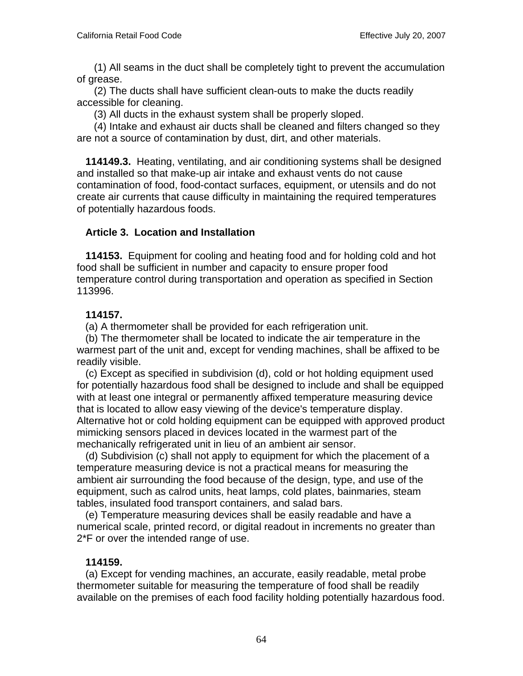(1) All seams in the duct shall be completely tight to prevent the accumulation of grease.

 (2) The ducts shall have sufficient clean-outs to make the ducts readily accessible for cleaning.

(3) All ducts in the exhaust system shall be properly sloped.

 (4) Intake and exhaust air ducts shall be cleaned and filters changed so they are not a source of contamination by dust, dirt, and other materials.

 **114149.3.** Heating, ventilating, and air conditioning systems shall be designed and installed so that make-up air intake and exhaust vents do not cause contamination of food, food-contact surfaces, equipment, or utensils and do not create air currents that cause difficulty in maintaining the required temperatures of potentially hazardous foods.

### **Article 3. Location and Installation**

 **114153.** Equipment for cooling and heating food and for holding cold and hot food shall be sufficient in number and capacity to ensure proper food temperature control during transportation and operation as specified in Section 113996.

### **114157.**

(a) A thermometer shall be provided for each refrigeration unit.

 (b) The thermometer shall be located to indicate the air temperature in the warmest part of the unit and, except for vending machines, shall be affixed to be readily visible.

 (c) Except as specified in subdivision (d), cold or hot holding equipment used for potentially hazardous food shall be designed to include and shall be equipped with at least one integral or permanently affixed temperature measuring device that is located to allow easy viewing of the device's temperature display. Alternative hot or cold holding equipment can be equipped with approved product mimicking sensors placed in devices located in the warmest part of the mechanically refrigerated unit in lieu of an ambient air sensor.

 (d) Subdivision (c) shall not apply to equipment for which the placement of a temperature measuring device is not a practical means for measuring the ambient air surrounding the food because of the design, type, and use of the equipment, such as calrod units, heat lamps, cold plates, bainmaries, steam tables, insulated food transport containers, and salad bars.

 (e) Temperature measuring devices shall be easily readable and have a numerical scale, printed record, or digital readout in increments no greater than 2\*F or over the intended range of use.

#### **114159.**

 (a) Except for vending machines, an accurate, easily readable, metal probe thermometer suitable for measuring the temperature of food shall be readily available on the premises of each food facility holding potentially hazardous food.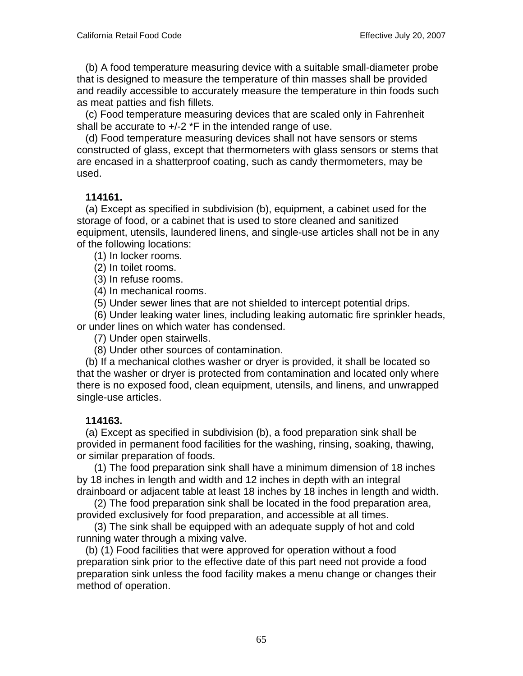(b) A food temperature measuring device with a suitable small-diameter probe that is designed to measure the temperature of thin masses shall be provided and readily accessible to accurately measure the temperature in thin foods such as meat patties and fish fillets.

 (c) Food temperature measuring devices that are scaled only in Fahrenheit shall be accurate to +/-2 \*F in the intended range of use.

 (d) Food temperature measuring devices shall not have sensors or stems constructed of glass, except that thermometers with glass sensors or stems that are encased in a shatterproof coating, such as candy thermometers, may be used.

### **114161.**

 (a) Except as specified in subdivision (b), equipment, a cabinet used for the storage of food, or a cabinet that is used to store cleaned and sanitized equipment, utensils, laundered linens, and single-use articles shall not be in any of the following locations:

(1) In locker rooms.

(2) In toilet rooms.

(3) In refuse rooms.

(4) In mechanical rooms.

(5) Under sewer lines that are not shielded to intercept potential drips.

 (6) Under leaking water lines, including leaking automatic fire sprinkler heads, or under lines on which water has condensed.

(7) Under open stairwells.

(8) Under other sources of contamination.

 (b) If a mechanical clothes washer or dryer is provided, it shall be located so that the washer or dryer is protected from contamination and located only where there is no exposed food, clean equipment, utensils, and linens, and unwrapped single-use articles.

### **114163.**

 (a) Except as specified in subdivision (b), a food preparation sink shall be provided in permanent food facilities for the washing, rinsing, soaking, thawing, or similar preparation of foods.

 (1) The food preparation sink shall have a minimum dimension of 18 inches by 18 inches in length and width and 12 inches in depth with an integral drainboard or adjacent table at least 18 inches by 18 inches in length and width.

 (2) The food preparation sink shall be located in the food preparation area, provided exclusively for food preparation, and accessible at all times.

 (3) The sink shall be equipped with an adequate supply of hot and cold running water through a mixing valve.

 (b) (1) Food facilities that were approved for operation without a food preparation sink prior to the effective date of this part need not provide a food preparation sink unless the food facility makes a menu change or changes their method of operation.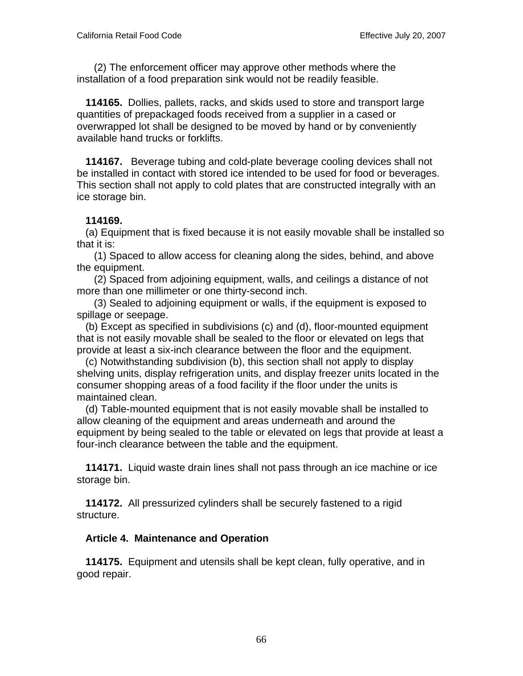(2) The enforcement officer may approve other methods where the installation of a food preparation sink would not be readily feasible.

 **114165.** Dollies, pallets, racks, and skids used to store and transport large quantities of prepackaged foods received from a supplier in a cased or overwrapped lot shall be designed to be moved by hand or by conveniently available hand trucks or forklifts.

 **114167.** Beverage tubing and cold-plate beverage cooling devices shall not be installed in contact with stored ice intended to be used for food or beverages. This section shall not apply to cold plates that are constructed integrally with an ice storage bin.

### **114169.**

 (a) Equipment that is fixed because it is not easily movable shall be installed so that it is:

 (1) Spaced to allow access for cleaning along the sides, behind, and above the equipment.

 (2) Spaced from adjoining equipment, walls, and ceilings a distance of not more than one millimeter or one thirty-second inch.

 (3) Sealed to adjoining equipment or walls, if the equipment is exposed to spillage or seepage.

 (b) Except as specified in subdivisions (c) and (d), floor-mounted equipment that is not easily movable shall be sealed to the floor or elevated on legs that provide at least a six-inch clearance between the floor and the equipment.

 (c) Notwithstanding subdivision (b), this section shall not apply to display shelving units, display refrigeration units, and display freezer units located in the consumer shopping areas of a food facility if the floor under the units is maintained clean.

 (d) Table-mounted equipment that is not easily movable shall be installed to allow cleaning of the equipment and areas underneath and around the equipment by being sealed to the table or elevated on legs that provide at least a four-inch clearance between the table and the equipment.

 **114171.** Liquid waste drain lines shall not pass through an ice machine or ice storage bin.

 **114172.** All pressurized cylinders shall be securely fastened to a rigid structure.

# **Article 4. Maintenance and Operation**

 **114175.** Equipment and utensils shall be kept clean, fully operative, and in good repair.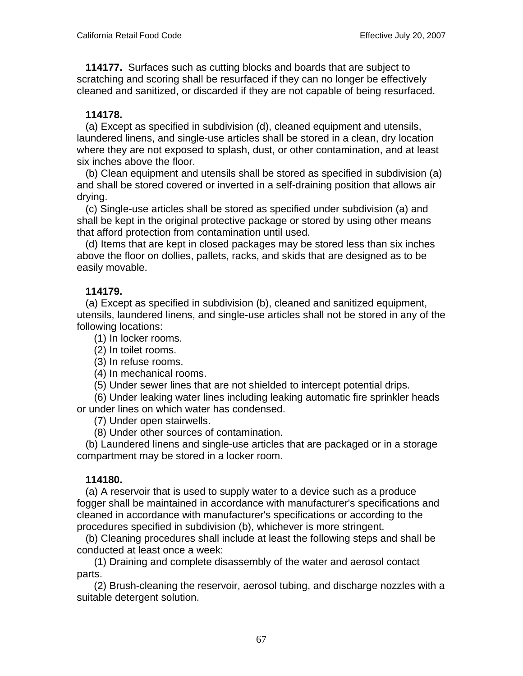**114177.** Surfaces such as cutting blocks and boards that are subject to scratching and scoring shall be resurfaced if they can no longer be effectively cleaned and sanitized, or discarded if they are not capable of being resurfaced.

# **114178.**

 (a) Except as specified in subdivision (d), cleaned equipment and utensils, laundered linens, and single-use articles shall be stored in a clean, dry location where they are not exposed to splash, dust, or other contamination, and at least six inches above the floor.

 (b) Clean equipment and utensils shall be stored as specified in subdivision (a) and shall be stored covered or inverted in a self-draining position that allows air drying.

 (c) Single-use articles shall be stored as specified under subdivision (a) and shall be kept in the original protective package or stored by using other means that afford protection from contamination until used.

 (d) Items that are kept in closed packages may be stored less than six inches above the floor on dollies, pallets, racks, and skids that are designed as to be easily movable.

# **114179.**

 (a) Except as specified in subdivision (b), cleaned and sanitized equipment, utensils, laundered linens, and single-use articles shall not be stored in any of the following locations:

(1) In locker rooms.

(2) In toilet rooms.

(3) In refuse rooms.

(4) In mechanical rooms.

(5) Under sewer lines that are not shielded to intercept potential drips.

 (6) Under leaking water lines including leaking automatic fire sprinkler heads or under lines on which water has condensed.

(7) Under open stairwells.

(8) Under other sources of contamination.

 (b) Laundered linens and single-use articles that are packaged or in a storage compartment may be stored in a locker room.

# **114180.**

 (a) A reservoir that is used to supply water to a device such as a produce fogger shall be maintained in accordance with manufacturer's specifications and cleaned in accordance with manufacturer's specifications or according to the procedures specified in subdivision (b), whichever is more stringent.

 (b) Cleaning procedures shall include at least the following steps and shall be conducted at least once a week:

 (1) Draining and complete disassembly of the water and aerosol contact parts.

 (2) Brush-cleaning the reservoir, aerosol tubing, and discharge nozzles with a suitable detergent solution.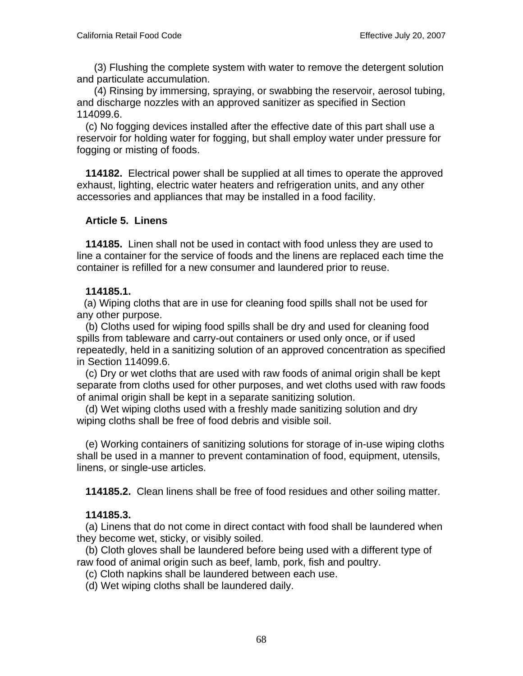(3) Flushing the complete system with water to remove the detergent solution and particulate accumulation.

 (4) Rinsing by immersing, spraying, or swabbing the reservoir, aerosol tubing, and discharge nozzles with an approved sanitizer as specified in Section 114099.6.

 (c) No fogging devices installed after the effective date of this part shall use a reservoir for holding water for fogging, but shall employ water under pressure for fogging or misting of foods.

 **114182.** Electrical power shall be supplied at all times to operate the approved exhaust, lighting, electric water heaters and refrigeration units, and any other accessories and appliances that may be installed in a food facility.

### **Article 5. Linens**

 **114185.** Linen shall not be used in contact with food unless they are used to line a container for the service of foods and the linens are replaced each time the container is refilled for a new consumer and laundered prior to reuse.

### **114185.1.**

 (a) Wiping cloths that are in use for cleaning food spills shall not be used for any other purpose.

 (b) Cloths used for wiping food spills shall be dry and used for cleaning food spills from tableware and carry-out containers or used only once, or if used repeatedly, held in a sanitizing solution of an approved concentration as specified in Section 114099.6.

 (c) Dry or wet cloths that are used with raw foods of animal origin shall be kept separate from cloths used for other purposes, and wet cloths used with raw foods of animal origin shall be kept in a separate sanitizing solution.

 (d) Wet wiping cloths used with a freshly made sanitizing solution and dry wiping cloths shall be free of food debris and visible soil.

 (e) Working containers of sanitizing solutions for storage of in-use wiping cloths shall be used in a manner to prevent contamination of food, equipment, utensils, linens, or single-use articles.

 **114185.2.** Clean linens shall be free of food residues and other soiling matter.

### **114185.3.**

 (a) Linens that do not come in direct contact with food shall be laundered when they become wet, sticky, or visibly soiled.

 (b) Cloth gloves shall be laundered before being used with a different type of raw food of animal origin such as beef, lamb, pork, fish and poultry.

- (c) Cloth napkins shall be laundered between each use.
- (d) Wet wiping cloths shall be laundered daily.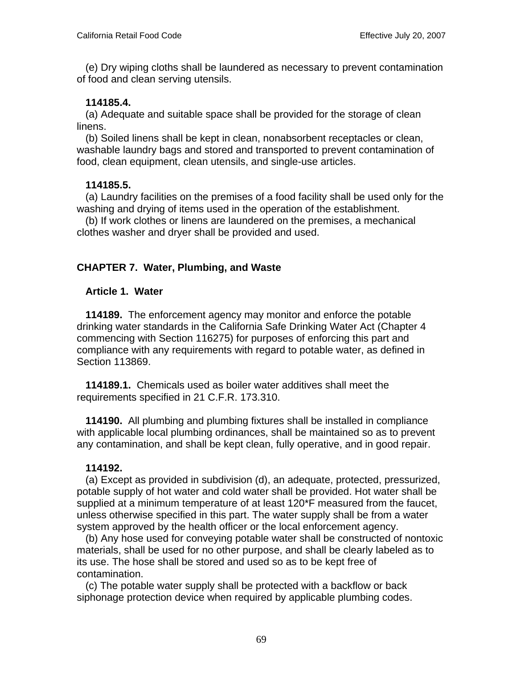(e) Dry wiping cloths shall be laundered as necessary to prevent contamination of food and clean serving utensils.

### **114185.4.**

 (a) Adequate and suitable space shall be provided for the storage of clean linens.

 (b) Soiled linens shall be kept in clean, nonabsorbent receptacles or clean, washable laundry bags and stored and transported to prevent contamination of food, clean equipment, clean utensils, and single-use articles.

### **114185.5.**

 (a) Laundry facilities on the premises of a food facility shall be used only for the washing and drying of items used in the operation of the establishment.

 (b) If work clothes or linens are laundered on the premises, a mechanical clothes washer and dryer shall be provided and used.

# **CHAPTER 7. Water, Plumbing, and Waste**

### **Article 1. Water**

 **114189.** The enforcement agency may monitor and enforce the potable drinking water standards in the California Safe Drinking Water Act (Chapter 4 commencing with Section 116275) for purposes of enforcing this part and compliance with any requirements with regard to potable water, as defined in Section 113869.

 **114189.1.** Chemicals used as boiler water additives shall meet the requirements specified in 21 C.F.R. 173.310.

 **114190.** All plumbing and plumbing fixtures shall be installed in compliance with applicable local plumbing ordinances, shall be maintained so as to prevent any contamination, and shall be kept clean, fully operative, and in good repair.

### **114192.**

 (a) Except as provided in subdivision (d), an adequate, protected, pressurized, potable supply of hot water and cold water shall be provided. Hot water shall be supplied at a minimum temperature of at least 120\*F measured from the faucet, unless otherwise specified in this part. The water supply shall be from a water system approved by the health officer or the local enforcement agency.

 (b) Any hose used for conveying potable water shall be constructed of nontoxic materials, shall be used for no other purpose, and shall be clearly labeled as to its use. The hose shall be stored and used so as to be kept free of contamination.

 (c) The potable water supply shall be protected with a backflow or back siphonage protection device when required by applicable plumbing codes.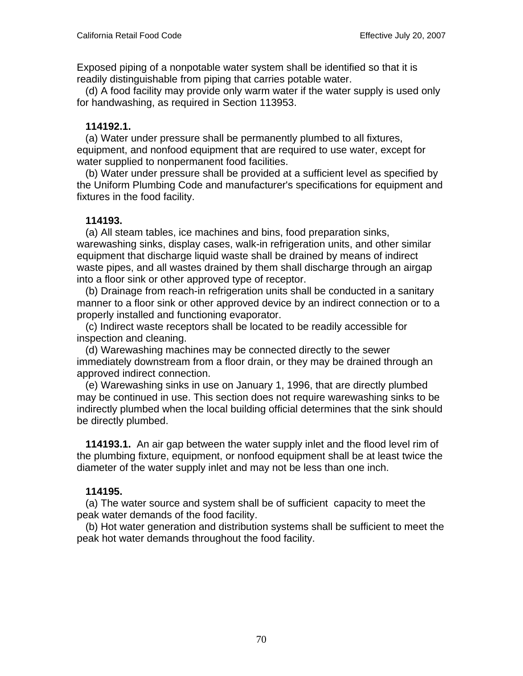Exposed piping of a nonpotable water system shall be identified so that it is readily distinguishable from piping that carries potable water.

 (d) A food facility may provide only warm water if the water supply is used only for handwashing, as required in Section 113953.

### **114192.1.**

 (a) Water under pressure shall be permanently plumbed to all fixtures, equipment, and nonfood equipment that are required to use water, except for water supplied to nonpermanent food facilities.

 (b) Water under pressure shall be provided at a sufficient level as specified by the Uniform Plumbing Code and manufacturer's specifications for equipment and fixtures in the food facility.

# **114193.**

 (a) All steam tables, ice machines and bins, food preparation sinks, warewashing sinks, display cases, walk-in refrigeration units, and other similar equipment that discharge liquid waste shall be drained by means of indirect waste pipes, and all wastes drained by them shall discharge through an airgap into a floor sink or other approved type of receptor.

 (b) Drainage from reach-in refrigeration units shall be conducted in a sanitary manner to a floor sink or other approved device by an indirect connection or to a properly installed and functioning evaporator.

 (c) Indirect waste receptors shall be located to be readily accessible for inspection and cleaning.

 (d) Warewashing machines may be connected directly to the sewer immediately downstream from a floor drain, or they may be drained through an approved indirect connection.

 (e) Warewashing sinks in use on January 1, 1996, that are directly plumbed may be continued in use. This section does not require warewashing sinks to be indirectly plumbed when the local building official determines that the sink should be directly plumbed.

 **114193.1.** An air gap between the water supply inlet and the flood level rim of the plumbing fixture, equipment, or nonfood equipment shall be at least twice the diameter of the water supply inlet and may not be less than one inch.

# **114195.**

 (a) The water source and system shall be of sufficient capacity to meet the peak water demands of the food facility.

 (b) Hot water generation and distribution systems shall be sufficient to meet the peak hot water demands throughout the food facility.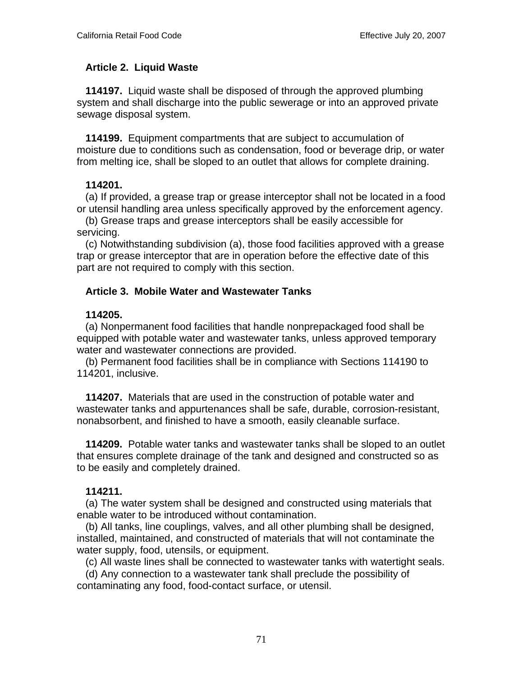### **Article 2. Liquid Waste**

 **114197.** Liquid waste shall be disposed of through the approved plumbing system and shall discharge into the public sewerage or into an approved private sewage disposal system.

 **114199.** Equipment compartments that are subject to accumulation of moisture due to conditions such as condensation, food or beverage drip, or water from melting ice, shall be sloped to an outlet that allows for complete draining.

### **114201.**

 (a) If provided, a grease trap or grease interceptor shall not be located in a food or utensil handling area unless specifically approved by the enforcement agency.

 (b) Grease traps and grease interceptors shall be easily accessible for servicing.

 (c) Notwithstanding subdivision (a), those food facilities approved with a grease trap or grease interceptor that are in operation before the effective date of this part are not required to comply with this section.

# **Article 3. Mobile Water and Wastewater Tanks**

### **114205.**

 (a) Nonpermanent food facilities that handle nonprepackaged food shall be equipped with potable water and wastewater tanks, unless approved temporary water and wastewater connections are provided.

 (b) Permanent food facilities shall be in compliance with Sections 114190 to 114201, inclusive.

 **114207.** Materials that are used in the construction of potable water and wastewater tanks and appurtenances shall be safe, durable, corrosion-resistant, nonabsorbent, and finished to have a smooth, easily cleanable surface.

 **114209.** Potable water tanks and wastewater tanks shall be sloped to an outlet that ensures complete drainage of the tank and designed and constructed so as to be easily and completely drained.

# **114211.**

 (a) The water system shall be designed and constructed using materials that enable water to be introduced without contamination.

 (b) All tanks, line couplings, valves, and all other plumbing shall be designed, installed, maintained, and constructed of materials that will not contaminate the water supply, food, utensils, or equipment.

(c) All waste lines shall be connected to wastewater tanks with watertight seals.

 (d) Any connection to a wastewater tank shall preclude the possibility of contaminating any food, food-contact surface, or utensil.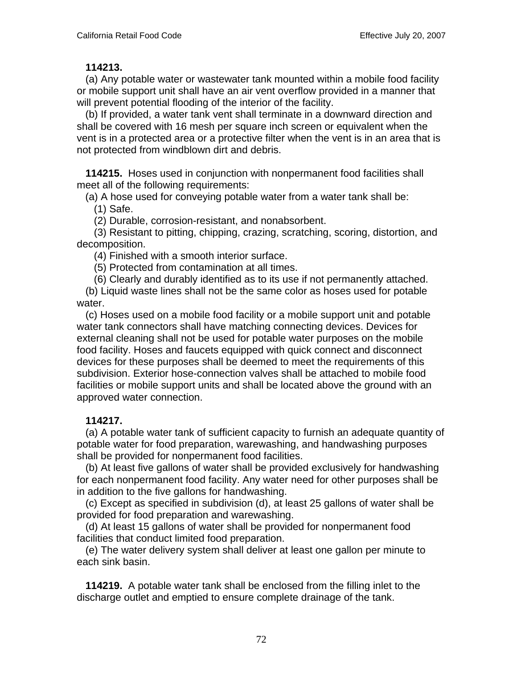#### **114213.**

 (a) Any potable water or wastewater tank mounted within a mobile food facility or mobile support unit shall have an air vent overflow provided in a manner that will prevent potential flooding of the interior of the facility.

 (b) If provided, a water tank vent shall terminate in a downward direction and shall be covered with 16 mesh per square inch screen or equivalent when the vent is in a protected area or a protective filter when the vent is in an area that is not protected from windblown dirt and debris.

 **114215.** Hoses used in conjunction with nonpermanent food facilities shall meet all of the following requirements:

(a) A hose used for conveying potable water from a water tank shall be:

(1) Safe.

(2) Durable, corrosion-resistant, and nonabsorbent.

 (3) Resistant to pitting, chipping, crazing, scratching, scoring, distortion, and decomposition.

(4) Finished with a smooth interior surface.

(5) Protected from contamination at all times.

(6) Clearly and durably identified as to its use if not permanently attached.

 (b) Liquid waste lines shall not be the same color as hoses used for potable water.

 (c) Hoses used on a mobile food facility or a mobile support unit and potable water tank connectors shall have matching connecting devices. Devices for external cleaning shall not be used for potable water purposes on the mobile food facility. Hoses and faucets equipped with quick connect and disconnect devices for these purposes shall be deemed to meet the requirements of this subdivision. Exterior hose-connection valves shall be attached to mobile food facilities or mobile support units and shall be located above the ground with an approved water connection.

# **114217.**

 (a) A potable water tank of sufficient capacity to furnish an adequate quantity of potable water for food preparation, warewashing, and handwashing purposes shall be provided for nonpermanent food facilities.

 (b) At least five gallons of water shall be provided exclusively for handwashing for each nonpermanent food facility. Any water need for other purposes shall be in addition to the five gallons for handwashing.

 (c) Except as specified in subdivision (d), at least 25 gallons of water shall be provided for food preparation and warewashing.

 (d) At least 15 gallons of water shall be provided for nonpermanent food facilities that conduct limited food preparation.

 (e) The water delivery system shall deliver at least one gallon per minute to each sink basin.

 **114219.** A potable water tank shall be enclosed from the filling inlet to the discharge outlet and emptied to ensure complete drainage of the tank.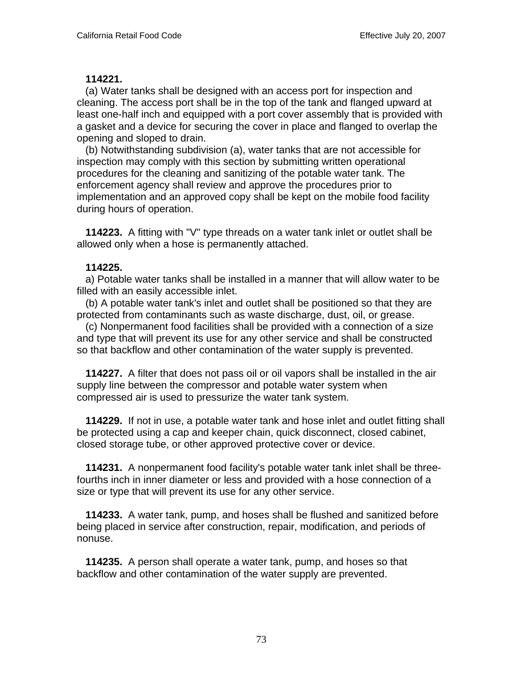### **114221.**

 (a) Water tanks shall be designed with an access port for inspection and cleaning. The access port shall be in the top of the tank and flanged upward at least one-half inch and equipped with a port cover assembly that is provided with a gasket and a device for securing the cover in place and flanged to overlap the opening and sloped to drain.

 (b) Notwithstanding subdivision (a), water tanks that are not accessible for inspection may comply with this section by submitting written operational procedures for the cleaning and sanitizing of the potable water tank. The enforcement agency shall review and approve the procedures prior to implementation and an approved copy shall be kept on the mobile food facility during hours of operation.

 **114223.** A fitting with "V" type threads on a water tank inlet or outlet shall be allowed only when a hose is permanently attached.

### **114225.**

 a) Potable water tanks shall be installed in a manner that will allow water to be filled with an easily accessible inlet.

 (b) A potable water tank's inlet and outlet shall be positioned so that they are protected from contaminants such as waste discharge, dust, oil, or grease.

 (c) Nonpermanent food facilities shall be provided with a connection of a size and type that will prevent its use for any other service and shall be constructed so that backflow and other contamination of the water supply is prevented.

 **114227.** A filter that does not pass oil or oil vapors shall be installed in the air supply line between the compressor and potable water system when compressed air is used to pressurize the water tank system.

 **114229.** If not in use, a potable water tank and hose inlet and outlet fitting shall be protected using a cap and keeper chain, quick disconnect, closed cabinet, closed storage tube, or other approved protective cover or device.

 **114231.** A nonpermanent food facility's potable water tank inlet shall be threefourths inch in inner diameter or less and provided with a hose connection of a size or type that will prevent its use for any other service.

 **114233.** A water tank, pump, and hoses shall be flushed and sanitized before being placed in service after construction, repair, modification, and periods of nonuse.

 **114235.** A person shall operate a water tank, pump, and hoses so that backflow and other contamination of the water supply are prevented.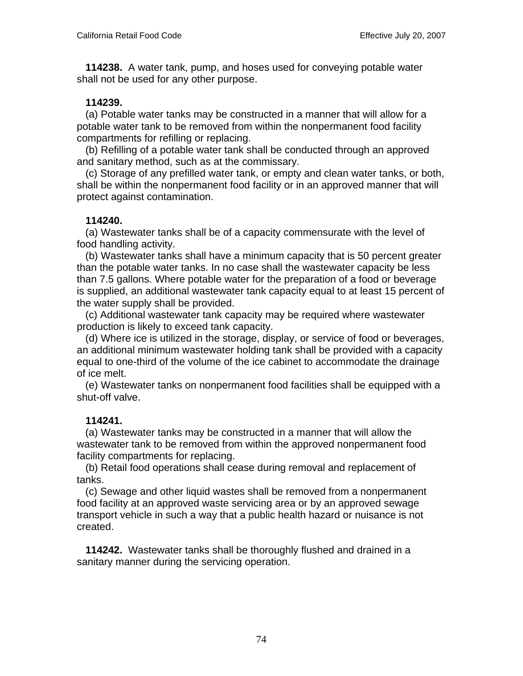**114238.** A water tank, pump, and hoses used for conveying potable water shall not be used for any other purpose.

## **114239.**

 (a) Potable water tanks may be constructed in a manner that will allow for a potable water tank to be removed from within the nonpermanent food facility compartments for refilling or replacing.

 (b) Refilling of a potable water tank shall be conducted through an approved and sanitary method, such as at the commissary.

 (c) Storage of any prefilled water tank, or empty and clean water tanks, or both, shall be within the nonpermanent food facility or in an approved manner that will protect against contamination.

## **114240.**

 (a) Wastewater tanks shall be of a capacity commensurate with the level of food handling activity.

 (b) Wastewater tanks shall have a minimum capacity that is 50 percent greater than the potable water tanks. In no case shall the wastewater capacity be less than 7.5 gallons. Where potable water for the preparation of a food or beverage is supplied, an additional wastewater tank capacity equal to at least 15 percent of the water supply shall be provided.

 (c) Additional wastewater tank capacity may be required where wastewater production is likely to exceed tank capacity.

 (d) Where ice is utilized in the storage, display, or service of food or beverages, an additional minimum wastewater holding tank shall be provided with a capacity equal to one-third of the volume of the ice cabinet to accommodate the drainage of ice melt.

 (e) Wastewater tanks on nonpermanent food facilities shall be equipped with a shut-off valve.

# **114241.**

 (a) Wastewater tanks may be constructed in a manner that will allow the wastewater tank to be removed from within the approved nonpermanent food facility compartments for replacing.

 (b) Retail food operations shall cease during removal and replacement of tanks.

 (c) Sewage and other liquid wastes shall be removed from a nonpermanent food facility at an approved waste servicing area or by an approved sewage transport vehicle in such a way that a public health hazard or nuisance is not created.

 **114242.** Wastewater tanks shall be thoroughly flushed and drained in a sanitary manner during the servicing operation.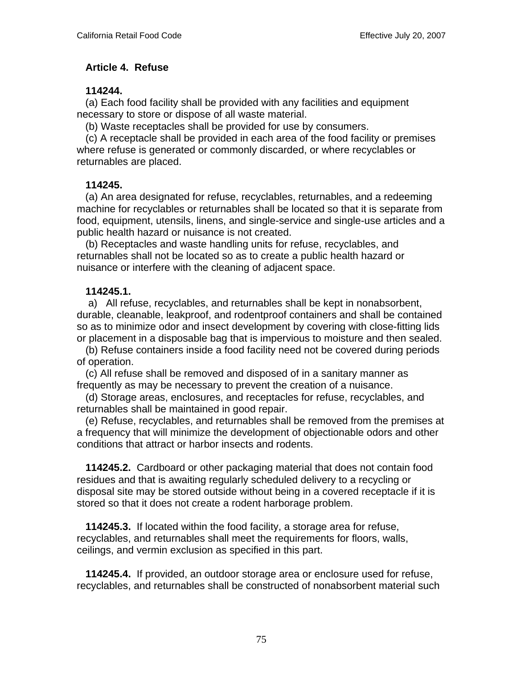## **Article 4. Refuse**

### **114244.**

 (a) Each food facility shall be provided with any facilities and equipment necessary to store or dispose of all waste material.

(b) Waste receptacles shall be provided for use by consumers.

 (c) A receptacle shall be provided in each area of the food facility or premises where refuse is generated or commonly discarded, or where recyclables or returnables are placed.

## **114245.**

 (a) An area designated for refuse, recyclables, returnables, and a redeeming machine for recyclables or returnables shall be located so that it is separate from food, equipment, utensils, linens, and single-service and single-use articles and a public health hazard or nuisance is not created.

 (b) Receptacles and waste handling units for refuse, recyclables, and returnables shall not be located so as to create a public health hazard or nuisance or interfere with the cleaning of adjacent space.

# **114245.1.**

 a) All refuse, recyclables, and returnables shall be kept in nonabsorbent, durable, cleanable, leakproof, and rodentproof containers and shall be contained so as to minimize odor and insect development by covering with close-fitting lids or placement in a disposable bag that is impervious to moisture and then sealed.

 (b) Refuse containers inside a food facility need not be covered during periods of operation.

 (c) All refuse shall be removed and disposed of in a sanitary manner as frequently as may be necessary to prevent the creation of a nuisance.

 (d) Storage areas, enclosures, and receptacles for refuse, recyclables, and returnables shall be maintained in good repair.

 (e) Refuse, recyclables, and returnables shall be removed from the premises at a frequency that will minimize the development of objectionable odors and other conditions that attract or harbor insects and rodents.

 **114245.2.** Cardboard or other packaging material that does not contain food residues and that is awaiting regularly scheduled delivery to a recycling or disposal site may be stored outside without being in a covered receptacle if it is stored so that it does not create a rodent harborage problem.

 **114245.3.** If located within the food facility, a storage area for refuse, recyclables, and returnables shall meet the requirements for floors, walls, ceilings, and vermin exclusion as specified in this part.

 **114245.4.** If provided, an outdoor storage area or enclosure used for refuse, recyclables, and returnables shall be constructed of nonabsorbent material such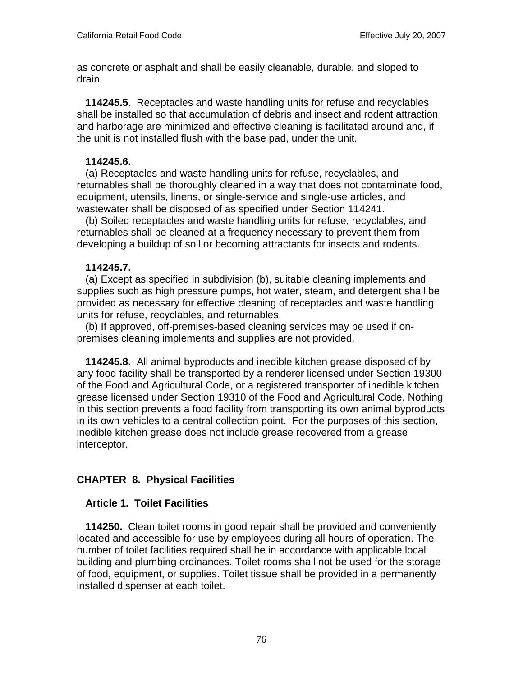as concrete or asphalt and shall be easily cleanable, durable, and sloped to drain.

 **114245.5**. Receptacles and waste handling units for refuse and recyclables shall be installed so that accumulation of debris and insect and rodent attraction and harborage are minimized and effective cleaning is facilitated around and, if the unit is not installed flush with the base pad, under the unit.

### **114245.6.**

 (a) Receptacles and waste handling units for refuse, recyclables, and returnables shall be thoroughly cleaned in a way that does not contaminate food, equipment, utensils, linens, or single-service and single-use articles, and wastewater shall be disposed of as specified under Section 114241.

 (b) Soiled receptacles and waste handling units for refuse, recyclables, and returnables shall be cleaned at a frequency necessary to prevent them from developing a buildup of soil or becoming attractants for insects and rodents.

## **114245.7.**

 (a) Except as specified in subdivision (b), suitable cleaning implements and supplies such as high pressure pumps, hot water, steam, and detergent shall be provided as necessary for effective cleaning of receptacles and waste handling units for refuse, recyclables, and returnables.

 (b) If approved, off-premises-based cleaning services may be used if onpremises cleaning implements and supplies are not provided.

 **114245.8.** All animal byproducts and inedible kitchen grease disposed of by any food facility shall be transported by a renderer licensed under Section 19300 of the Food and Agricultural Code, or a registered transporter of inedible kitchen grease licensed under Section 19310 of the Food and Agricultural Code. Nothing in this section prevents a food facility from transporting its own animal byproducts in its own vehicles to a central collection point. For the purposes of this section, inedible kitchen grease does not include grease recovered from a grease interceptor.

# **CHAPTER 8. Physical Facilities**

### **Article 1. Toilet Facilities**

 **114250.** Clean toilet rooms in good repair shall be provided and conveniently located and accessible for use by employees during all hours of operation. The number of toilet facilities required shall be in accordance with applicable local building and plumbing ordinances. Toilet rooms shall not be used for the storage of food, equipment, or supplies. Toilet tissue shall be provided in a permanently installed dispenser at each toilet.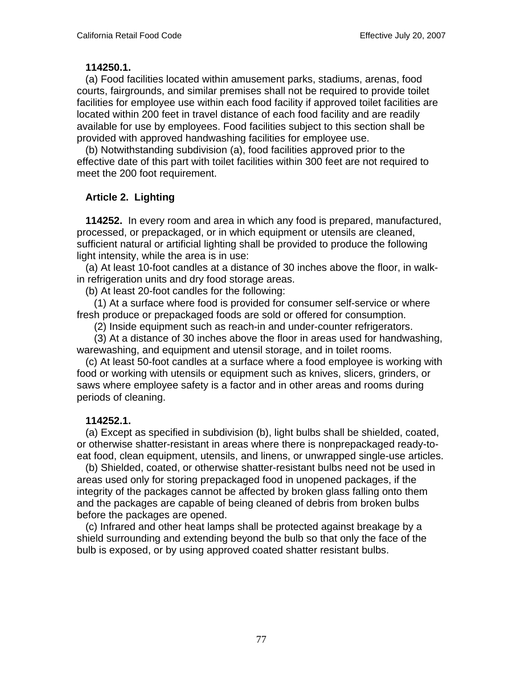### **114250.1.**

 (a) Food facilities located within amusement parks, stadiums, arenas, food courts, fairgrounds, and similar premises shall not be required to provide toilet facilities for employee use within each food facility if approved toilet facilities are located within 200 feet in travel distance of each food facility and are readily available for use by employees. Food facilities subject to this section shall be provided with approved handwashing facilities for employee use.

 (b) Notwithstanding subdivision (a), food facilities approved prior to the effective date of this part with toilet facilities within 300 feet are not required to meet the 200 foot requirement.

## **Article 2. Lighting**

 **114252.** In every room and area in which any food is prepared, manufactured, processed, or prepackaged, or in which equipment or utensils are cleaned, sufficient natural or artificial lighting shall be provided to produce the following light intensity, while the area is in use:

 (a) At least 10-foot candles at a distance of 30 inches above the floor, in walkin refrigeration units and dry food storage areas.

(b) At least 20-foot candles for the following:

 (1) At a surface where food is provided for consumer self-service or where fresh produce or prepackaged foods are sold or offered for consumption.

(2) Inside equipment such as reach-in and under-counter refrigerators.

 (3) At a distance of 30 inches above the floor in areas used for handwashing, warewashing, and equipment and utensil storage, and in toilet rooms.

 (c) At least 50-foot candles at a surface where a food employee is working with food or working with utensils or equipment such as knives, slicers, grinders, or saws where employee safety is a factor and in other areas and rooms during periods of cleaning.

### **114252.1.**

 (a) Except as specified in subdivision (b), light bulbs shall be shielded, coated, or otherwise shatter-resistant in areas where there is nonprepackaged ready-toeat food, clean equipment, utensils, and linens, or unwrapped single-use articles.

 (b) Shielded, coated, or otherwise shatter-resistant bulbs need not be used in areas used only for storing prepackaged food in unopened packages, if the integrity of the packages cannot be affected by broken glass falling onto them and the packages are capable of being cleaned of debris from broken bulbs before the packages are opened.

 (c) Infrared and other heat lamps shall be protected against breakage by a shield surrounding and extending beyond the bulb so that only the face of the bulb is exposed, or by using approved coated shatter resistant bulbs.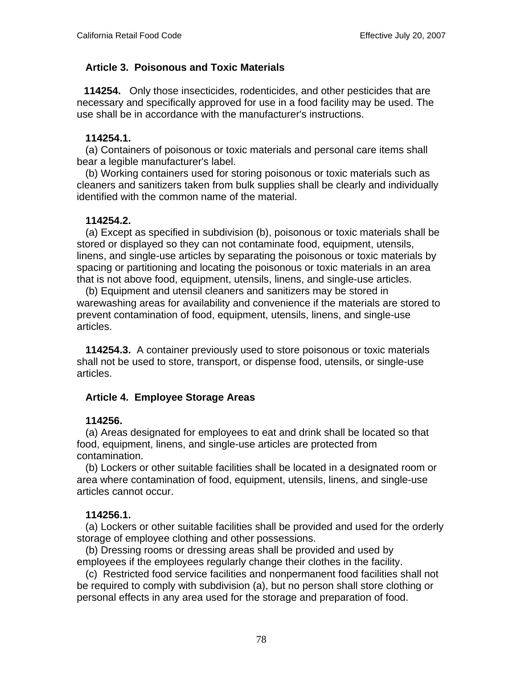# **Article 3. Poisonous and Toxic Materials**

 **114254.** Only those insecticides, rodenticides, and other pesticides that are necessary and specifically approved for use in a food facility may be used. The use shall be in accordance with the manufacturer's instructions.

## **114254.1.**

(a) Containers of poisonous or toxic materials and personal care items shall bear a legible manufacturer's label.

 (b) Working containers used for storing poisonous or toxic materials such as cleaners and sanitizers taken from bulk supplies shall be clearly and individually identified with the common name of the material.

## **114254.2.**

 (a) Except as specified in subdivision (b), poisonous or toxic materials shall be stored or displayed so they can not contaminate food, equipment, utensils, linens, and single-use articles by separating the poisonous or toxic materials by spacing or partitioning and locating the poisonous or toxic materials in an area that is not above food, equipment, utensils, linens, and single-use articles.

 (b) Equipment and utensil cleaners and sanitizers may be stored in warewashing areas for availability and convenience if the materials are stored to prevent contamination of food, equipment, utensils, linens, and single-use articles.

 **114254.3.** A container previously used to store poisonous or toxic materials shall not be used to store, transport, or dispense food, utensils, or single-use articles.

# **Article 4. Employee Storage Areas**

### **114256.**

 (a) Areas designated for employees to eat and drink shall be located so that food, equipment, linens, and single-use articles are protected from contamination.

 (b) Lockers or other suitable facilities shall be located in a designated room or area where contamination of food, equipment, utensils, linens, and single-use articles cannot occur.

### **114256.1.**

 (a) Lockers or other suitable facilities shall be provided and used for the orderly storage of employee clothing and other possessions.

 (b) Dressing rooms or dressing areas shall be provided and used by employees if the employees regularly change their clothes in the facility.

 (c) Restricted food service facilities and nonpermanent food facilities shall not be required to comply with subdivision (a), but no person shall store clothing or personal effects in any area used for the storage and preparation of food.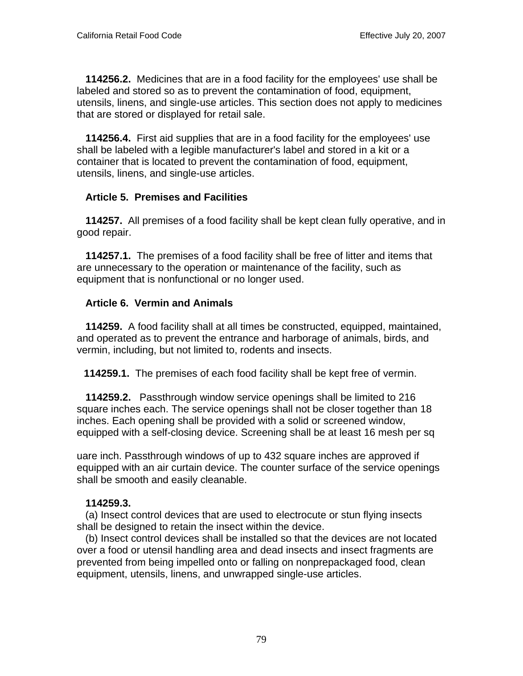**114256.2.** Medicines that are in a food facility for the employees' use shall be labeled and stored so as to prevent the contamination of food, equipment, utensils, linens, and single-use articles. This section does not apply to medicines that are stored or displayed for retail sale.

 **114256.4.** First aid supplies that are in a food facility for the employees' use shall be labeled with a legible manufacturer's label and stored in a kit or a container that is located to prevent the contamination of food, equipment, utensils, linens, and single-use articles.

## **Article 5. Premises and Facilities**

 **114257.** All premises of a food facility shall be kept clean fully operative, and in good repair.

 **114257.1.** The premises of a food facility shall be free of litter and items that are unnecessary to the operation or maintenance of the facility, such as equipment that is nonfunctional or no longer used.

## **Article 6. Vermin and Animals**

 **114259.** A food facility shall at all times be constructed, equipped, maintained, and operated as to prevent the entrance and harborage of animals, birds, and vermin, including, but not limited to, rodents and insects.

 **114259.1.** The premises of each food facility shall be kept free of vermin.

 **114259.2.** Passthrough window service openings shall be limited to 216 square inches each. The service openings shall not be closer together than 18 inches. Each opening shall be provided with a solid or screened window, equipped with a self-closing device. Screening shall be at least 16 mesh per sq

uare inch. Passthrough windows of up to 432 square inches are approved if equipped with an air curtain device. The counter surface of the service openings shall be smooth and easily cleanable.

### **114259.3.**

 (a) Insect control devices that are used to electrocute or stun flying insects shall be designed to retain the insect within the device.

 (b) Insect control devices shall be installed so that the devices are not located over a food or utensil handling area and dead insects and insect fragments are prevented from being impelled onto or falling on nonprepackaged food, clean equipment, utensils, linens, and unwrapped single-use articles.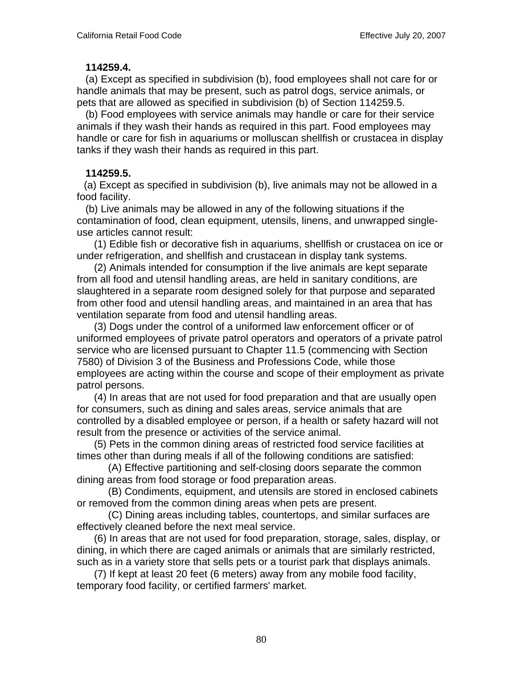#### **114259.4.**

 (a) Except as specified in subdivision (b), food employees shall not care for or handle animals that may be present, such as patrol dogs, service animals, or pets that are allowed as specified in subdivision (b) of Section 114259.5.

 (b) Food employees with service animals may handle or care for their service animals if they wash their hands as required in this part. Food employees may handle or care for fish in aquariums or molluscan shellfish or crustacea in display tanks if they wash their hands as required in this part.

## **114259.5.**

 (a) Except as specified in subdivision (b), live animals may not be allowed in a food facility.

 (b) Live animals may be allowed in any of the following situations if the contamination of food, clean equipment, utensils, linens, and unwrapped singleuse articles cannot result:

 (1) Edible fish or decorative fish in aquariums, shellfish or crustacea on ice or under refrigeration, and shellfish and crustacean in display tank systems.

 (2) Animals intended for consumption if the live animals are kept separate from all food and utensil handling areas, are held in sanitary conditions, are slaughtered in a separate room designed solely for that purpose and separated from other food and utensil handling areas, and maintained in an area that has ventilation separate from food and utensil handling areas.

 (3) Dogs under the control of a uniformed law enforcement officer or of uniformed employees of private patrol operators and operators of a private patrol service who are licensed pursuant to Chapter 11.5 (commencing with Section 7580) of Division 3 of the Business and Professions Code, while those employees are acting within the course and scope of their employment as private patrol persons.

 (4) In areas that are not used for food preparation and that are usually open for consumers, such as dining and sales areas, service animals that are controlled by a disabled employee or person, if a health or safety hazard will not result from the presence or activities of the service animal.

 (5) Pets in the common dining areas of restricted food service facilities at times other than during meals if all of the following conditions are satisfied:

 (A) Effective partitioning and self-closing doors separate the common dining areas from food storage or food preparation areas.

 (B) Condiments, equipment, and utensils are stored in enclosed cabinets or removed from the common dining areas when pets are present.

 (C) Dining areas including tables, countertops, and similar surfaces are effectively cleaned before the next meal service.

 (6) In areas that are not used for food preparation, storage, sales, display, or dining, in which there are caged animals or animals that are similarly restricted, such as in a variety store that sells pets or a tourist park that displays animals.

 (7) If kept at least 20 feet (6 meters) away from any mobile food facility, temporary food facility, or certified farmers' market.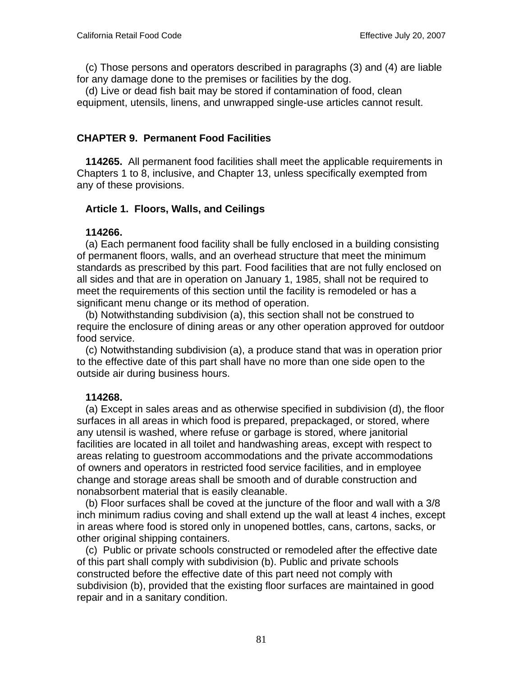(c) Those persons and operators described in paragraphs (3) and (4) are liable for any damage done to the premises or facilities by the dog.

 (d) Live or dead fish bait may be stored if contamination of food, clean equipment, utensils, linens, and unwrapped single-use articles cannot result.

## **CHAPTER 9. Permanent Food Facilities**

 **114265.** All permanent food facilities shall meet the applicable requirements in Chapters 1 to 8, inclusive, and Chapter 13, unless specifically exempted from any of these provisions.

## **Article 1. Floors, Walls, and Ceilings**

### **114266.**

 (a) Each permanent food facility shall be fully enclosed in a building consisting of permanent floors, walls, and an overhead structure that meet the minimum standards as prescribed by this part. Food facilities that are not fully enclosed on all sides and that are in operation on January 1, 1985, shall not be required to meet the requirements of this section until the facility is remodeled or has a significant menu change or its method of operation.

 (b) Notwithstanding subdivision (a), this section shall not be construed to require the enclosure of dining areas or any other operation approved for outdoor food service.

 (c) Notwithstanding subdivision (a), a produce stand that was in operation prior to the effective date of this part shall have no more than one side open to the outside air during business hours.

### **114268.**

 (a) Except in sales areas and as otherwise specified in subdivision (d), the floor surfaces in all areas in which food is prepared, prepackaged, or stored, where any utensil is washed, where refuse or garbage is stored, where janitorial facilities are located in all toilet and handwashing areas, except with respect to areas relating to guestroom accommodations and the private accommodations of owners and operators in restricted food service facilities, and in employee change and storage areas shall be smooth and of durable construction and nonabsorbent material that is easily cleanable.

 (b) Floor surfaces shall be coved at the juncture of the floor and wall with a 3/8 inch minimum radius coving and shall extend up the wall at least 4 inches, except in areas where food is stored only in unopened bottles, cans, cartons, sacks, or other original shipping containers.

 (c) Public or private schools constructed or remodeled after the effective date of this part shall comply with subdivision (b). Public and private schools constructed before the effective date of this part need not comply with subdivision (b), provided that the existing floor surfaces are maintained in good repair and in a sanitary condition.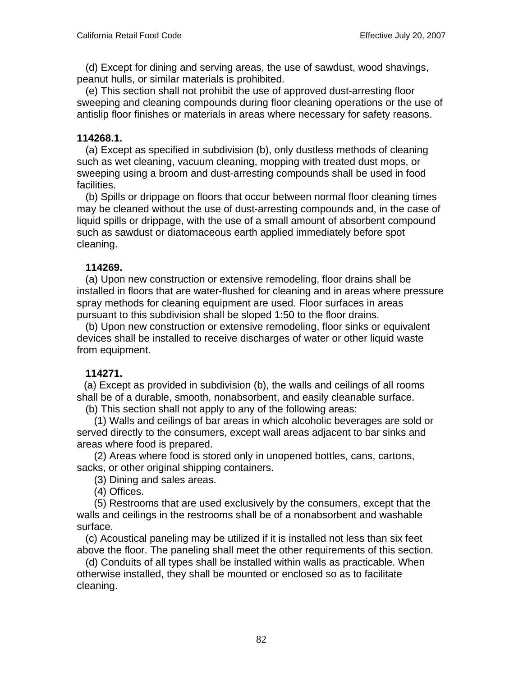(d) Except for dining and serving areas, the use of sawdust, wood shavings, peanut hulls, or similar materials is prohibited.

 (e) This section shall not prohibit the use of approved dust-arresting floor sweeping and cleaning compounds during floor cleaning operations or the use of antislip floor finishes or materials in areas where necessary for safety reasons.

## **114268.1.**

 (a) Except as specified in subdivision (b), only dustless methods of cleaning such as wet cleaning, vacuum cleaning, mopping with treated dust mops, or sweeping using a broom and dust-arresting compounds shall be used in food facilities.

 (b) Spills or drippage on floors that occur between normal floor cleaning times may be cleaned without the use of dust-arresting compounds and, in the case of liquid spills or drippage, with the use of a small amount of absorbent compound such as sawdust or diatomaceous earth applied immediately before spot cleaning.

# **114269.**

 (a) Upon new construction or extensive remodeling, floor drains shall be installed in floors that are water-flushed for cleaning and in areas where pressure spray methods for cleaning equipment are used. Floor surfaces in areas pursuant to this subdivision shall be sloped 1:50 to the floor drains.

 (b) Upon new construction or extensive remodeling, floor sinks or equivalent devices shall be installed to receive discharges of water or other liquid waste from equipment.

# **114271.**

 (a) Except as provided in subdivision (b), the walls and ceilings of all rooms shall be of a durable, smooth, nonabsorbent, and easily cleanable surface.

(b) This section shall not apply to any of the following areas:

 (1) Walls and ceilings of bar areas in which alcoholic beverages are sold or served directly to the consumers, except wall areas adjacent to bar sinks and areas where food is prepared.

 (2) Areas where food is stored only in unopened bottles, cans, cartons, sacks, or other original shipping containers.

(3) Dining and sales areas.

(4) Offices.

 (5) Restrooms that are used exclusively by the consumers, except that the walls and ceilings in the restrooms shall be of a nonabsorbent and washable surface.

 (c) Acoustical paneling may be utilized if it is installed not less than six feet above the floor. The paneling shall meet the other requirements of this section.

 (d) Conduits of all types shall be installed within walls as practicable. When otherwise installed, they shall be mounted or enclosed so as to facilitate cleaning.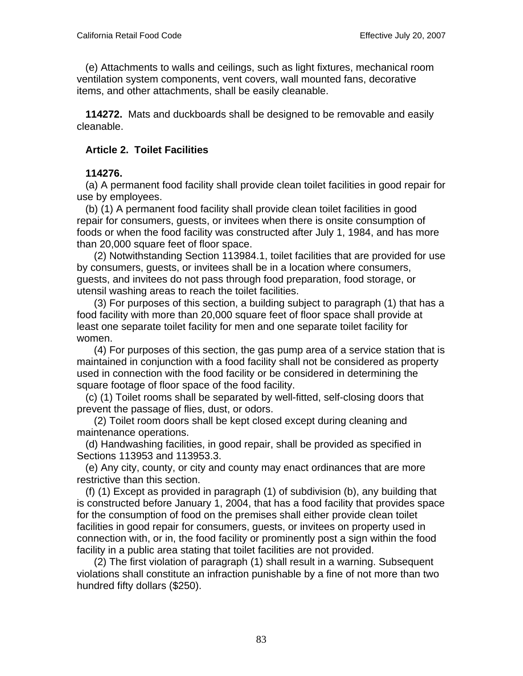(e) Attachments to walls and ceilings, such as light fixtures, mechanical room ventilation system components, vent covers, wall mounted fans, decorative items, and other attachments, shall be easily cleanable.

 **114272.** Mats and duckboards shall be designed to be removable and easily cleanable.

## **Article 2. Toilet Facilities**

## **114276.**

 (a) A permanent food facility shall provide clean toilet facilities in good repair for use by employees.

 (b) (1) A permanent food facility shall provide clean toilet facilities in good repair for consumers, guests, or invitees when there is onsite consumption of foods or when the food facility was constructed after July 1, 1984, and has more than 20,000 square feet of floor space.

 (2) Notwithstanding Section 113984.1, toilet facilities that are provided for use by consumers, guests, or invitees shall be in a location where consumers, guests, and invitees do not pass through food preparation, food storage, or utensil washing areas to reach the toilet facilities.

 (3) For purposes of this section, a building subject to paragraph (1) that has a food facility with more than 20,000 square feet of floor space shall provide at least one separate toilet facility for men and one separate toilet facility for women.

 (4) For purposes of this section, the gas pump area of a service station that is maintained in conjunction with a food facility shall not be considered as property used in connection with the food facility or be considered in determining the square footage of floor space of the food facility.

 (c) (1) Toilet rooms shall be separated by well-fitted, self-closing doors that prevent the passage of flies, dust, or odors.

 (2) Toilet room doors shall be kept closed except during cleaning and maintenance operations.

 (d) Handwashing facilities, in good repair, shall be provided as specified in Sections 113953 and 113953.3.

 (e) Any city, county, or city and county may enact ordinances that are more restrictive than this section.

 (f) (1) Except as provided in paragraph (1) of subdivision (b), any building that is constructed before January 1, 2004, that has a food facility that provides space for the consumption of food on the premises shall either provide clean toilet facilities in good repair for consumers, guests, or invitees on property used in connection with, or in, the food facility or prominently post a sign within the food facility in a public area stating that toilet facilities are not provided.

 (2) The first violation of paragraph (1) shall result in a warning. Subsequent violations shall constitute an infraction punishable by a fine of not more than two hundred fifty dollars (\$250).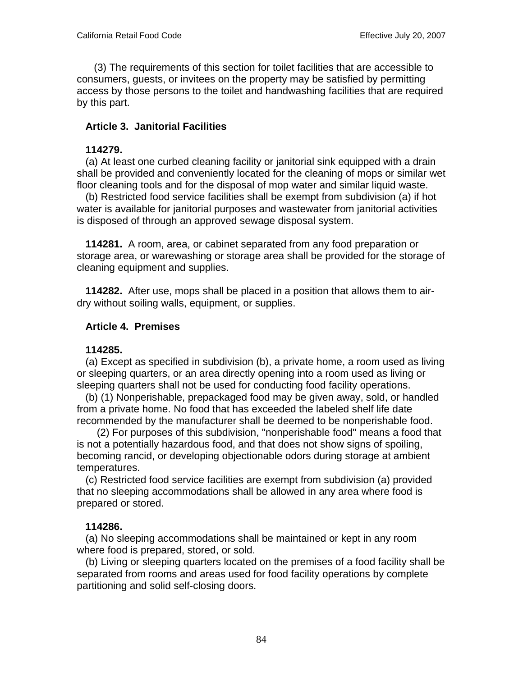(3) The requirements of this section for toilet facilities that are accessible to consumers, guests, or invitees on the property may be satisfied by permitting access by those persons to the toilet and handwashing facilities that are required by this part.

## **Article 3. Janitorial Facilities**

### **114279.**

 (a) At least one curbed cleaning facility or janitorial sink equipped with a drain shall be provided and conveniently located for the cleaning of mops or similar wet floor cleaning tools and for the disposal of mop water and similar liquid waste.

 (b) Restricted food service facilities shall be exempt from subdivision (a) if hot water is available for janitorial purposes and wastewater from janitorial activities is disposed of through an approved sewage disposal system.

 **114281.** A room, area, or cabinet separated from any food preparation or storage area, or warewashing or storage area shall be provided for the storage of cleaning equipment and supplies.

 **114282.** After use, mops shall be placed in a position that allows them to airdry without soiling walls, equipment, or supplies.

### **Article 4. Premises**

### **114285.**

 (a) Except as specified in subdivision (b), a private home, a room used as living or sleeping quarters, or an area directly opening into a room used as living or sleeping quarters shall not be used for conducting food facility operations.

 (b) (1) Nonperishable, prepackaged food may be given away, sold, or handled from a private home. No food that has exceeded the labeled shelf life date recommended by the manufacturer shall be deemed to be nonperishable food.

 (2) For purposes of this subdivision, "nonperishable food" means a food that is not a potentially hazardous food, and that does not show signs of spoiling, becoming rancid, or developing objectionable odors during storage at ambient temperatures.

 (c) Restricted food service facilities are exempt from subdivision (a) provided that no sleeping accommodations shall be allowed in any area where food is prepared or stored.

### **114286.**

 (a) No sleeping accommodations shall be maintained or kept in any room where food is prepared, stored, or sold.

 (b) Living or sleeping quarters located on the premises of a food facility shall be separated from rooms and areas used for food facility operations by complete partitioning and solid self-closing doors.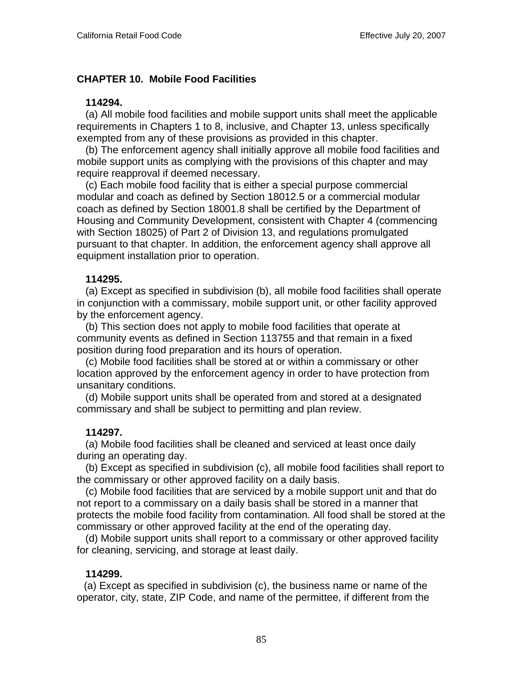## **CHAPTER 10. Mobile Food Facilities**

#### **114294.**

 (a) All mobile food facilities and mobile support units shall meet the applicable requirements in Chapters 1 to 8, inclusive, and Chapter 13, unless specifically exempted from any of these provisions as provided in this chapter.

 (b) The enforcement agency shall initially approve all mobile food facilities and mobile support units as complying with the provisions of this chapter and may require reapproval if deemed necessary.

 (c) Each mobile food facility that is either a special purpose commercial modular and coach as defined by Section 18012.5 or a commercial modular coach as defined by Section 18001.8 shall be certified by the Department of Housing and Community Development, consistent with Chapter 4 (commencing with Section 18025) of Part 2 of Division 13, and regulations promulgated pursuant to that chapter. In addition, the enforcement agency shall approve all equipment installation prior to operation.

### **114295.**

 (a) Except as specified in subdivision (b), all mobile food facilities shall operate in conjunction with a commissary, mobile support unit, or other facility approved by the enforcement agency.

 (b) This section does not apply to mobile food facilities that operate at community events as defined in Section 113755 and that remain in a fixed position during food preparation and its hours of operation.

 (c) Mobile food facilities shall be stored at or within a commissary or other location approved by the enforcement agency in order to have protection from unsanitary conditions.

 (d) Mobile support units shall be operated from and stored at a designated commissary and shall be subject to permitting and plan review.

#### **114297.**

 (a) Mobile food facilities shall be cleaned and serviced at least once daily during an operating day.

 (b) Except as specified in subdivision (c), all mobile food facilities shall report to the commissary or other approved facility on a daily basis.

 (c) Mobile food facilities that are serviced by a mobile support unit and that do not report to a commissary on a daily basis shall be stored in a manner that protects the mobile food facility from contamination. All food shall be stored at the commissary or other approved facility at the end of the operating day.

 (d) Mobile support units shall report to a commissary or other approved facility for cleaning, servicing, and storage at least daily.

#### **114299.**

 (a) Except as specified in subdivision (c), the business name or name of the operator, city, state, ZIP Code, and name of the permittee, if different from the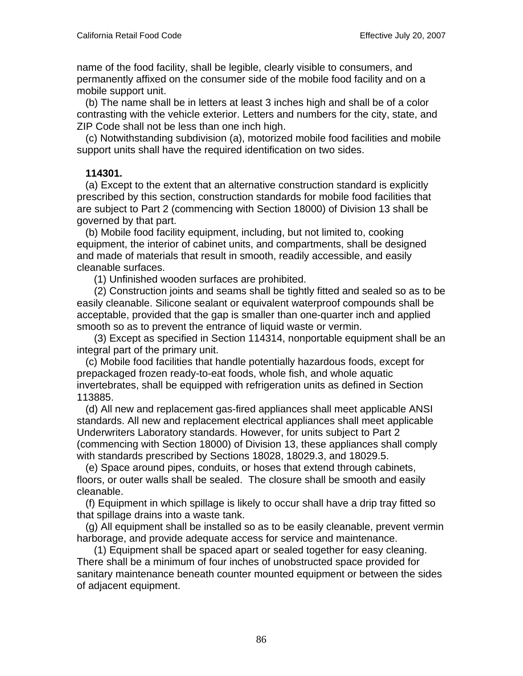name of the food facility, shall be legible, clearly visible to consumers, and permanently affixed on the consumer side of the mobile food facility and on a mobile support unit.

 (b) The name shall be in letters at least 3 inches high and shall be of a color contrasting with the vehicle exterior. Letters and numbers for the city, state, and ZIP Code shall not be less than one inch high.

 (c) Notwithstanding subdivision (a), motorized mobile food facilities and mobile support units shall have the required identification on two sides.

### **114301.**

 (a) Except to the extent that an alternative construction standard is explicitly prescribed by this section, construction standards for mobile food facilities that are subject to Part 2 (commencing with Section 18000) of Division 13 shall be governed by that part.

 (b) Mobile food facility equipment, including, but not limited to, cooking equipment, the interior of cabinet units, and compartments, shall be designed and made of materials that result in smooth, readily accessible, and easily cleanable surfaces.

(1) Unfinished wooden surfaces are prohibited.

 (2) Construction joints and seams shall be tightly fitted and sealed so as to be easily cleanable. Silicone sealant or equivalent waterproof compounds shall be acceptable, provided that the gap is smaller than one-quarter inch and applied smooth so as to prevent the entrance of liquid waste or vermin.

 (3) Except as specified in Section 114314, nonportable equipment shall be an integral part of the primary unit.

 (c) Mobile food facilities that handle potentially hazardous foods, except for prepackaged frozen ready-to-eat foods, whole fish, and whole aquatic invertebrates, shall be equipped with refrigeration units as defined in Section 113885.

 (d) All new and replacement gas-fired appliances shall meet applicable ANSI standards. All new and replacement electrical appliances shall meet applicable Underwriters Laboratory standards. However, for units subject to Part 2 (commencing with Section 18000) of Division 13, these appliances shall comply with standards prescribed by Sections 18028, 18029.3, and 18029.5.

 (e) Space around pipes, conduits, or hoses that extend through cabinets, floors, or outer walls shall be sealed. The closure shall be smooth and easily cleanable.

 (f) Equipment in which spillage is likely to occur shall have a drip tray fitted so that spillage drains into a waste tank.

 (g) All equipment shall be installed so as to be easily cleanable, prevent vermin harborage, and provide adequate access for service and maintenance.

 (1) Equipment shall be spaced apart or sealed together for easy cleaning. There shall be a minimum of four inches of unobstructed space provided for sanitary maintenance beneath counter mounted equipment or between the sides of adjacent equipment.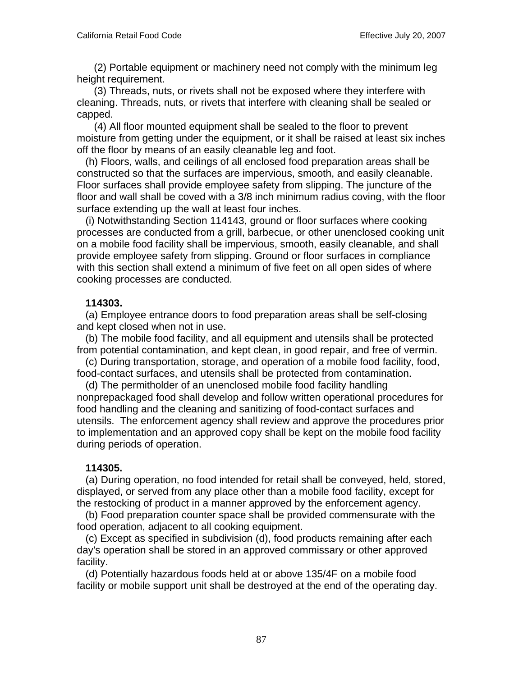(2) Portable equipment or machinery need not comply with the minimum leg height requirement.

 (3) Threads, nuts, or rivets shall not be exposed where they interfere with cleaning. Threads, nuts, or rivets that interfere with cleaning shall be sealed or capped.

 (4) All floor mounted equipment shall be sealed to the floor to prevent moisture from getting under the equipment, or it shall be raised at least six inches off the floor by means of an easily cleanable leg and foot.

 (h) Floors, walls, and ceilings of all enclosed food preparation areas shall be constructed so that the surfaces are impervious, smooth, and easily cleanable. Floor surfaces shall provide employee safety from slipping. The juncture of the floor and wall shall be coved with a 3/8 inch minimum radius coving, with the floor surface extending up the wall at least four inches.

 (i) Notwithstanding Section 114143, ground or floor surfaces where cooking processes are conducted from a grill, barbecue, or other unenclosed cooking unit on a mobile food facility shall be impervious, smooth, easily cleanable, and shall provide employee safety from slipping. Ground or floor surfaces in compliance with this section shall extend a minimum of five feet on all open sides of where cooking processes are conducted.

### **114303.**

 (a) Employee entrance doors to food preparation areas shall be self-closing and kept closed when not in use.

 (b) The mobile food facility, and all equipment and utensils shall be protected from potential contamination, and kept clean, in good repair, and free of vermin.

 (c) During transportation, storage, and operation of a mobile food facility, food, food-contact surfaces, and utensils shall be protected from contamination.

 (d) The permitholder of an unenclosed mobile food facility handling nonprepackaged food shall develop and follow written operational procedures for food handling and the cleaning and sanitizing of food-contact surfaces and utensils. The enforcement agency shall review and approve the procedures prior to implementation and an approved copy shall be kept on the mobile food facility during periods of operation.

### **114305.**

 (a) During operation, no food intended for retail shall be conveyed, held, stored, displayed, or served from any place other than a mobile food facility, except for the restocking of product in a manner approved by the enforcement agency.

 (b) Food preparation counter space shall be provided commensurate with the food operation, adjacent to all cooking equipment.

 (c) Except as specified in subdivision (d), food products remaining after each day's operation shall be stored in an approved commissary or other approved facility.

 (d) Potentially hazardous foods held at or above 135/4F on a mobile food facility or mobile support unit shall be destroyed at the end of the operating day.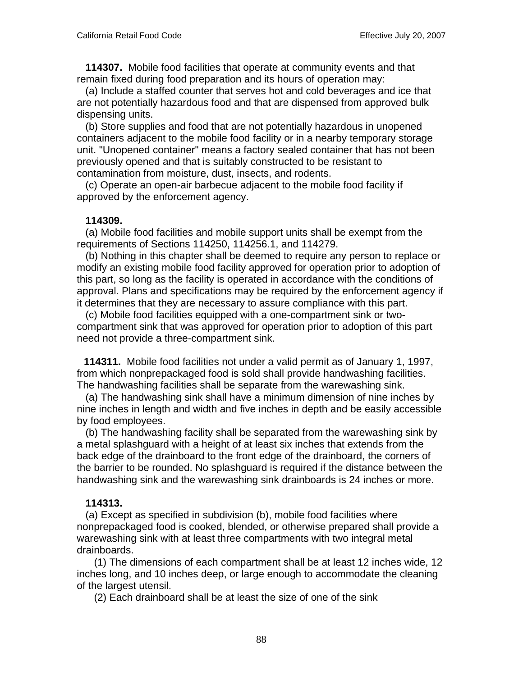**114307.** Mobile food facilities that operate at community events and that remain fixed during food preparation and its hours of operation may:

 (a) Include a staffed counter that serves hot and cold beverages and ice that are not potentially hazardous food and that are dispensed from approved bulk dispensing units.

 (b) Store supplies and food that are not potentially hazardous in unopened containers adjacent to the mobile food facility or in a nearby temporary storage unit. "Unopened container" means a factory sealed container that has not been previously opened and that is suitably constructed to be resistant to contamination from moisture, dust, insects, and rodents.

 (c) Operate an open-air barbecue adjacent to the mobile food facility if approved by the enforcement agency.

#### **114309.**

 (a) Mobile food facilities and mobile support units shall be exempt from the requirements of Sections 114250, 114256.1, and 114279.

 (b) Nothing in this chapter shall be deemed to require any person to replace or modify an existing mobile food facility approved for operation prior to adoption of this part, so long as the facility is operated in accordance with the conditions of approval. Plans and specifications may be required by the enforcement agency if it determines that they are necessary to assure compliance with this part.

 (c) Mobile food facilities equipped with a one-compartment sink or twocompartment sink that was approved for operation prior to adoption of this part need not provide a three-compartment sink.

 **114311.** Mobile food facilities not under a valid permit as of January 1, 1997, from which nonprepackaged food is sold shall provide handwashing facilities. The handwashing facilities shall be separate from the warewashing sink.

 (a) The handwashing sink shall have a minimum dimension of nine inches by nine inches in length and width and five inches in depth and be easily accessible by food employees.

 (b) The handwashing facility shall be separated from the warewashing sink by a metal splashguard with a height of at least six inches that extends from the back edge of the drainboard to the front edge of the drainboard, the corners of the barrier to be rounded. No splashguard is required if the distance between the handwashing sink and the warewashing sink drainboards is 24 inches or more.

#### **114313.**

 (a) Except as specified in subdivision (b), mobile food facilities where nonprepackaged food is cooked, blended, or otherwise prepared shall provide a warewashing sink with at least three compartments with two integral metal drainboards.

 (1) The dimensions of each compartment shall be at least 12 inches wide, 12 inches long, and 10 inches deep, or large enough to accommodate the cleaning of the largest utensil.

(2) Each drainboard shall be at least the size of one of the sink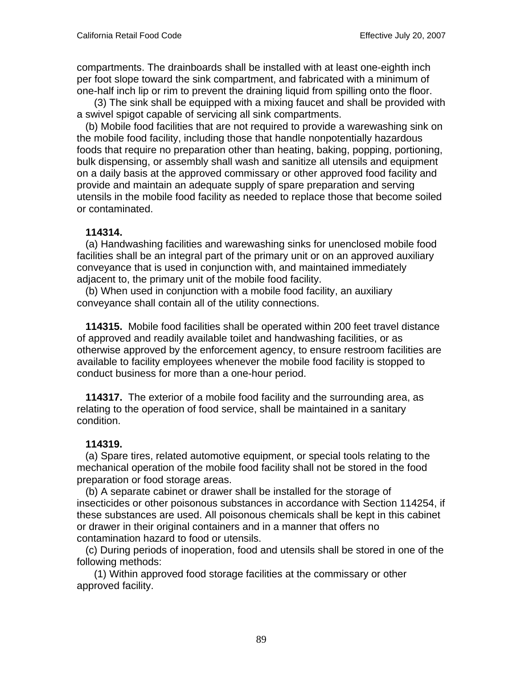compartments. The drainboards shall be installed with at least one-eighth inch per foot slope toward the sink compartment, and fabricated with a minimum of one-half inch lip or rim to prevent the draining liquid from spilling onto the floor.

 (3) The sink shall be equipped with a mixing faucet and shall be provided with a swivel spigot capable of servicing all sink compartments.

 (b) Mobile food facilities that are not required to provide a warewashing sink on the mobile food facility, including those that handle nonpotentially hazardous foods that require no preparation other than heating, baking, popping, portioning, bulk dispensing, or assembly shall wash and sanitize all utensils and equipment on a daily basis at the approved commissary or other approved food facility and provide and maintain an adequate supply of spare preparation and serving utensils in the mobile food facility as needed to replace those that become soiled or contaminated.

# **114314.**

 (a) Handwashing facilities and warewashing sinks for unenclosed mobile food facilities shall be an integral part of the primary unit or on an approved auxiliary conveyance that is used in conjunction with, and maintained immediately adjacent to, the primary unit of the mobile food facility.

 (b) When used in conjunction with a mobile food facility, an auxiliary conveyance shall contain all of the utility connections.

 **114315.** Mobile food facilities shall be operated within 200 feet travel distance of approved and readily available toilet and handwashing facilities, or as otherwise approved by the enforcement agency, to ensure restroom facilities are available to facility employees whenever the mobile food facility is stopped to conduct business for more than a one-hour period.

 **114317.** The exterior of a mobile food facility and the surrounding area, as relating to the operation of food service, shall be maintained in a sanitary condition.

# **114319.**

 (a) Spare tires, related automotive equipment, or special tools relating to the mechanical operation of the mobile food facility shall not be stored in the food preparation or food storage areas.

 (b) A separate cabinet or drawer shall be installed for the storage of insecticides or other poisonous substances in accordance with Section 114254, if these substances are used. All poisonous chemicals shall be kept in this cabinet or drawer in their original containers and in a manner that offers no contamination hazard to food or utensils.

 (c) During periods of inoperation, food and utensils shall be stored in one of the following methods:

 (1) Within approved food storage facilities at the commissary or other approved facility.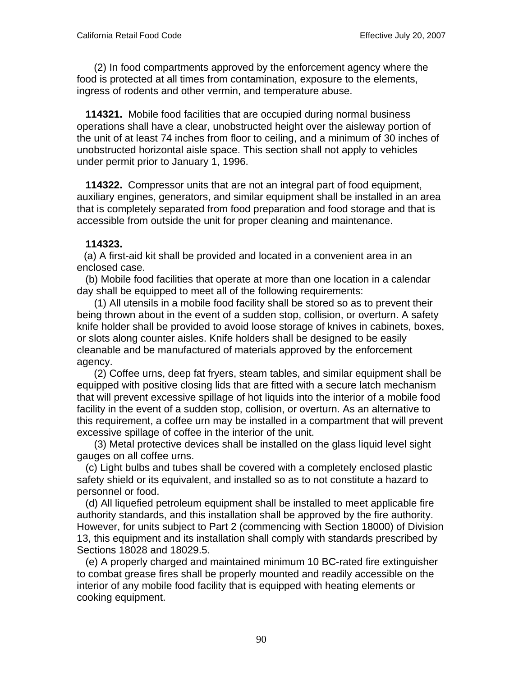(2) In food compartments approved by the enforcement agency where the food is protected at all times from contamination, exposure to the elements, ingress of rodents and other vermin, and temperature abuse.

 **114321.** Mobile food facilities that are occupied during normal business operations shall have a clear, unobstructed height over the aisleway portion of the unit of at least 74 inches from floor to ceiling, and a minimum of 30 inches of unobstructed horizontal aisle space. This section shall not apply to vehicles under permit prior to January 1, 1996.

 **114322.** Compressor units that are not an integral part of food equipment, auxiliary engines, generators, and similar equipment shall be installed in an area that is completely separated from food preparation and food storage and that is accessible from outside the unit for proper cleaning and maintenance.

### **114323.**

 (a) A first-aid kit shall be provided and located in a convenient area in an enclosed case.

 (b) Mobile food facilities that operate at more than one location in a calendar day shall be equipped to meet all of the following requirements:

 (1) All utensils in a mobile food facility shall be stored so as to prevent their being thrown about in the event of a sudden stop, collision, or overturn. A safety knife holder shall be provided to avoid loose storage of knives in cabinets, boxes, or slots along counter aisles. Knife holders shall be designed to be easily cleanable and be manufactured of materials approved by the enforcement agency.

 (2) Coffee urns, deep fat fryers, steam tables, and similar equipment shall be equipped with positive closing lids that are fitted with a secure latch mechanism that will prevent excessive spillage of hot liquids into the interior of a mobile food facility in the event of a sudden stop, collision, or overturn. As an alternative to this requirement, a coffee urn may be installed in a compartment that will prevent excessive spillage of coffee in the interior of the unit.

 (3) Metal protective devices shall be installed on the glass liquid level sight gauges on all coffee urns.

 (c) Light bulbs and tubes shall be covered with a completely enclosed plastic safety shield or its equivalent, and installed so as to not constitute a hazard to personnel or food.

 (d) All liquefied petroleum equipment shall be installed to meet applicable fire authority standards, and this installation shall be approved by the fire authority. However, for units subject to Part 2 (commencing with Section 18000) of Division 13, this equipment and its installation shall comply with standards prescribed by Sections 18028 and 18029.5.

 (e) A properly charged and maintained minimum 10 BC-rated fire extinguisher to combat grease fires shall be properly mounted and readily accessible on the interior of any mobile food facility that is equipped with heating elements or cooking equipment.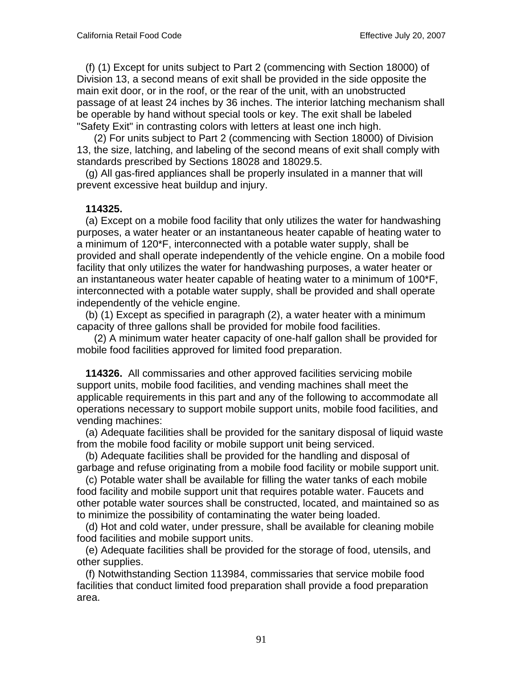(f) (1) Except for units subject to Part 2 (commencing with Section 18000) of Division 13, a second means of exit shall be provided in the side opposite the main exit door, or in the roof, or the rear of the unit, with an unobstructed passage of at least 24 inches by 36 inches. The interior latching mechanism shall be operable by hand without special tools or key. The exit shall be labeled "Safety Exit" in contrasting colors with letters at least one inch high.

 (2) For units subject to Part 2 (commencing with Section 18000) of Division 13, the size, latching, and labeling of the second means of exit shall comply with standards prescribed by Sections 18028 and 18029.5.

 (g) All gas-fired appliances shall be properly insulated in a manner that will prevent excessive heat buildup and injury.

### **114325.**

 (a) Except on a mobile food facility that only utilizes the water for handwashing purposes, a water heater or an instantaneous heater capable of heating water to a minimum of 120\*F, interconnected with a potable water supply, shall be provided and shall operate independently of the vehicle engine. On a mobile food facility that only utilizes the water for handwashing purposes, a water heater or an instantaneous water heater capable of heating water to a minimum of 100\*F, interconnected with a potable water supply, shall be provided and shall operate independently of the vehicle engine.

 (b) (1) Except as specified in paragraph (2), a water heater with a minimum capacity of three gallons shall be provided for mobile food facilities.

 (2) A minimum water heater capacity of one-half gallon shall be provided for mobile food facilities approved for limited food preparation.

 **114326.** All commissaries and other approved facilities servicing mobile support units, mobile food facilities, and vending machines shall meet the applicable requirements in this part and any of the following to accommodate all operations necessary to support mobile support units, mobile food facilities, and vending machines:

 (a) Adequate facilities shall be provided for the sanitary disposal of liquid waste from the mobile food facility or mobile support unit being serviced.

 (b) Adequate facilities shall be provided for the handling and disposal of garbage and refuse originating from a mobile food facility or mobile support unit.

 (c) Potable water shall be available for filling the water tanks of each mobile food facility and mobile support unit that requires potable water. Faucets and other potable water sources shall be constructed, located, and maintained so as to minimize the possibility of contaminating the water being loaded.

 (d) Hot and cold water, under pressure, shall be available for cleaning mobile food facilities and mobile support units.

 (e) Adequate facilities shall be provided for the storage of food, utensils, and other supplies.

 (f) Notwithstanding Section 113984, commissaries that service mobile food facilities that conduct limited food preparation shall provide a food preparation area.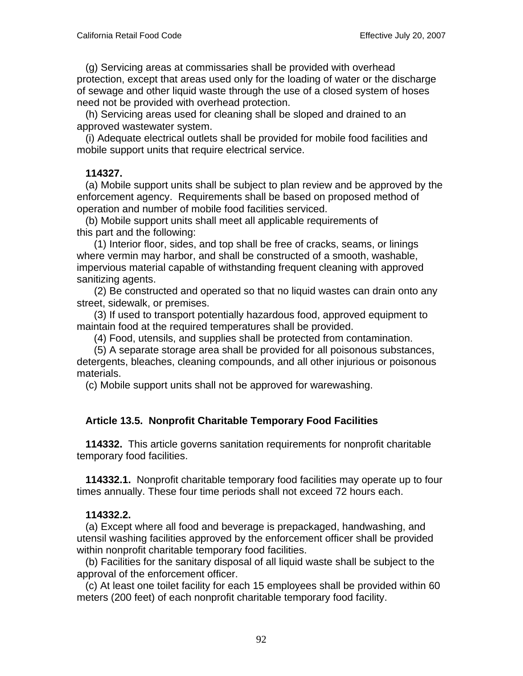(g) Servicing areas at commissaries shall be provided with overhead protection, except that areas used only for the loading of water or the discharge of sewage and other liquid waste through the use of a closed system of hoses need not be provided with overhead protection.

 (h) Servicing areas used for cleaning shall be sloped and drained to an approved wastewater system.

 (i) Adequate electrical outlets shall be provided for mobile food facilities and mobile support units that require electrical service.

### **114327.**

 (a) Mobile support units shall be subject to plan review and be approved by the enforcement agency. Requirements shall be based on proposed method of operation and number of mobile food facilities serviced.

 (b) Mobile support units shall meet all applicable requirements of this part and the following:

 (1) Interior floor, sides, and top shall be free of cracks, seams, or linings where vermin may harbor, and shall be constructed of a smooth, washable, impervious material capable of withstanding frequent cleaning with approved sanitizing agents.

 (2) Be constructed and operated so that no liquid wastes can drain onto any street, sidewalk, or premises.

 (3) If used to transport potentially hazardous food, approved equipment to maintain food at the required temperatures shall be provided.

(4) Food, utensils, and supplies shall be protected from contamination.

 (5) A separate storage area shall be provided for all poisonous substances, detergents, bleaches, cleaning compounds, and all other injurious or poisonous materials.

(c) Mobile support units shall not be approved for warewashing.

# **Article 13.5. Nonprofit Charitable Temporary Food Facilities**

 **114332.** This article governs sanitation requirements for nonprofit charitable temporary food facilities.

 **114332.1.** Nonprofit charitable temporary food facilities may operate up to four times annually. These four time periods shall not exceed 72 hours each.

# **114332.2.**

 (a) Except where all food and beverage is prepackaged, handwashing, and utensil washing facilities approved by the enforcement officer shall be provided within nonprofit charitable temporary food facilities.

 (b) Facilities for the sanitary disposal of all liquid waste shall be subject to the approval of the enforcement officer.

 (c) At least one toilet facility for each 15 employees shall be provided within 60 meters (200 feet) of each nonprofit charitable temporary food facility.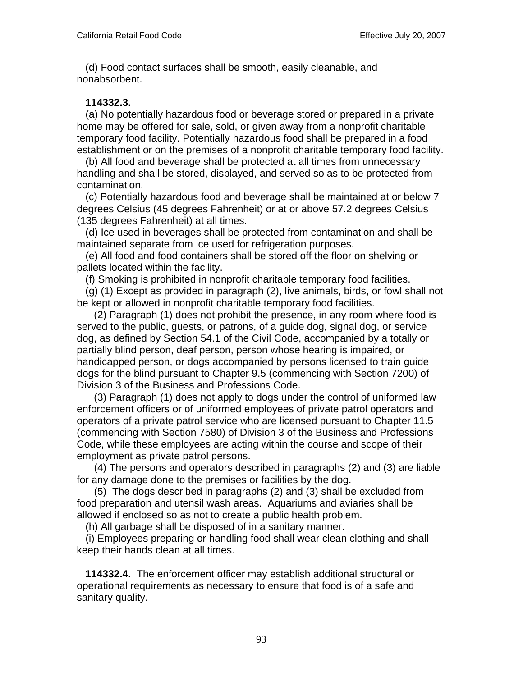(d) Food contact surfaces shall be smooth, easily cleanable, and nonabsorbent.

### **114332.3.**

 (a) No potentially hazardous food or beverage stored or prepared in a private home may be offered for sale, sold, or given away from a nonprofit charitable temporary food facility. Potentially hazardous food shall be prepared in a food establishment or on the premises of a nonprofit charitable temporary food facility.

 (b) All food and beverage shall be protected at all times from unnecessary handling and shall be stored, displayed, and served so as to be protected from contamination.

 (c) Potentially hazardous food and beverage shall be maintained at or below 7 degrees Celsius (45 degrees Fahrenheit) or at or above 57.2 degrees Celsius (135 degrees Fahrenheit) at all times.

 (d) Ice used in beverages shall be protected from contamination and shall be maintained separate from ice used for refrigeration purposes.

 (e) All food and food containers shall be stored off the floor on shelving or pallets located within the facility.

(f) Smoking is prohibited in nonprofit charitable temporary food facilities.

 (g) (1) Except as provided in paragraph (2), live animals, birds, or fowl shall not be kept or allowed in nonprofit charitable temporary food facilities.

 (2) Paragraph (1) does not prohibit the presence, in any room where food is served to the public, guests, or patrons, of a guide dog, signal dog, or service dog, as defined by Section 54.1 of the Civil Code, accompanied by a totally or partially blind person, deaf person, person whose hearing is impaired, or handicapped person, or dogs accompanied by persons licensed to train guide dogs for the blind pursuant to Chapter 9.5 (commencing with Section 7200) of Division 3 of the Business and Professions Code.

 (3) Paragraph (1) does not apply to dogs under the control of uniformed law enforcement officers or of uniformed employees of private patrol operators and operators of a private patrol service who are licensed pursuant to Chapter 11.5 (commencing with Section 7580) of Division 3 of the Business and Professions Code, while these employees are acting within the course and scope of their employment as private patrol persons.

 (4) The persons and operators described in paragraphs (2) and (3) are liable for any damage done to the premises or facilities by the dog.

 (5) The dogs described in paragraphs (2) and (3) shall be excluded from food preparation and utensil wash areas. Aquariums and aviaries shall be allowed if enclosed so as not to create a public health problem.

(h) All garbage shall be disposed of in a sanitary manner.

 (i) Employees preparing or handling food shall wear clean clothing and shall keep their hands clean at all times.

 **114332.4.** The enforcement officer may establish additional structural or operational requirements as necessary to ensure that food is of a safe and sanitary quality.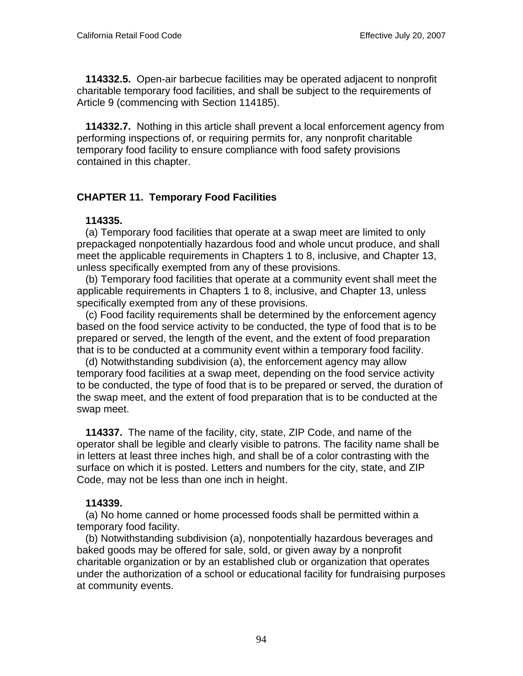**114332.5.** Open-air barbecue facilities may be operated adjacent to nonprofit charitable temporary food facilities, and shall be subject to the requirements of Article 9 (commencing with Section 114185).

 **114332.7.** Nothing in this article shall prevent a local enforcement agency from performing inspections of, or requiring permits for, any nonprofit charitable temporary food facility to ensure compliance with food safety provisions contained in this chapter.

# **CHAPTER 11. Temporary Food Facilities**

### **114335.**

 (a) Temporary food facilities that operate at a swap meet are limited to only prepackaged nonpotentially hazardous food and whole uncut produce, and shall meet the applicable requirements in Chapters 1 to 8, inclusive, and Chapter 13, unless specifically exempted from any of these provisions.

 (b) Temporary food facilities that operate at a community event shall meet the applicable requirements in Chapters 1 to 8, inclusive, and Chapter 13, unless specifically exempted from any of these provisions.

 (c) Food facility requirements shall be determined by the enforcement agency based on the food service activity to be conducted, the type of food that is to be prepared or served, the length of the event, and the extent of food preparation that is to be conducted at a community event within a temporary food facility.

 (d) Notwithstanding subdivision (a), the enforcement agency may allow temporary food facilities at a swap meet, depending on the food service activity to be conducted, the type of food that is to be prepared or served, the duration of the swap meet, and the extent of food preparation that is to be conducted at the swap meet.

 **114337.** The name of the facility, city, state, ZIP Code, and name of the operator shall be legible and clearly visible to patrons. The facility name shall be in letters at least three inches high, and shall be of a color contrasting with the surface on which it is posted. Letters and numbers for the city, state, and ZIP Code, may not be less than one inch in height.

# **114339.**

 (a) No home canned or home processed foods shall be permitted within a temporary food facility.

 (b) Notwithstanding subdivision (a), nonpotentially hazardous beverages and baked goods may be offered for sale, sold, or given away by a nonprofit charitable organization or by an established club or organization that operates under the authorization of a school or educational facility for fundraising purposes at community events.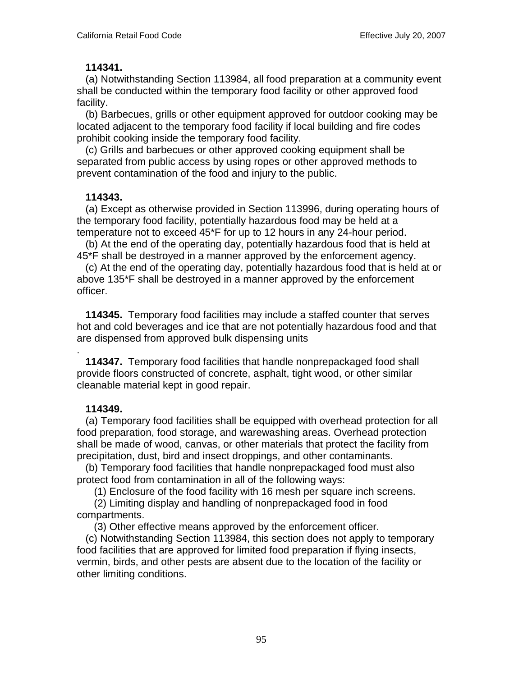### **114341.**

 (a) Notwithstanding Section 113984, all food preparation at a community event shall be conducted within the temporary food facility or other approved food facility.

 (b) Barbecues, grills or other equipment approved for outdoor cooking may be located adjacent to the temporary food facility if local building and fire codes prohibit cooking inside the temporary food facility.

 (c) Grills and barbecues or other approved cooking equipment shall be separated from public access by using ropes or other approved methods to prevent contamination of the food and injury to the public.

### **114343.**

 (a) Except as otherwise provided in Section 113996, during operating hours of the temporary food facility, potentially hazardous food may be held at a temperature not to exceed 45\*F for up to 12 hours in any 24-hour period.

 (b) At the end of the operating day, potentially hazardous food that is held at 45\*F shall be destroyed in a manner approved by the enforcement agency.

 (c) At the end of the operating day, potentially hazardous food that is held at or above 135\*F shall be destroyed in a manner approved by the enforcement officer.

 **114345.** Temporary food facilities may include a staffed counter that serves hot and cold beverages and ice that are not potentially hazardous food and that are dispensed from approved bulk dispensing units

.  **114347.** Temporary food facilities that handle nonprepackaged food shall provide floors constructed of concrete, asphalt, tight wood, or other similar cleanable material kept in good repair.

# **114349.**

 (a) Temporary food facilities shall be equipped with overhead protection for all food preparation, food storage, and warewashing areas. Overhead protection shall be made of wood, canvas, or other materials that protect the facility from precipitation, dust, bird and insect droppings, and other contaminants.

 (b) Temporary food facilities that handle nonprepackaged food must also protect food from contamination in all of the following ways:

(1) Enclosure of the food facility with 16 mesh per square inch screens.

 (2) Limiting display and handling of nonprepackaged food in food compartments.

(3) Other effective means approved by the enforcement officer.

 (c) Notwithstanding Section 113984, this section does not apply to temporary food facilities that are approved for limited food preparation if flying insects, vermin, birds, and other pests are absent due to the location of the facility or other limiting conditions.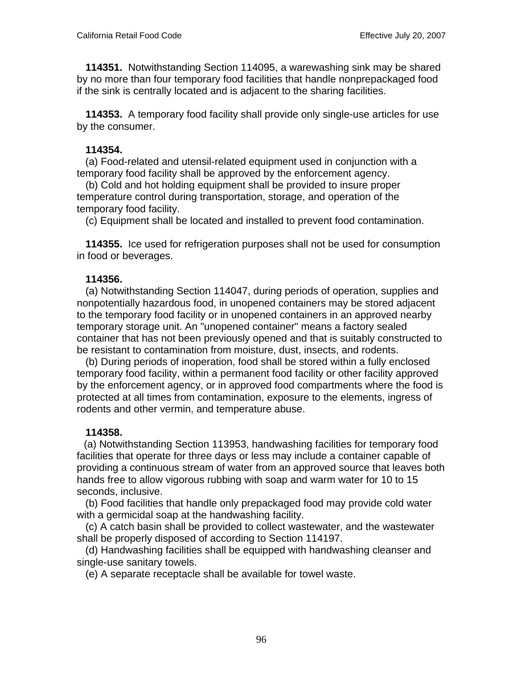**114351.** Notwithstanding Section 114095, a warewashing sink may be shared by no more than four temporary food facilities that handle nonprepackaged food if the sink is centrally located and is adjacent to the sharing facilities.

 **114353.** A temporary food facility shall provide only single-use articles for use by the consumer.

## **114354.**

 (a) Food-related and utensil-related equipment used in conjunction with a temporary food facility shall be approved by the enforcement agency.

 (b) Cold and hot holding equipment shall be provided to insure proper temperature control during transportation, storage, and operation of the temporary food facility.

(c) Equipment shall be located and installed to prevent food contamination.

 **114355.** Ice used for refrigeration purposes shall not be used for consumption in food or beverages.

# **114356.**

 (a) Notwithstanding Section 114047, during periods of operation, supplies and nonpotentially hazardous food, in unopened containers may be stored adjacent to the temporary food facility or in unopened containers in an approved nearby temporary storage unit. An "unopened container" means a factory sealed container that has not been previously opened and that is suitably constructed to be resistant to contamination from moisture, dust, insects, and rodents.

 (b) During periods of inoperation, food shall be stored within a fully enclosed temporary food facility, within a permanent food facility or other facility approved by the enforcement agency, or in approved food compartments where the food is protected at all times from contamination, exposure to the elements, ingress of rodents and other vermin, and temperature abuse.

# **114358.**

 (a) Notwithstanding Section 113953, handwashing facilities for temporary food facilities that operate for three days or less may include a container capable of providing a continuous stream of water from an approved source that leaves both hands free to allow vigorous rubbing with soap and warm water for 10 to 15 seconds, inclusive.

 (b) Food facilities that handle only prepackaged food may provide cold water with a germicidal soap at the handwashing facility.

 (c) A catch basin shall be provided to collect wastewater, and the wastewater shall be properly disposed of according to Section 114197.

 (d) Handwashing facilities shall be equipped with handwashing cleanser and single-use sanitary towels.

(e) A separate receptacle shall be available for towel waste.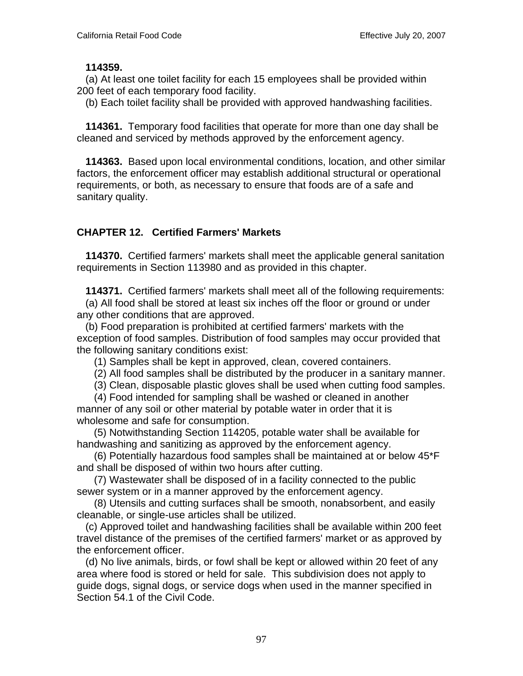### **114359.**

 (a) At least one toilet facility for each 15 employees shall be provided within 200 feet of each temporary food facility.

(b) Each toilet facility shall be provided with approved handwashing facilities.

 **114361.** Temporary food facilities that operate for more than one day shall be cleaned and serviced by methods approved by the enforcement agency.

 **114363.** Based upon local environmental conditions, location, and other similar factors, the enforcement officer may establish additional structural or operational requirements, or both, as necessary to ensure that foods are of a safe and sanitary quality.

# **CHAPTER 12. Certified Farmers' Markets**

 **114370.** Certified farmers' markets shall meet the applicable general sanitation requirements in Section 113980 and as provided in this chapter.

 **114371.** Certified farmers' markets shall meet all of the following requirements:

 (a) All food shall be stored at least six inches off the floor or ground or under any other conditions that are approved.

 (b) Food preparation is prohibited at certified farmers' markets with the exception of food samples. Distribution of food samples may occur provided that the following sanitary conditions exist:

(1) Samples shall be kept in approved, clean, covered containers.

(2) All food samples shall be distributed by the producer in a sanitary manner.

(3) Clean, disposable plastic gloves shall be used when cutting food samples.

 (4) Food intended for sampling shall be washed or cleaned in another manner of any soil or other material by potable water in order that it is wholesome and safe for consumption.

 (5) Notwithstanding Section 114205, potable water shall be available for handwashing and sanitizing as approved by the enforcement agency.

 (6) Potentially hazardous food samples shall be maintained at or below 45\*F and shall be disposed of within two hours after cutting.

 (7) Wastewater shall be disposed of in a facility connected to the public sewer system or in a manner approved by the enforcement agency.

 (8) Utensils and cutting surfaces shall be smooth, nonabsorbent, and easily cleanable, or single-use articles shall be utilized.

 (c) Approved toilet and handwashing facilities shall be available within 200 feet travel distance of the premises of the certified farmers' market or as approved by the enforcement officer.

 (d) No live animals, birds, or fowl shall be kept or allowed within 20 feet of any area where food is stored or held for sale. This subdivision does not apply to guide dogs, signal dogs, or service dogs when used in the manner specified in Section 54.1 of the Civil Code.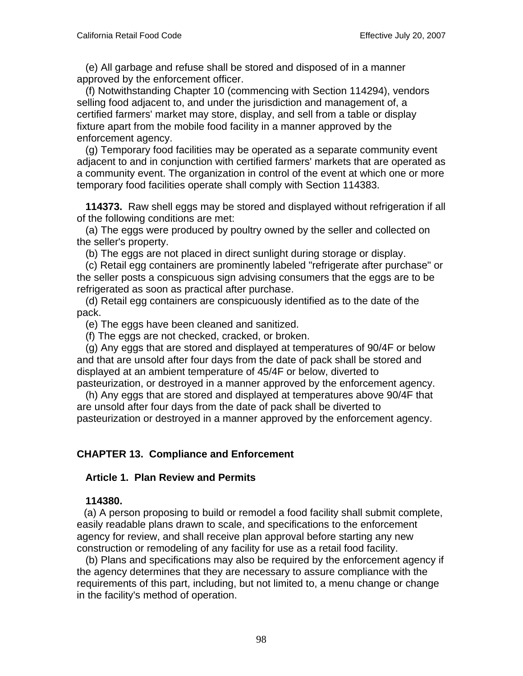(e) All garbage and refuse shall be stored and disposed of in a manner approved by the enforcement officer.

 (f) Notwithstanding Chapter 10 (commencing with Section 114294), vendors selling food adjacent to, and under the jurisdiction and management of, a certified farmers' market may store, display, and sell from a table or display fixture apart from the mobile food facility in a manner approved by the enforcement agency.

 (g) Temporary food facilities may be operated as a separate community event adjacent to and in conjunction with certified farmers' markets that are operated as a community event. The organization in control of the event at which one or more temporary food facilities operate shall comply with Section 114383.

 **114373.** Raw shell eggs may be stored and displayed without refrigeration if all of the following conditions are met:

 (a) The eggs were produced by poultry owned by the seller and collected on the seller's property.

(b) The eggs are not placed in direct sunlight during storage or display.

 (c) Retail egg containers are prominently labeled "refrigerate after purchase" or the seller posts a conspicuous sign advising consumers that the eggs are to be refrigerated as soon as practical after purchase.

 (d) Retail egg containers are conspicuously identified as to the date of the pack.

(e) The eggs have been cleaned and sanitized.

(f) The eggs are not checked, cracked, or broken.

 (g) Any eggs that are stored and displayed at temperatures of 90/4F or below and that are unsold after four days from the date of pack shall be stored and displayed at an ambient temperature of 45/4F or below, diverted to pasteurization, or destroyed in a manner approved by the enforcement agency.

 (h) Any eggs that are stored and displayed at temperatures above 90/4F that are unsold after four days from the date of pack shall be diverted to pasteurization or destroyed in a manner approved by the enforcement agency.

# **CHAPTER 13. Compliance and Enforcement**

### **Article 1. Plan Review and Permits**

### **114380.**

 (a) A person proposing to build or remodel a food facility shall submit complete, easily readable plans drawn to scale, and specifications to the enforcement agency for review, and shall receive plan approval before starting any new construction or remodeling of any facility for use as a retail food facility.

 (b) Plans and specifications may also be required by the enforcement agency if the agency determines that they are necessary to assure compliance with the requirements of this part, including, but not limited to, a menu change or change in the facility's method of operation.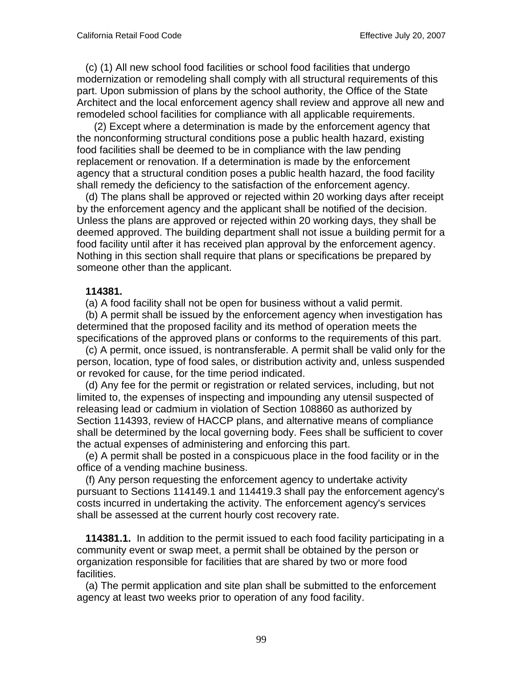(c) (1) All new school food facilities or school food facilities that undergo modernization or remodeling shall comply with all structural requirements of this part. Upon submission of plans by the school authority, the Office of the State Architect and the local enforcement agency shall review and approve all new and remodeled school facilities for compliance with all applicable requirements.

 (2) Except where a determination is made by the enforcement agency that the nonconforming structural conditions pose a public health hazard, existing food facilities shall be deemed to be in compliance with the law pending replacement or renovation. If a determination is made by the enforcement agency that a structural condition poses a public health hazard, the food facility shall remedy the deficiency to the satisfaction of the enforcement agency.

 (d) The plans shall be approved or rejected within 20 working days after receipt by the enforcement agency and the applicant shall be notified of the decision. Unless the plans are approved or rejected within 20 working days, they shall be deemed approved. The building department shall not issue a building permit for a food facility until after it has received plan approval by the enforcement agency. Nothing in this section shall require that plans or specifications be prepared by someone other than the applicant.

### **114381.**

(a) A food facility shall not be open for business without a valid permit.

 (b) A permit shall be issued by the enforcement agency when investigation has determined that the proposed facility and its method of operation meets the specifications of the approved plans or conforms to the requirements of this part.

 (c) A permit, once issued, is nontransferable. A permit shall be valid only for the person, location, type of food sales, or distribution activity and, unless suspended or revoked for cause, for the time period indicated.

 (d) Any fee for the permit or registration or related services, including, but not limited to, the expenses of inspecting and impounding any utensil suspected of releasing lead or cadmium in violation of Section 108860 as authorized by Section 114393, review of HACCP plans, and alternative means of compliance shall be determined by the local governing body. Fees shall be sufficient to cover the actual expenses of administering and enforcing this part.

 (e) A permit shall be posted in a conspicuous place in the food facility or in the office of a vending machine business.

 (f) Any person requesting the enforcement agency to undertake activity pursuant to Sections 114149.1 and 114419.3 shall pay the enforcement agency's costs incurred in undertaking the activity. The enforcement agency's services shall be assessed at the current hourly cost recovery rate.

 **114381.1.** In addition to the permit issued to each food facility participating in a community event or swap meet, a permit shall be obtained by the person or organization responsible for facilities that are shared by two or more food facilities.

 (a) The permit application and site plan shall be submitted to the enforcement agency at least two weeks prior to operation of any food facility.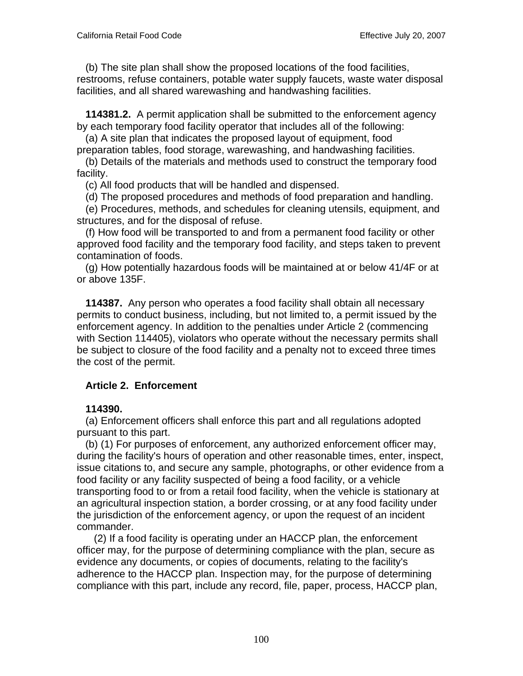(b) The site plan shall show the proposed locations of the food facilities, restrooms, refuse containers, potable water supply faucets, waste water disposal facilities, and all shared warewashing and handwashing facilities.

 **114381.2.** A permit application shall be submitted to the enforcement agency by each temporary food facility operator that includes all of the following:

 (a) A site plan that indicates the proposed layout of equipment, food preparation tables, food storage, warewashing, and handwashing facilities.

 (b) Details of the materials and methods used to construct the temporary food facility.

(c) All food products that will be handled and dispensed.

(d) The proposed procedures and methods of food preparation and handling.

 (e) Procedures, methods, and schedules for cleaning utensils, equipment, and structures, and for the disposal of refuse.

 (f) How food will be transported to and from a permanent food facility or other approved food facility and the temporary food facility, and steps taken to prevent contamination of foods.

 (g) How potentially hazardous foods will be maintained at or below 41/4F or at or above 135F.

 **114387.** Any person who operates a food facility shall obtain all necessary permits to conduct business, including, but not limited to, a permit issued by the enforcement agency. In addition to the penalties under Article 2 (commencing with Section 114405), violators who operate without the necessary permits shall be subject to closure of the food facility and a penalty not to exceed three times the cost of the permit.

# **Article 2. Enforcement**

### **114390.**

 (a) Enforcement officers shall enforce this part and all regulations adopted pursuant to this part.

 (b) (1) For purposes of enforcement, any authorized enforcement officer may, during the facility's hours of operation and other reasonable times, enter, inspect, issue citations to, and secure any sample, photographs, or other evidence from a food facility or any facility suspected of being a food facility, or a vehicle transporting food to or from a retail food facility, when the vehicle is stationary at an agricultural inspection station, a border crossing, or at any food facility under the jurisdiction of the enforcement agency, or upon the request of an incident commander.

 (2) If a food facility is operating under an HACCP plan, the enforcement officer may, for the purpose of determining compliance with the plan, secure as evidence any documents, or copies of documents, relating to the facility's adherence to the HACCP plan. Inspection may, for the purpose of determining compliance with this part, include any record, file, paper, process, HACCP plan,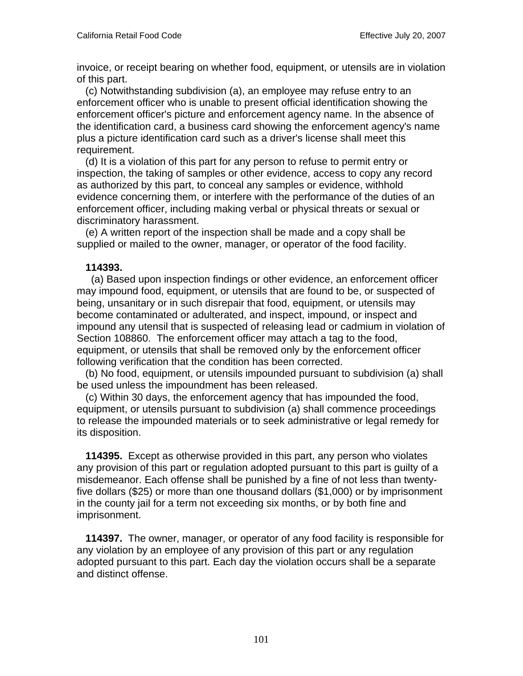invoice, or receipt bearing on whether food, equipment, or utensils are in violation of this part.

 (c) Notwithstanding subdivision (a), an employee may refuse entry to an enforcement officer who is unable to present official identification showing the enforcement officer's picture and enforcement agency name. In the absence of the identification card, a business card showing the enforcement agency's name plus a picture identification card such as a driver's license shall meet this requirement.

 (d) It is a violation of this part for any person to refuse to permit entry or inspection, the taking of samples or other evidence, access to copy any record as authorized by this part, to conceal any samples or evidence, withhold evidence concerning them, or interfere with the performance of the duties of an enforcement officer, including making verbal or physical threats or sexual or discriminatory harassment.

 (e) A written report of the inspection shall be made and a copy shall be supplied or mailed to the owner, manager, or operator of the food facility.

## **114393.**

 (a) Based upon inspection findings or other evidence, an enforcement officer may impound food, equipment, or utensils that are found to be, or suspected of being, unsanitary or in such disrepair that food, equipment, or utensils may become contaminated or adulterated, and inspect, impound, or inspect and impound any utensil that is suspected of releasing lead or cadmium in violation of Section 108860. The enforcement officer may attach a tag to the food, equipment, or utensils that shall be removed only by the enforcement officer following verification that the condition has been corrected.

 (b) No food, equipment, or utensils impounded pursuant to subdivision (a) shall be used unless the impoundment has been released.

 (c) Within 30 days, the enforcement agency that has impounded the food, equipment, or utensils pursuant to subdivision (a) shall commence proceedings to release the impounded materials or to seek administrative or legal remedy for its disposition.

 **114395.** Except as otherwise provided in this part, any person who violates any provision of this part or regulation adopted pursuant to this part is guilty of a misdemeanor. Each offense shall be punished by a fine of not less than twentyfive dollars (\$25) or more than one thousand dollars (\$1,000) or by imprisonment in the county jail for a term not exceeding six months, or by both fine and imprisonment.

 **114397.** The owner, manager, or operator of any food facility is responsible for any violation by an employee of any provision of this part or any regulation adopted pursuant to this part. Each day the violation occurs shall be a separate and distinct offense.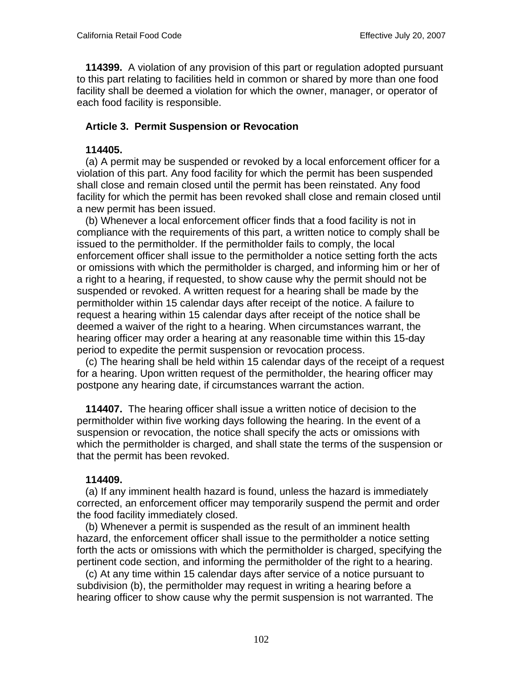**114399.** A violation of any provision of this part or regulation adopted pursuant to this part relating to facilities held in common or shared by more than one food facility shall be deemed a violation for which the owner, manager, or operator of each food facility is responsible.

# **Article 3. Permit Suspension or Revocation**

### **114405.**

 (a) A permit may be suspended or revoked by a local enforcement officer for a violation of this part. Any food facility for which the permit has been suspended shall close and remain closed until the permit has been reinstated. Any food facility for which the permit has been revoked shall close and remain closed until a new permit has been issued.

 (b) Whenever a local enforcement officer finds that a food facility is not in compliance with the requirements of this part, a written notice to comply shall be issued to the permitholder. If the permitholder fails to comply, the local enforcement officer shall issue to the permitholder a notice setting forth the acts or omissions with which the permitholder is charged, and informing him or her of a right to a hearing, if requested, to show cause why the permit should not be suspended or revoked. A written request for a hearing shall be made by the permitholder within 15 calendar days after receipt of the notice. A failure to request a hearing within 15 calendar days after receipt of the notice shall be deemed a waiver of the right to a hearing. When circumstances warrant, the hearing officer may order a hearing at any reasonable time within this 15-day period to expedite the permit suspension or revocation process.

 (c) The hearing shall be held within 15 calendar days of the receipt of a request for a hearing. Upon written request of the permitholder, the hearing officer may postpone any hearing date, if circumstances warrant the action.

 **114407.** The hearing officer shall issue a written notice of decision to the permitholder within five working days following the hearing. In the event of a suspension or revocation, the notice shall specify the acts or omissions with which the permitholder is charged, and shall state the terms of the suspension or that the permit has been revoked.

# **114409.**

 (a) If any imminent health hazard is found, unless the hazard is immediately corrected, an enforcement officer may temporarily suspend the permit and order the food facility immediately closed.

 (b) Whenever a permit is suspended as the result of an imminent health hazard, the enforcement officer shall issue to the permitholder a notice setting forth the acts or omissions with which the permitholder is charged, specifying the pertinent code section, and informing the permitholder of the right to a hearing.

 (c) At any time within 15 calendar days after service of a notice pursuant to subdivision (b), the permitholder may request in writing a hearing before a hearing officer to show cause why the permit suspension is not warranted. The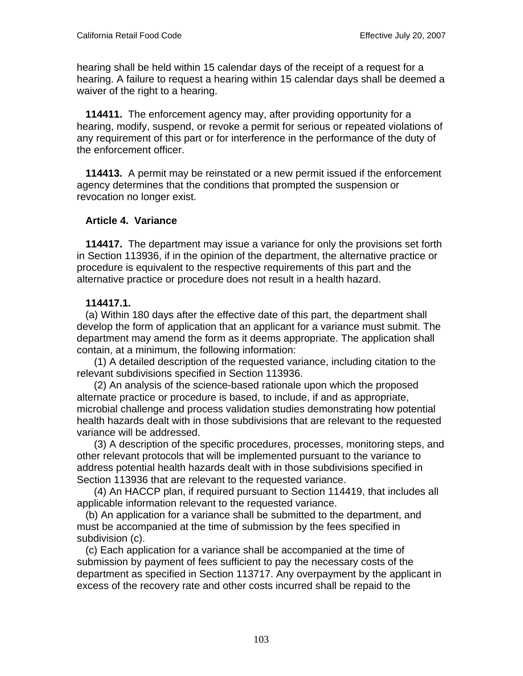hearing shall be held within 15 calendar days of the receipt of a request for a hearing. A failure to request a hearing within 15 calendar days shall be deemed a waiver of the right to a hearing.

 **114411.** The enforcement agency may, after providing opportunity for a hearing, modify, suspend, or revoke a permit for serious or repeated violations of any requirement of this part or for interference in the performance of the duty of the enforcement officer.

 **114413.** A permit may be reinstated or a new permit issued if the enforcement agency determines that the conditions that prompted the suspension or revocation no longer exist.

## **Article 4. Variance**

 **114417.** The department may issue a variance for only the provisions set forth in Section 113936, if in the opinion of the department, the alternative practice or procedure is equivalent to the respective requirements of this part and the alternative practice or procedure does not result in a health hazard.

## **114417.1.**

 (a) Within 180 days after the effective date of this part, the department shall develop the form of application that an applicant for a variance must submit. The department may amend the form as it deems appropriate. The application shall contain, at a minimum, the following information:

 (1) A detailed description of the requested variance, including citation to the relevant subdivisions specified in Section 113936.

 (2) An analysis of the science-based rationale upon which the proposed alternate practice or procedure is based, to include, if and as appropriate, microbial challenge and process validation studies demonstrating how potential health hazards dealt with in those subdivisions that are relevant to the requested variance will be addressed.

 (3) A description of the specific procedures, processes, monitoring steps, and other relevant protocols that will be implemented pursuant to the variance to address potential health hazards dealt with in those subdivisions specified in Section 113936 that are relevant to the requested variance.

 (4) An HACCP plan, if required pursuant to Section 114419, that includes all applicable information relevant to the requested variance.

 (b) An application for a variance shall be submitted to the department, and must be accompanied at the time of submission by the fees specified in subdivision (c).

 (c) Each application for a variance shall be accompanied at the time of submission by payment of fees sufficient to pay the necessary costs of the department as specified in Section 113717. Any overpayment by the applicant in excess of the recovery rate and other costs incurred shall be repaid to the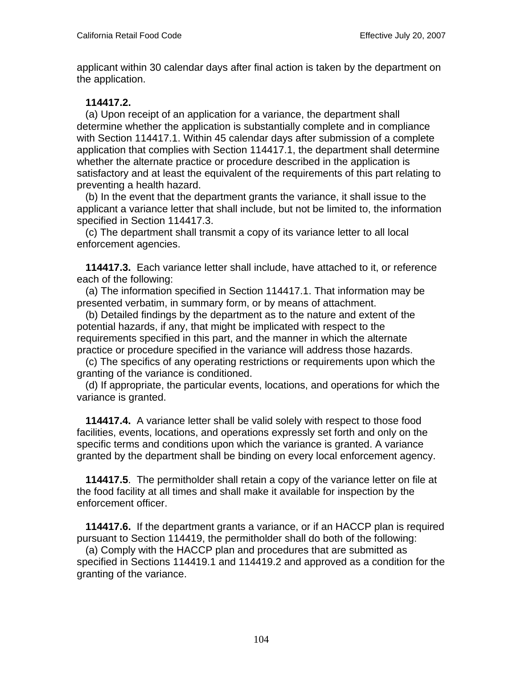applicant within 30 calendar days after final action is taken by the department on the application.

## **114417.2.**

 (a) Upon receipt of an application for a variance, the department shall determine whether the application is substantially complete and in compliance with Section 114417.1. Within 45 calendar days after submission of a complete application that complies with Section 114417.1, the department shall determine whether the alternate practice or procedure described in the application is satisfactory and at least the equivalent of the requirements of this part relating to preventing a health hazard.

 (b) In the event that the department grants the variance, it shall issue to the applicant a variance letter that shall include, but not be limited to, the information specified in Section 114417.3.

 (c) The department shall transmit a copy of its variance letter to all local enforcement agencies.

 **114417.3.** Each variance letter shall include, have attached to it, or reference each of the following:

 (a) The information specified in Section 114417.1. That information may be presented verbatim, in summary form, or by means of attachment.

 (b) Detailed findings by the department as to the nature and extent of the potential hazards, if any, that might be implicated with respect to the requirements specified in this part, and the manner in which the alternate practice or procedure specified in the variance will address those hazards.

 (c) The specifics of any operating restrictions or requirements upon which the granting of the variance is conditioned.

 (d) If appropriate, the particular events, locations, and operations for which the variance is granted.

 **114417.4.** A variance letter shall be valid solely with respect to those food facilities, events, locations, and operations expressly set forth and only on the specific terms and conditions upon which the variance is granted. A variance granted by the department shall be binding on every local enforcement agency.

 **114417.5**. The permitholder shall retain a copy of the variance letter on file at the food facility at all times and shall make it available for inspection by the enforcement officer.

 **114417.6.** If the department grants a variance, or if an HACCP plan is required pursuant to Section 114419, the permitholder shall do both of the following:

 (a) Comply with the HACCP plan and procedures that are submitted as specified in Sections 114419.1 and 114419.2 and approved as a condition for the granting of the variance.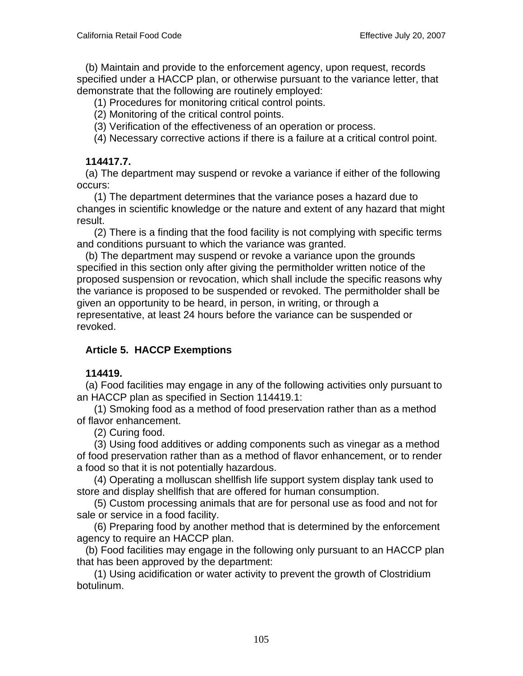(b) Maintain and provide to the enforcement agency, upon request, records specified under a HACCP plan, or otherwise pursuant to the variance letter, that demonstrate that the following are routinely employed:

(1) Procedures for monitoring critical control points.

(2) Monitoring of the critical control points.

(3) Verification of the effectiveness of an operation or process.

(4) Necessary corrective actions if there is a failure at a critical control point.

## **114417.7.**

 (a) The department may suspend or revoke a variance if either of the following occurs:

 (1) The department determines that the variance poses a hazard due to changes in scientific knowledge or the nature and extent of any hazard that might result.

 (2) There is a finding that the food facility is not complying with specific terms and conditions pursuant to which the variance was granted.

 (b) The department may suspend or revoke a variance upon the grounds specified in this section only after giving the permitholder written notice of the proposed suspension or revocation, which shall include the specific reasons why the variance is proposed to be suspended or revoked. The permitholder shall be given an opportunity to be heard, in person, in writing, or through a representative, at least 24 hours before the variance can be suspended or revoked.

# **Article 5. HACCP Exemptions**

### **114419.**

 (a) Food facilities may engage in any of the following activities only pursuant to an HACCP plan as specified in Section 114419.1:

 (1) Smoking food as a method of food preservation rather than as a method of flavor enhancement.

(2) Curing food.

 (3) Using food additives or adding components such as vinegar as a method of food preservation rather than as a method of flavor enhancement, or to render a food so that it is not potentially hazardous.

 (4) Operating a molluscan shellfish life support system display tank used to store and display shellfish that are offered for human consumption.

 (5) Custom processing animals that are for personal use as food and not for sale or service in a food facility.

 (6) Preparing food by another method that is determined by the enforcement agency to require an HACCP plan.

 (b) Food facilities may engage in the following only pursuant to an HACCP plan that has been approved by the department:

 (1) Using acidification or water activity to prevent the growth of Clostridium botulinum.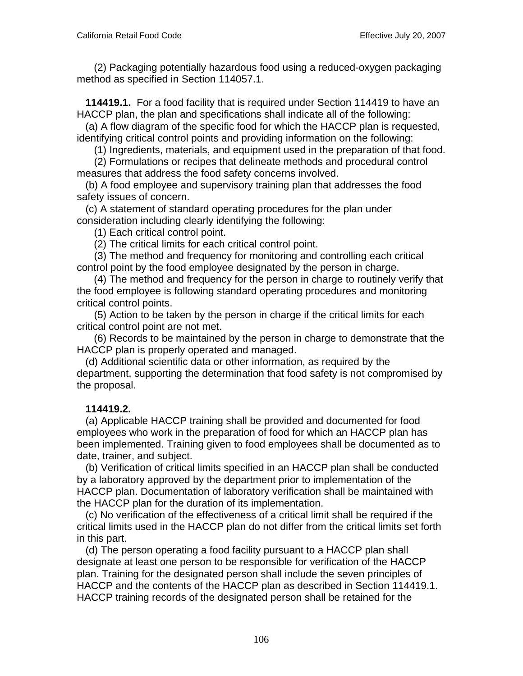(2) Packaging potentially hazardous food using a reduced-oxygen packaging method as specified in Section 114057.1.

 **114419.1.** For a food facility that is required under Section 114419 to have an HACCP plan, the plan and specifications shall indicate all of the following:

 (a) A flow diagram of the specific food for which the HACCP plan is requested, identifying critical control points and providing information on the following:

(1) Ingredients, materials, and equipment used in the preparation of that food.

 (2) Formulations or recipes that delineate methods and procedural control measures that address the food safety concerns involved.

 (b) A food employee and supervisory training plan that addresses the food safety issues of concern.

 (c) A statement of standard operating procedures for the plan under consideration including clearly identifying the following:

(1) Each critical control point.

(2) The critical limits for each critical control point.

 (3) The method and frequency for monitoring and controlling each critical control point by the food employee designated by the person in charge.

 (4) The method and frequency for the person in charge to routinely verify that the food employee is following standard operating procedures and monitoring critical control points.

 (5) Action to be taken by the person in charge if the critical limits for each critical control point are not met.

 (6) Records to be maintained by the person in charge to demonstrate that the HACCP plan is properly operated and managed.

 (d) Additional scientific data or other information, as required by the department, supporting the determination that food safety is not compromised by the proposal.

### **114419.2.**

 (a) Applicable HACCP training shall be provided and documented for food employees who work in the preparation of food for which an HACCP plan has been implemented. Training given to food employees shall be documented as to date, trainer, and subject.

 (b) Verification of critical limits specified in an HACCP plan shall be conducted by a laboratory approved by the department prior to implementation of the HACCP plan. Documentation of laboratory verification shall be maintained with the HACCP plan for the duration of its implementation.

 (c) No verification of the effectiveness of a critical limit shall be required if the critical limits used in the HACCP plan do not differ from the critical limits set forth in this part.

 (d) The person operating a food facility pursuant to a HACCP plan shall designate at least one person to be responsible for verification of the HACCP plan. Training for the designated person shall include the seven principles of HACCP and the contents of the HACCP plan as described in Section 114419.1. HACCP training records of the designated person shall be retained for the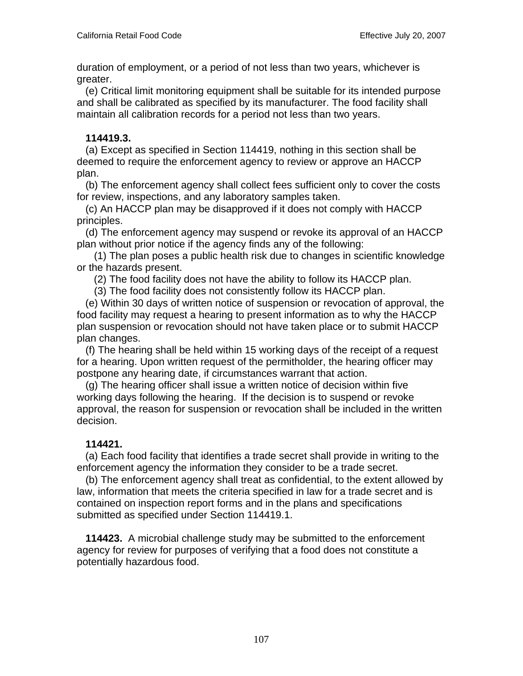duration of employment, or a period of not less than two years, whichever is greater.

 (e) Critical limit monitoring equipment shall be suitable for its intended purpose and shall be calibrated as specified by its manufacturer. The food facility shall maintain all calibration records for a period not less than two years.

## **114419.3.**

 (a) Except as specified in Section 114419, nothing in this section shall be deemed to require the enforcement agency to review or approve an HACCP plan.

 (b) The enforcement agency shall collect fees sufficient only to cover the costs for review, inspections, and any laboratory samples taken.

 (c) An HACCP plan may be disapproved if it does not comply with HACCP principles.

 (d) The enforcement agency may suspend or revoke its approval of an HACCP plan without prior notice if the agency finds any of the following:

 (1) The plan poses a public health risk due to changes in scientific knowledge or the hazards present.

(2) The food facility does not have the ability to follow its HACCP plan.

(3) The food facility does not consistently follow its HACCP plan.

 (e) Within 30 days of written notice of suspension or revocation of approval, the food facility may request a hearing to present information as to why the HACCP plan suspension or revocation should not have taken place or to submit HACCP plan changes.

 (f) The hearing shall be held within 15 working days of the receipt of a request for a hearing. Upon written request of the permitholder, the hearing officer may postpone any hearing date, if circumstances warrant that action.

 (g) The hearing officer shall issue a written notice of decision within five working days following the hearing. If the decision is to suspend or revoke approval, the reason for suspension or revocation shall be included in the written decision.

# **114421.**

 (a) Each food facility that identifies a trade secret shall provide in writing to the enforcement agency the information they consider to be a trade secret.

 (b) The enforcement agency shall treat as confidential, to the extent allowed by law, information that meets the criteria specified in law for a trade secret and is contained on inspection report forms and in the plans and specifications submitted as specified under Section 114419.1.

 **114423.** A microbial challenge study may be submitted to the enforcement agency for review for purposes of verifying that a food does not constitute a potentially hazardous food.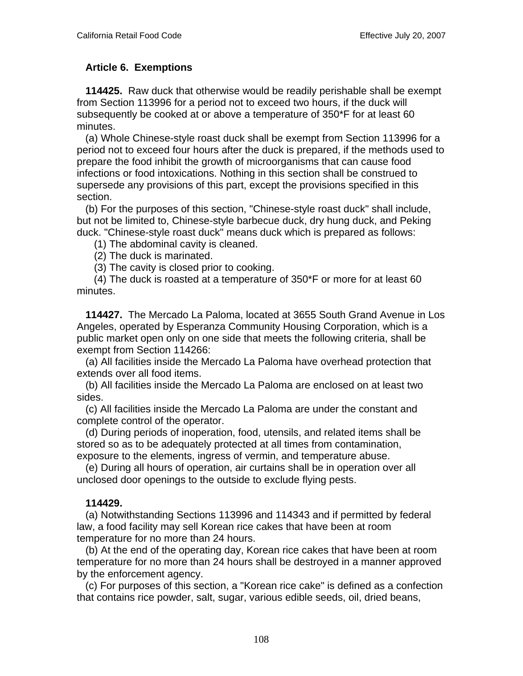## **Article 6. Exemptions**

 **114425.** Raw duck that otherwise would be readily perishable shall be exempt from Section 113996 for a period not to exceed two hours, if the duck will subsequently be cooked at or above a temperature of 350\*F for at least 60 minutes.

 (a) Whole Chinese-style roast duck shall be exempt from Section 113996 for a period not to exceed four hours after the duck is prepared, if the methods used to prepare the food inhibit the growth of microorganisms that can cause food infections or food intoxications. Nothing in this section shall be construed to supersede any provisions of this part, except the provisions specified in this section.

 (b) For the purposes of this section, "Chinese-style roast duck" shall include, but not be limited to, Chinese-style barbecue duck, dry hung duck, and Peking duck. "Chinese-style roast duck" means duck which is prepared as follows:

(1) The abdominal cavity is cleaned.

(2) The duck is marinated.

(3) The cavity is closed prior to cooking.

 (4) The duck is roasted at a temperature of 350\*F or more for at least 60 minutes.

 **114427.** The Mercado La Paloma, located at 3655 South Grand Avenue in Los Angeles, operated by Esperanza Community Housing Corporation, which is a public market open only on one side that meets the following criteria, shall be exempt from Section 114266:

 (a) All facilities inside the Mercado La Paloma have overhead protection that extends over all food items.

 (b) All facilities inside the Mercado La Paloma are enclosed on at least two sides.

 (c) All facilities inside the Mercado La Paloma are under the constant and complete control of the operator.

 (d) During periods of inoperation, food, utensils, and related items shall be stored so as to be adequately protected at all times from contamination, exposure to the elements, ingress of vermin, and temperature abuse.

 (e) During all hours of operation, air curtains shall be in operation over all unclosed door openings to the outside to exclude flying pests.

### **114429.**

 (a) Notwithstanding Sections 113996 and 114343 and if permitted by federal law, a food facility may sell Korean rice cakes that have been at room temperature for no more than 24 hours.

 (b) At the end of the operating day, Korean rice cakes that have been at room temperature for no more than 24 hours shall be destroyed in a manner approved by the enforcement agency.

 (c) For purposes of this section, a "Korean rice cake" is defined as a confection that contains rice powder, salt, sugar, various edible seeds, oil, dried beans,